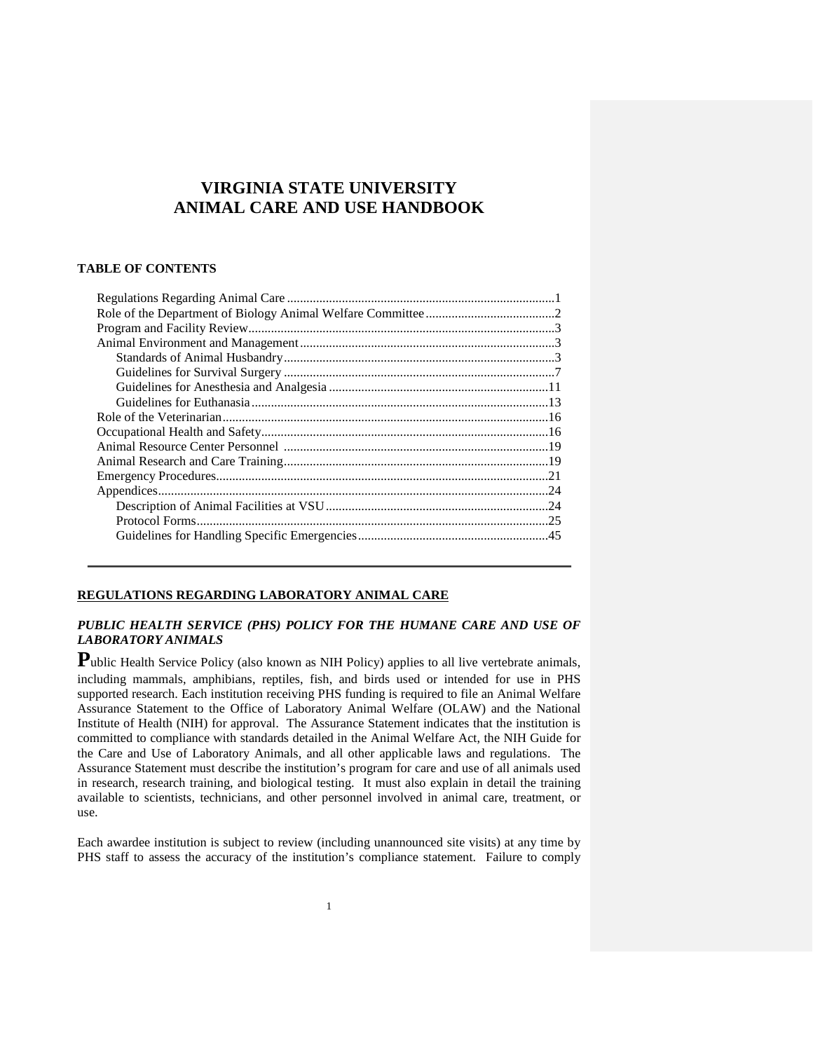# **VIRGINIA STATE UNIVERSITY ANIMAL CARE AND USE HANDBOOK**

### **TABLE OF CONTENTS**

### **REGULATIONS REGARDING LABORATORY ANIMAL CARE**

### *PUBLIC HEALTH SERVICE (PHS) POLICY FOR THE HUMANE CARE AND USE OF LABORATORY ANIMALS*

Public Health Service Policy (also known as NIH Policy) applies to all live vertebrate animals, including mammals, amphibians, reptiles, fish, and birds used or intended for use in PHS supported research. Each institution receiving PHS funding is required to file an Animal Welfare Assurance Statement to the [Office of Laboratory Animal Welfare \(OLAW\)](http://grants.nih.gov/grants/olaw/olaw.htm) and the National Institute of Health (NIH) for approval. The Assurance Statement indicates that the institution is committed to compliance with standards detailed in the Animal Welfare Act, the NIH Guide for the Care and Use of Laboratory Animals, and all other applicable laws and regulations. The Assurance Statement must describe the institution's program for care and use of all animals used in research, research training, and biological testing. It must also explain in detail the training available to scientists, technicians, and other personnel involved in animal care, treatment, or use.

Each awardee institution is subject to review (including unannounced site visits) at any time by PHS staff to assess the accuracy of the institution's compliance statement. Failure to comply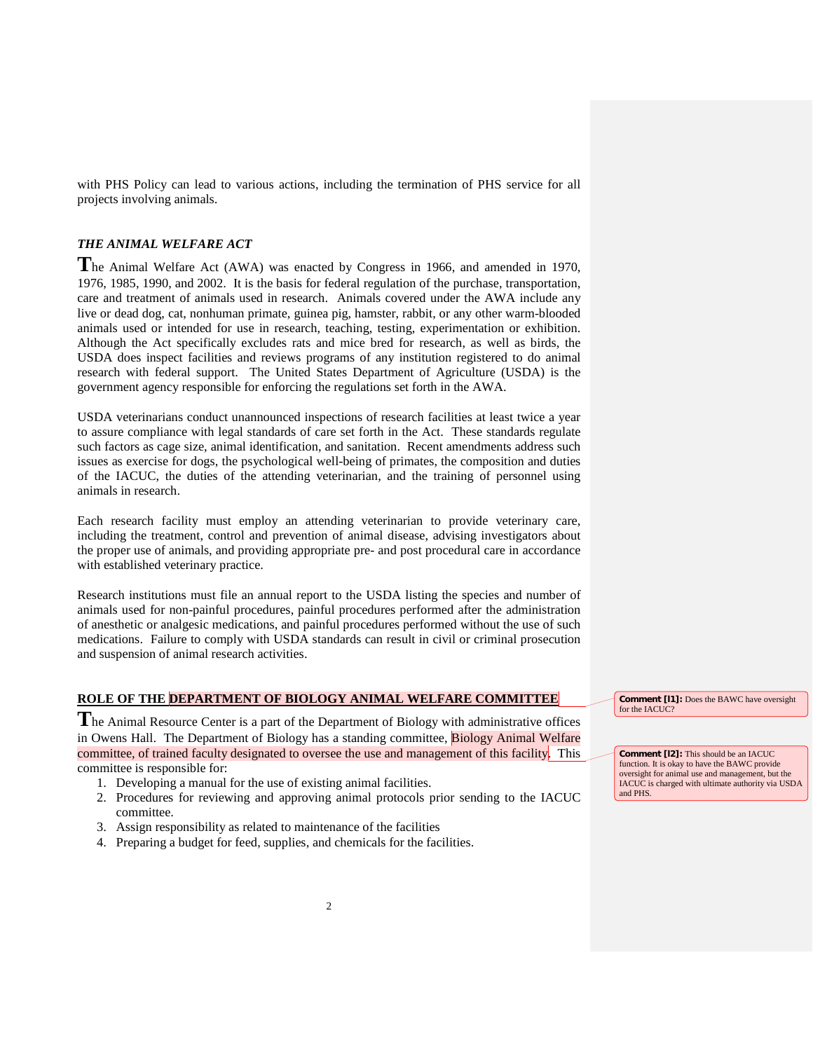with PHS Policy can lead to various actions, including the termination of PHS service for all projects involving animals.

### *THE ANIMAL WELFARE ACT*

**T**he Animal Welfare Act (AWA) was enacted by Congress in 1966, and amended in 1970, 1976, 1985, 1990, and 2002. It is the basis for federal regulation of the purchase, transportation, care and treatment of animals used in research. Animals covered under the AWA include any live or dead dog, cat, nonhuman primate, guinea pig, hamster, rabbit, or any other warm-blooded animals used or intended for use in research, teaching, testing, experimentation or exhibition. Although the Act specifically excludes rats and mice bred for research, as well as birds, the USDA does inspect facilities and reviews programs of any institution registered to do animal research with federal support. The United States Department of Agriculture (USDA) is the government agency responsible for enforcing the regulations set forth in the AWA.

USDA veterinarians conduct unannounced inspections of research facilities at least twice a year to assure compliance with legal standards of care set forth in the Act. These standards regulate such factors as cage size, animal identification, and sanitation. Recent amendments address such issues as exercise for dogs, the psychological well-being of primates, the composition and duties of the IACUC, the duties of the attending veterinarian, and the training of personnel using animals in research.

Each research facility must employ an attending veterinarian to provide veterinary care, including the treatment, control and prevention of animal disease, advising investigators about the proper use of animals, and providing appropriate pre- and post procedural care in accordance with established veterinary practice.

Research institutions must file an annual report to the USDA listing the species and number of animals used for non-painful procedures, painful procedures performed after the administration of anesthetic or analgesic medications, and painful procedures performed without the use of such medications. Failure to comply with USDA standards can result in civil or criminal prosecution and suspension of animal research activities.

## **ROLE OF THE DEPARTMENT OF BIOLOGY ANIMAL WELFARE COMMITTEE**

**T**he Animal Resource Center is a part of the Department of Biology with administrative offices in Owens Hall. The Department of Biology has a standing committee, Biology Animal Welfare committee, of trained faculty designated to oversee the use and management of this facility. This committee is responsible for:

- 1. Developing a manual for the use of existing animal facilities.
- 2. Procedures for reviewing and approving animal protocols prior sending to the IACUC committee.
- 3. Assign responsibility as related to maintenance of the facilities
- 4. Preparing a budget for feed, supplies, and chemicals for the facilities.

**Comment [l1]:** Does the BAWC have oversight for the IACUC?

**Comment [l2]:** This should be an IACUC function. It is okay to have the BAWC provide oversight for animal use and management, but the IACUC is charged with ultimate authority via USDA and PHS.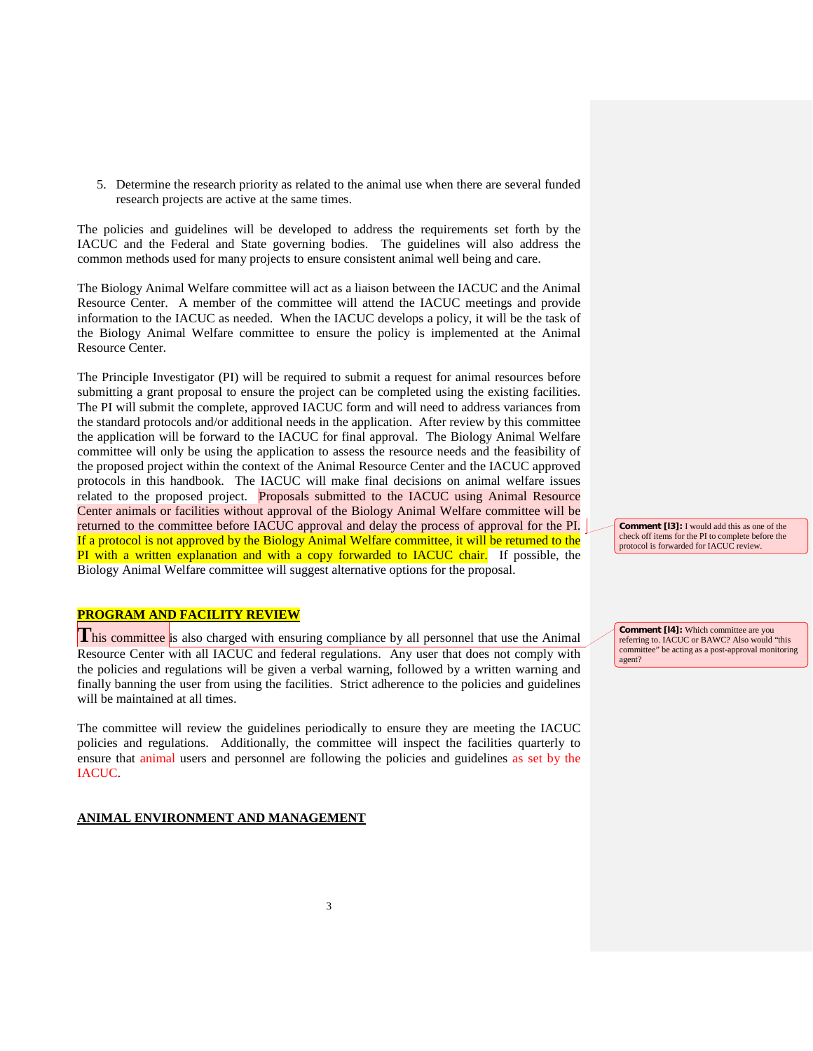5. Determine the research priority as related to the animal use when there are several funded research projects are active at the same times.

The policies and guidelines will be developed to address the requirements set forth by the IACUC and the Federal and State governing bodies. The guidelines will also address the common methods used for many projects to ensure consistent animal well being and care.

The Biology Animal Welfare committee will act as a liaison between the IACUC and the Animal Resource Center. A member of the committee will attend the IACUC meetings and provide information to the IACUC as needed. When the IACUC develops a policy, it will be the task of the Biology Animal Welfare committee to ensure the policy is implemented at the Animal Resource Center.

The Principle Investigator (PI) will be required to submit a request for animal resources before submitting a grant proposal to ensure the project can be completed using the existing facilities. The PI will submit the complete, approved IACUC form and will need to address variances from the standard protocols and/or additional needs in the application. After review by this committee the application will be forward to the IACUC for final approval. The Biology Animal Welfare committee will only be using the application to assess the resource needs and the feasibility of the proposed project within the context of the Animal Resource Center and the IACUC approved protocols in this handbook. The IACUC will make final decisions on animal welfare issues related to the proposed project. Proposals submitted to the IACUC using Animal Resource Center animals or facilities without approval of the Biology Animal Welfare committee will be returned to the committee before IACUC approval and delay the process of approval for the PI. If a protocol is not approved by the Biology Animal Welfare committee, it will be returned to the PI with a written explanation and with a copy forwarded to IACUC chair. If possible, the Biology Animal Welfare committee will suggest alternative options for the proposal.

### **PROGRAM AND FACILITY REVIEW**

**This committee** is also charged with ensuring compliance by all personnel that use the Animal Resource Center with all IACUC and federal regulations. Any user that does not comply with the policies and regulations will be given a verbal warning, followed by a written warning and finally banning the user from using the facilities. Strict adherence to the policies and guidelines will be maintained at all times.

The committee will review the guidelines periodically to ensure they are meeting the IACUC policies and regulations. Additionally, the committee will inspect the facilities quarterly to ensure that animal users and personnel are following the policies and guidelines as set by the IACUC.

#### **ANIMAL ENVIRONMENT AND MANAGEMENT**

**Comment [l3]:** I would add this as one of the check off items for the PI to complete before the protocol is forwarded for IACUC review.

**Comment [l4]:** Which committee are you referring to. IACUC or BAWC? Also would "this committee" be acting as a post-approval monitoring agent?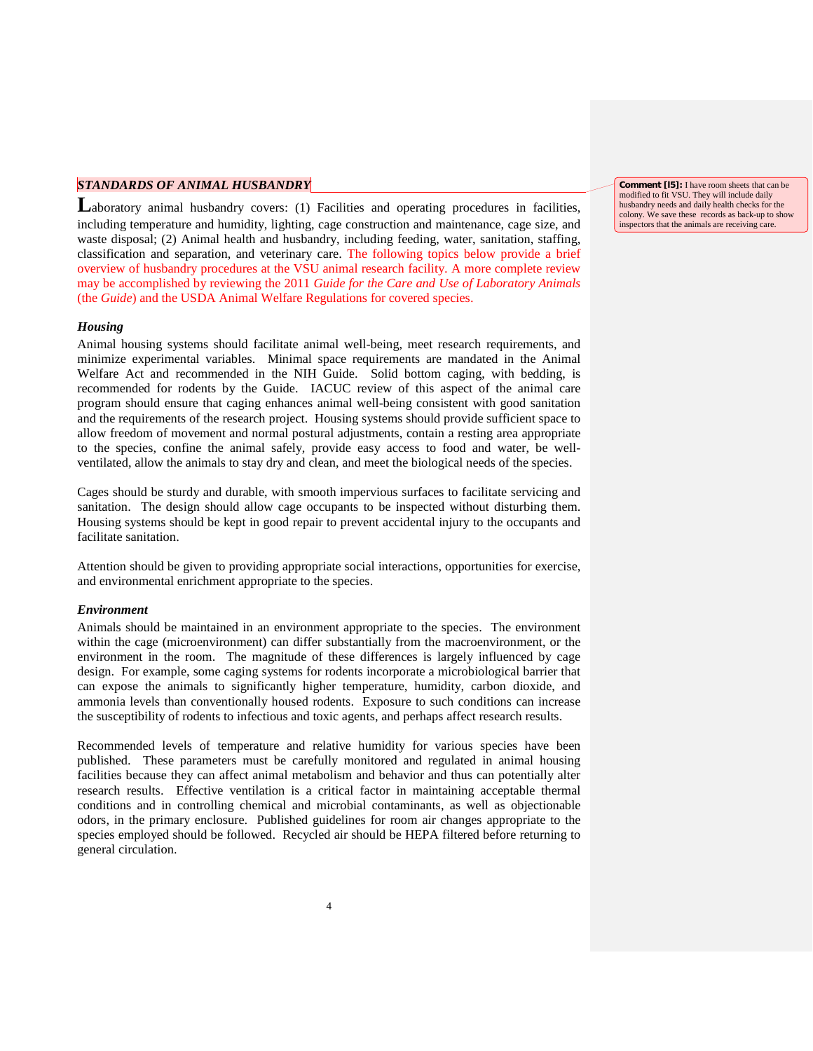## *STANDARDS OF ANIMAL HUSBANDRY*

Laboratory animal husbandry covers: (1) Facilities and operating procedures in facilities, including temperature and humidity, lighting, cage construction and maintenance, cage size, and waste disposal; (2) Animal health and husbandry, including feeding, water, sanitation, staffing, classification and separation, and veterinary care. The following topics below provide a brief overview of husbandry procedures at the VSU animal research facility. A more complete review may be accomplished by reviewing the 2011 *Guide for the Care and Use of Laboratory Animals* (the *Guide*) and the USDA Animal Welfare Regulations for covered species.

#### *Housing*

Animal housing systems should facilitate animal well-being, meet research requirements, and minimize experimental variables. Minimal space requirements are mandated in the Animal Welfare Act and recommended in the NIH Guide. Solid bottom caging, with bedding, is recommended for rodents by the Guide. IACUC review of this aspect of the animal care program should ensure that caging enhances animal well-being consistent with good sanitation and the requirements of the research project. Housing systems should provide sufficient space to allow freedom of movement and normal postural adjustments, contain a resting area appropriate to the species, confine the animal safely, provide easy access to food and water, be wellventilated, allow the animals to stay dry and clean, and meet the biological needs of the species.

Cages should be sturdy and durable, with smooth impervious surfaces to facilitate servicing and sanitation. The design should allow cage occupants to be inspected without disturbing them. Housing systems should be kept in good repair to prevent accidental injury to the occupants and facilitate sanitation.

Attention should be given to providing appropriate social interactions, opportunities for exercise, and environmental enrichment appropriate to the species.

#### *Environment*

Animals should be maintained in an environment appropriate to the species. The environment within the cage (microenvironment) can differ substantially from the macroenvironment, or the environment in the room. The magnitude of these differences is largely influenced by cage design. For example, some caging systems for rodents incorporate a microbiological barrier that can expose the animals to significantly higher temperature, humidity, carbon dioxide, and ammonia levels than conventionally housed rodents. Exposure to such conditions can increase the susceptibility of rodents to infectious and toxic agents, and perhaps affect research results.

Recommended levels of temperature and relative humidity for various species have been published. These parameters must be carefully monitored and regulated in animal housing facilities because they can affect animal metabolism and behavior and thus can potentially alter research results. Effective ventilation is a critical factor in maintaining acceptable thermal conditions and in controlling chemical and microbial contaminants, as well as objectionable odors, in the primary enclosure. Published guidelines for room air changes appropriate to the species employed should be followed. Recycled air should be HEPA filtered before returning to general circulation.

**Comment [l5]:** I have room sheets that can be modified to fit VSU. They will include daily husbandry needs and daily health checks for the colony. We save these records as back-up to show inspectors that the animals are receiving care.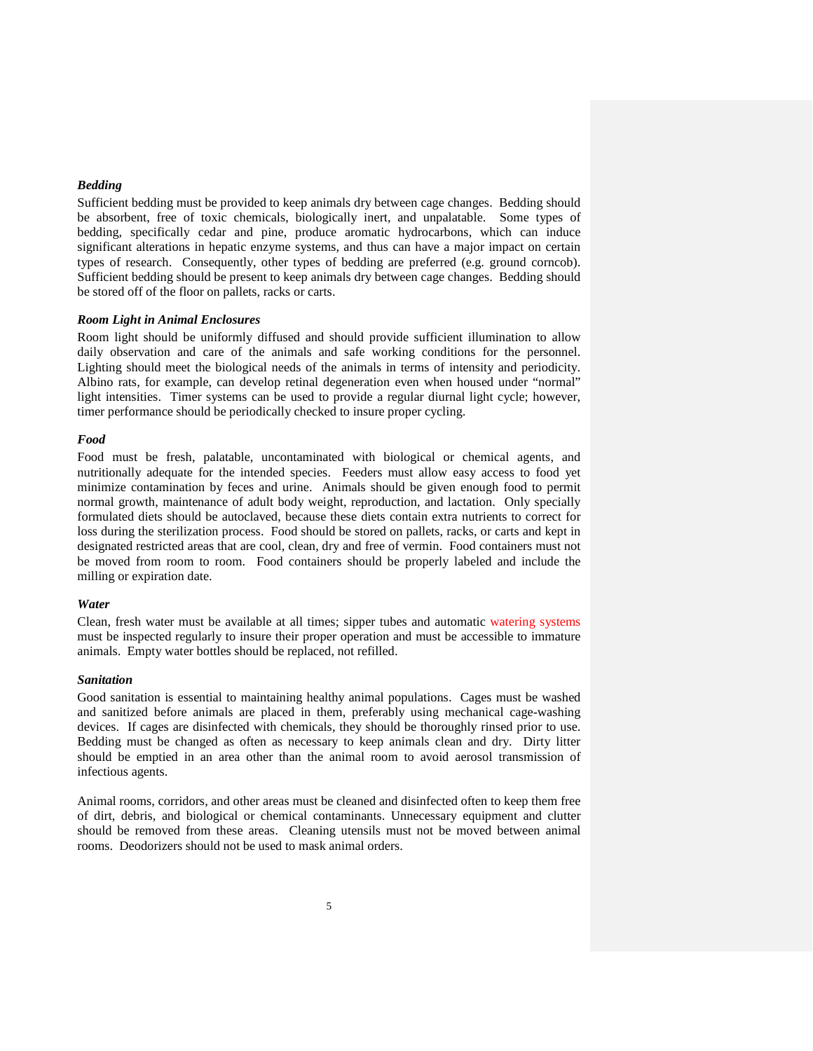#### *Bedding*

Sufficient bedding must be provided to keep animals dry between cage changes. Bedding should be absorbent, free of toxic chemicals, biologically inert, and unpalatable. Some types of bedding, specifically cedar and pine, produce aromatic hydrocarbons, which can induce significant alterations in hepatic enzyme systems, and thus can have a major impact on certain types of research. Consequently, other types of bedding are preferred (e.g. ground corncob). Sufficient bedding should be present to keep animals dry between cage changes. Bedding should be stored off of the floor on pallets, racks or carts.

#### *Room Light in Animal Enclosures*

Room light should be uniformly diffused and should provide sufficient illumination to allow daily observation and care of the animals and safe working conditions for the personnel. Lighting should meet the biological needs of the animals in terms of intensity and periodicity. Albino rats, for example, can develop retinal degeneration even when housed under "normal" light intensities. Timer systems can be used to provide a regular diurnal light cycle; however, timer performance should be periodically checked to insure proper cycling.

#### *Food*

Food must be fresh, palatable, uncontaminated with biological or chemical agents, and nutritionally adequate for the intended species. Feeders must allow easy access to food yet minimize contamination by feces and urine. Animals should be given enough food to permit normal growth, maintenance of adult body weight, reproduction, and lactation. Only specially formulated diets should be autoclaved, because these diets contain extra nutrients to correct for loss during the sterilization process. Food should be stored on pallets, racks, or carts and kept in designated restricted areas that are cool, clean, dry and free of vermin. Food containers must not be moved from room to room. Food containers should be properly labeled and include the milling or expiration date.

#### *Water*

Clean, fresh water must be available at all times; sipper tubes and automatic watering systems must be inspected regularly to insure their proper operation and must be accessible to immature animals. Empty water bottles should be replaced, not refilled.

#### *Sanitation*

Good sanitation is essential to maintaining healthy animal populations. Cages must be washed and sanitized before animals are placed in them, preferably using mechanical cage-washing devices. If cages are disinfected with chemicals, they should be thoroughly rinsed prior to use. Bedding must be changed as often as necessary to keep animals clean and dry. Dirty litter should be emptied in an area other than the animal room to avoid aerosol transmission of infectious agents.

Animal rooms, corridors, and other areas must be cleaned and disinfected often to keep them free of dirt, debris, and biological or chemical contaminants. Unnecessary equipment and clutter should be removed from these areas. Cleaning utensils must not be moved between animal rooms. Deodorizers should not be used to mask animal orders.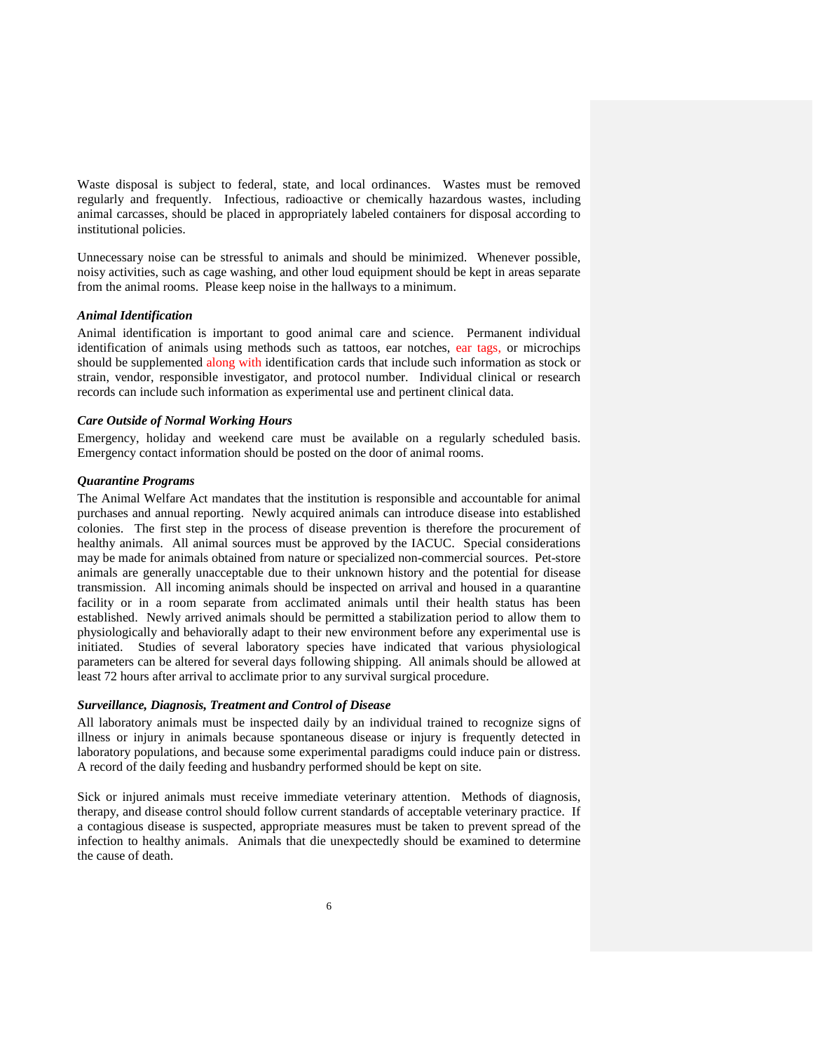Waste disposal is subject to federal, state, and local ordinances. Wastes must be removed regularly and frequently. Infectious, radioactive or chemically hazardous wastes, including animal carcasses, should be placed in appropriately labeled containers for disposal according to institutional policies.

Unnecessary noise can be stressful to animals and should be minimized. Whenever possible, noisy activities, such as cage washing, and other loud equipment should be kept in areas separate from the animal rooms. Please keep noise in the hallways to a minimum.

#### *Animal Identification*

Animal identification is important to good animal care and science. Permanent individual identification of animals using methods such as tattoos, ear notches, ear tags, or microchips should be supplemented along with identification cards that include such information as stock or strain, vendor, responsible investigator, and protocol number. Individual clinical or research records can include such information as experimental use and pertinent clinical data.

#### *Care Outside of Normal Working Hours*

Emergency, holiday and weekend care must be available on a regularly scheduled basis. Emergency contact information should be posted on the door of animal rooms.

### *Quarantine Programs*

The Animal Welfare Act mandates that the institution is responsible and accountable for animal purchases and annual reporting. Newly acquired animals can introduce disease into established colonies. The first step in the process of disease prevention is therefore the procurement of healthy animals. All animal sources must be approved by the IACUC. Special considerations may be made for animals obtained from nature or specialized non-commercial sources. Pet-store animals are generally unacceptable due to their unknown history and the potential for disease transmission. All incoming animals should be inspected on arrival and housed in a quarantine facility or in a room separate from acclimated animals until their health status has been established. Newly arrived animals should be permitted a stabilization period to allow them to physiologically and behaviorally adapt to their new environment before any experimental use is initiated. Studies of several laboratory species have indicated that various physiological parameters can be altered for several days following shipping. All animals should be allowed at least 72 hours after arrival to acclimate prior to any survival surgical procedure.

#### *Surveillance, Diagnosis, Treatment and Control of Disease*

All laboratory animals must be inspected daily by an individual trained to recognize signs of illness or injury in animals because spontaneous disease or injury is frequently detected in laboratory populations, and because some experimental paradigms could induce pain or distress. A record of the daily feeding and husbandry performed should be kept on site.

Sick or injured animals must receive immediate veterinary attention. Methods of diagnosis, therapy, and disease control should follow current standards of acceptable veterinary practice. If a contagious disease is suspected, appropriate measures must be taken to prevent spread of the infection to healthy animals. Animals that die unexpectedly should be examined to determine the cause of death.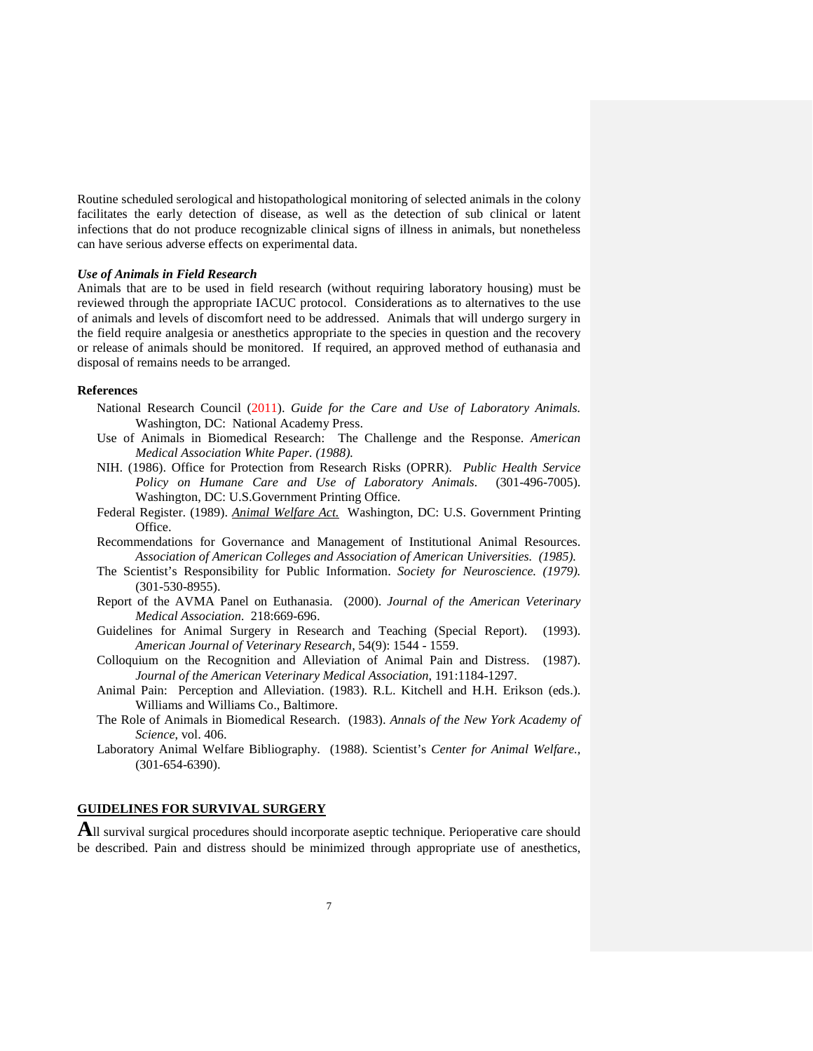Routine scheduled serological and histopathological monitoring of selected animals in the colony facilitates the early detection of disease, as well as the detection of sub clinical or latent infections that do not produce recognizable clinical signs of illness in animals, but nonetheless can have serious adverse effects on experimental data.

#### *Use of Animals in Field Research*

Animals that are to be used in field research (without requiring laboratory housing) must be reviewed through the appropriate IACUC protocol. Considerations as to alternatives to the use of animals and levels of discomfort need to be addressed. Animals that will undergo surgery in the field require analgesia or anesthetics appropriate to the species in question and the recovery or release of animals should be monitored. If required, an approved method of euthanasia and disposal of remains needs to be arranged.

#### **References**

- National Research Council (2011). *Guide for the Care and Use of Laboratory Animals.* Washington, DC: National Academy Press.
- Use of Animals in Biomedical Research: The Challenge and the Response. *American Medical Association White Paper. (1988).*
- NIH. (1986). Office for Protection from Research Risks (OPRR). *Public Health Service Policy on Humane Care and Use of Laboratory Animals.* (301-496-7005). Washington, DC: U.S.Government Printing Office.
- Federal Register. (1989). *Animal Welfare Act.* Washington, DC: U.S. Government Printing Office.
- Recommendations for Governance and Management of Institutional Animal Resources. *Association of American Colleges and Association of American Universities. (1985).*
- The Scientist's Responsibility for Public Information. *Society for Neuroscience. (1979).*  (301-530-8955).
- Report of the AVMA Panel on Euthanasia. (2000). *Journal of the American Veterinary Medical Association.* 218:669-696.
- Guidelines for Animal Surgery in Research and Teaching (Special Report). (1993). *American Journal of Veterinary Research*, 54(9): 1544 - 1559.
- Colloquium on the Recognition and Alleviation of Animal Pain and Distress. (1987). *Journal of the American Veterinary Medical Association*, 191:1184-1297.
- Animal Pain: Perception and Alleviation. (1983). R.L. Kitchell and H.H. Erikson (eds.). Williams and Williams Co., Baltimore.
- The Role of Animals in Biomedical Research. (1983). *Annals of the New York Academy of Science*, vol. 406.
- Laboratory Animal Welfare Bibliography. (1988). Scientist's *Center for Animal Welfare.,* (301-654-6390).

### **GUIDELINES FOR SURVIVAL SURGERY**

All survival surgical procedures should incorporate aseptic technique. Perioperative care should be described. Pain and distress should be minimized through appropriate use of anesthetics,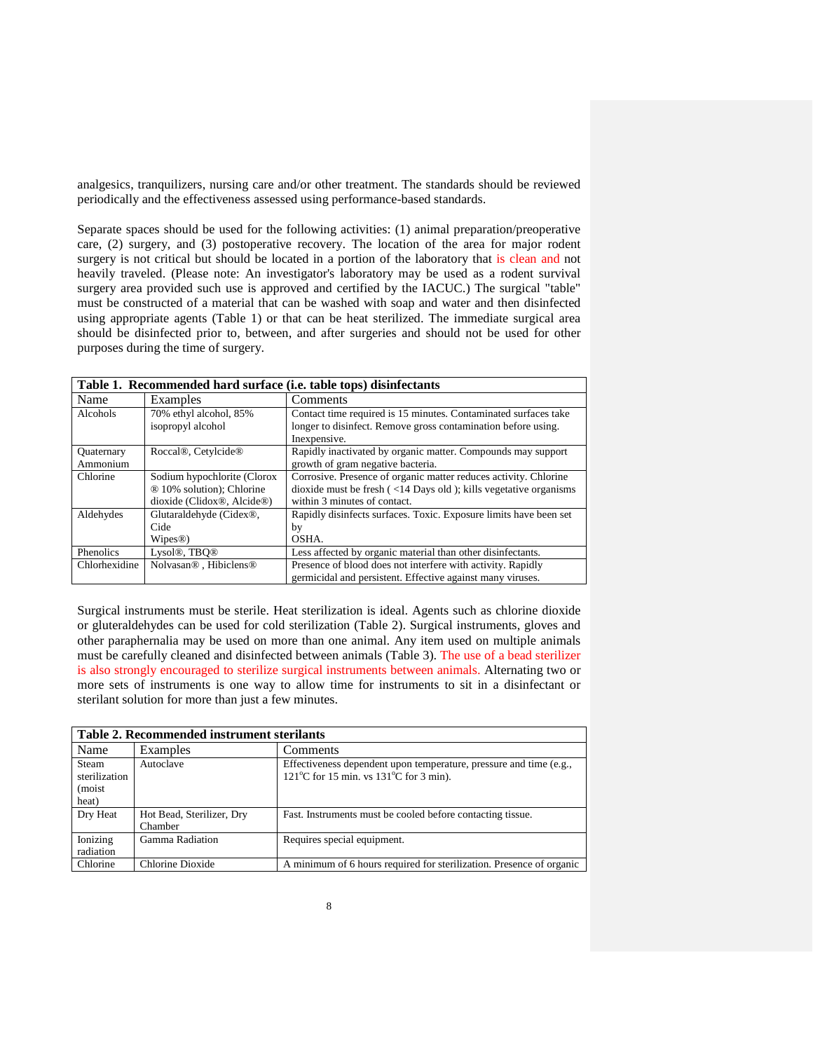analgesics, tranquilizers, nursing care and/or other treatment. The standards should be reviewed periodically and the effectiveness assessed using performance-based standards.

Separate spaces should be used for the following activities: (1) animal preparation/preoperative care, (2) surgery, and (3) postoperative recovery. The location of the area for major rodent surgery is not critical but should be located in a portion of the laboratory that is clean and not heavily traveled. (Please note: An investigator's laboratory may be used as a rodent survival surgery area provided such use is approved and certified by the IACUC.) The surgical "table" must be constructed of a material that can be washed with soap and water and then disinfected using appropriate agents (Table 1) or that can be heat sterilized. The immediate surgical area should be disinfected prior to, between, and after surgeries and should not be used for other purposes during the time of surgery.

|               |                                                | Table 1. Recommended hard surface (i.e. table tops) disinfectants         |
|---------------|------------------------------------------------|---------------------------------------------------------------------------|
| Name          | Examples                                       | Comments                                                                  |
| Alcohols      | 70% ethyl alcohol, 85%                         | Contact time required is 15 minutes. Contaminated surfaces take           |
|               | isopropyl alcohol                              | longer to disinfect. Remove gross contamination before using.             |
|               |                                                | Inexpensive.                                                              |
| Quaternary    | Roccal®, Cetylcide®                            | Rapidly inactivated by organic matter. Compounds may support              |
| Ammonium      |                                                | growth of gram negative bacteria.                                         |
| Chlorine      | Sodium hypochlorite (Clorox                    | Corrosive. Presence of organic matter reduces activity. Chlorine          |
|               | ® 10% solution); Chlorine                      | dioxide must be fresh $\left($ <14 Days old ); kills vegetative organisms |
|               | dioxide (Clidox®, Alcide®)                     | within 3 minutes of contact.                                              |
| Aldehydes     | Glutaraldehyde (Cidex <sup>®</sup> ,           | Rapidly disinfects surfaces. Toxic. Exposure limits have been set         |
|               | Cide                                           | by                                                                        |
|               | Wipes@)                                        | OSHA.                                                                     |
| Phenolics     | Lysol®, TBO®                                   | Less affected by organic material than other disinfectants.               |
| Chlorhexidine | Nolvasan <sup>®</sup> . Hibiclens <sup>®</sup> | Presence of blood does not interfere with activity. Rapidly               |
|               |                                                | germicidal and persistent. Effective against many viruses.                |

Surgical instruments must be sterile. Heat sterilization is ideal. Agents such as chlorine dioxide or gluteraldehydes can be used for cold sterilization (Table 2). Surgical instruments, gloves and other paraphernalia may be used on more than one animal. Any item used on multiple animals must be carefully cleaned and disinfected between animals (Table 3). The use of a bead sterilizer is also strongly encouraged to sterilize surgical instruments between animals. Alternating two or more sets of instruments is one way to allow time for instruments to sit in a disinfectant or sterilant solution for more than just a few minutes.

|                                            | Table 2. Recommended instrument sterilants |                                                                                                                                                    |  |
|--------------------------------------------|--------------------------------------------|----------------------------------------------------------------------------------------------------------------------------------------------------|--|
| Name                                       | Examples                                   | Comments                                                                                                                                           |  |
| Steam<br>sterilization<br>(moist)<br>heat) | Autoclave                                  | Effectiveness dependent upon temperature, pressure and time (e.g.,<br>121 $\mathrm{^{\circ}C}$ for 15 min. vs 131 $\mathrm{^{\circ}C}$ for 3 min). |  |
| Dry Heat                                   | Hot Bead, Sterilizer, Dry<br>Chamber       | Fast. Instruments must be cooled before contacting tissue.                                                                                         |  |
| Ionizing<br>radiation                      | Gamma Radiation                            | Requires special equipment.                                                                                                                        |  |
| Chlorine                                   | Chlorine Dioxide                           | A minimum of 6 hours required for sterilization. Presence of organic                                                                               |  |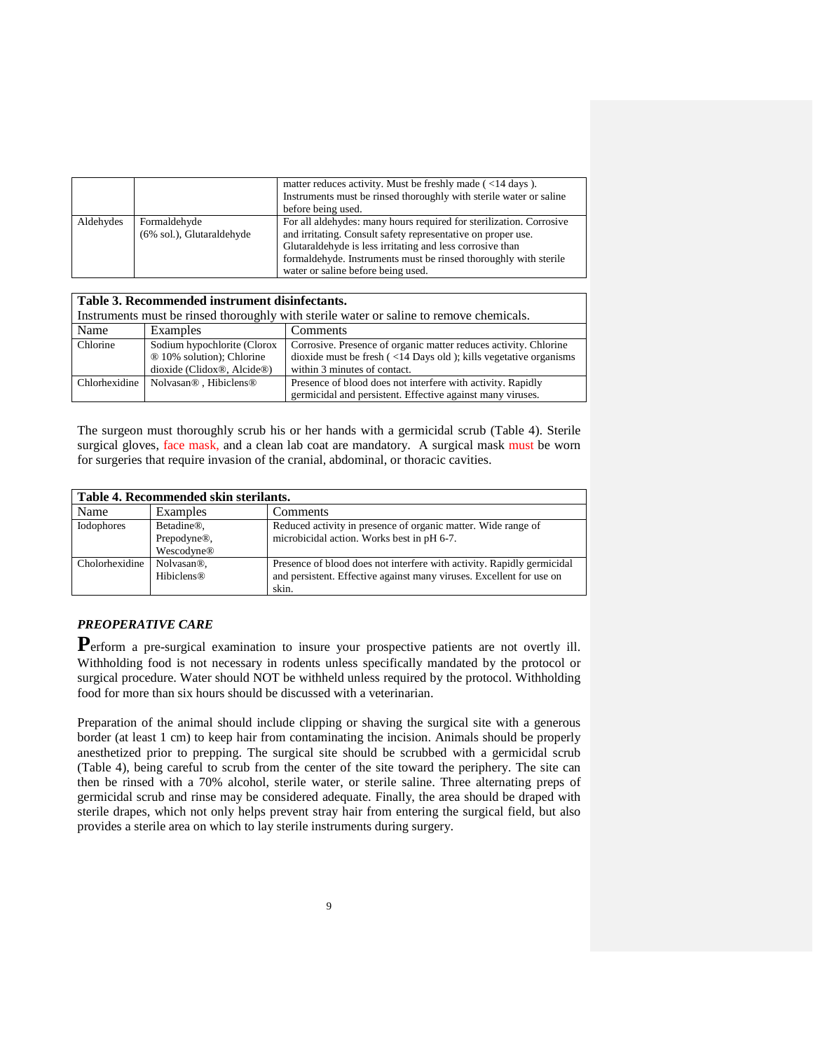|           |                                           | matter reduces activity. Must be freshly made $\left($ <14 days $\right)$ .<br>Instruments must be rinsed thoroughly with sterile water or saline                                                                                                                                                                                |
|-----------|-------------------------------------------|----------------------------------------------------------------------------------------------------------------------------------------------------------------------------------------------------------------------------------------------------------------------------------------------------------------------------------|
| Aldehydes | Formaldehyde<br>(6% sol.), Glutaraldehyde | before being used.<br>For all aldehydes: many hours required for sterilization. Corrosive<br>and irritating. Consult safety representative on proper use.<br>Glutaraldehyde is less irritating and less corrosive than<br>formaldehyde. Instruments must be rinsed thoroughly with sterile<br>water or saline before being used. |

|          | Table 3. Recommended instrument disinfectants.                 |                                                                                         |  |
|----------|----------------------------------------------------------------|-----------------------------------------------------------------------------------------|--|
|          |                                                                | Instruments must be rinsed thoroughly with sterile water or saline to remove chemicals. |  |
| Name     | Examples                                                       | Comments                                                                                |  |
| Chlorine | Sodium hypochlorite (Clorox                                    | Corrosive. Presence of organic matter reduces activity. Chlorine                        |  |
|          | ® 10% solution); Chlorine                                      | dioxide must be fresh $\left($ <14 Days old $\right)$ ; kills vegetative organisms      |  |
|          | dioxide (Clidox®, Alcide®)                                     | within 3 minutes of contact.                                                            |  |
|          | Chlorhexidine   Nolvasan <sup>®</sup> , Hibiclens <sup>®</sup> | Presence of blood does not interfere with activity. Rapidly                             |  |
|          |                                                                | germicidal and persistent. Effective against many viruses.                              |  |

The surgeon must thoroughly scrub his or her hands with a germicidal scrub (Table 4). Sterile surgical gloves, face mask, and a clean lab coat are mandatory. A surgical mask must be worn for surgeries that require invasion of the cranial, abdominal, or thoracic cavities.

| Table 4. Recommended skin sterilants. |                          |                                                                        |
|---------------------------------------|--------------------------|------------------------------------------------------------------------|
| Name                                  | Examples                 | Comments                                                               |
| Iodophores                            | Betadine <sup>®</sup> ,  | Reduced activity in presence of organic matter. Wide range of          |
|                                       | Prepodyne <sup>®</sup> , | microbicidal action. Works best in pH 6-7.                             |
|                                       | Wescodyne®               |                                                                        |
| Cholorhexidine                        | Nolvasan <sup>®</sup> .  | Presence of blood does not interfere with activity. Rapidly germicidal |
|                                       | <b>Hibiclens®</b>        | and persistent. Effective against many viruses. Excellent for use on   |
|                                       |                          | skin.                                                                  |

## *PREOPERATIVE CARE*

Perform a pre-surgical examination to insure your prospective patients are not overtly ill. Withholding food is not necessary in rodents unless specifically mandated by the protocol or surgical procedure. Water should NOT be withheld unless required by the protocol. Withholding food for more than six hours should be discussed with a veterinarian.

Preparation of the animal should include clipping or shaving the surgical site with a generous border (at least 1 cm) to keep hair from contaminating the incision. Animals should be properly anesthetized prior to prepping. The surgical site should be scrubbed with a germicidal scrub (Table 4), being careful to scrub from the center of the site toward the periphery. The site can then be rinsed with a 70% alcohol, sterile water, or sterile saline. Three alternating preps of germicidal scrub and rinse may be considered adequate. Finally, the area should be draped with sterile drapes, which not only helps prevent stray hair from entering the surgical field, but also provides a sterile area on which to lay sterile instruments during surgery.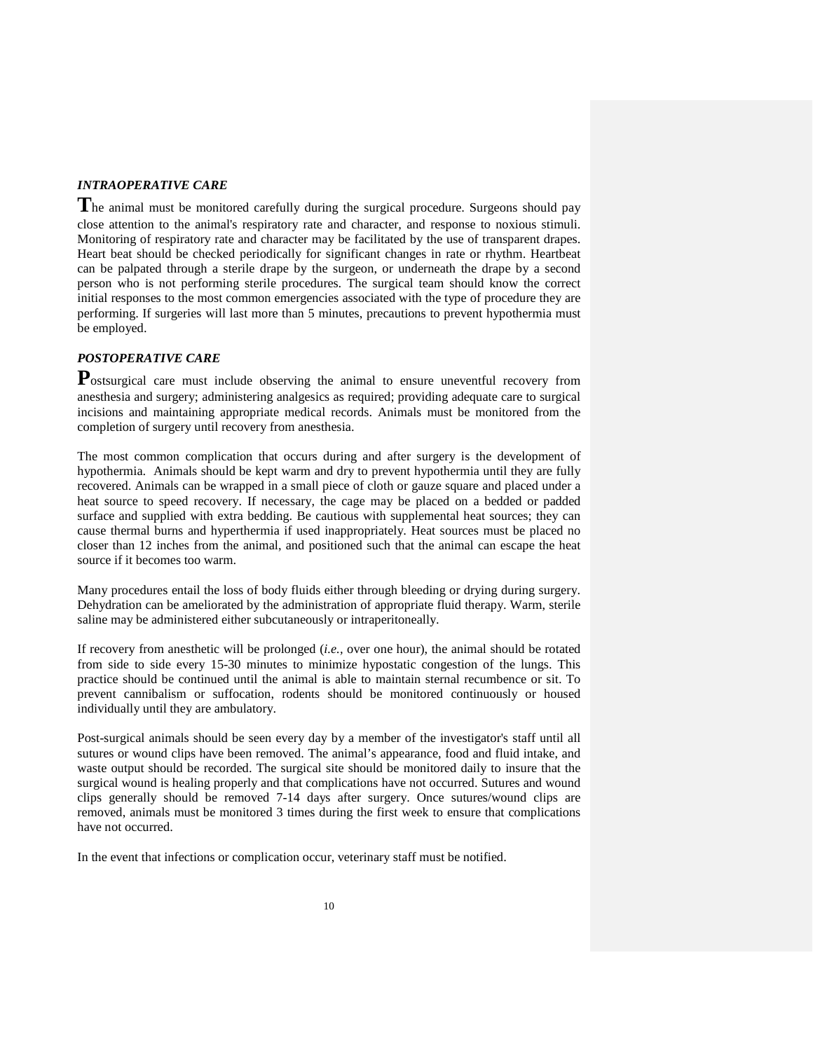### *INTRAOPERATIVE CARE*

**T**he animal must be monitored carefully during the surgical procedure. Surgeons should pay close attention to the animal's respiratory rate and character, and response to noxious stimuli. Monitoring of respiratory rate and character may be facilitated by the use of transparent drapes. Heart beat should be checked periodically for significant changes in rate or rhythm. Heartbeat can be palpated through a sterile drape by the surgeon, or underneath the drape by a second person who is not performing sterile procedures. The surgical team should know the correct initial responses to the most common emergencies associated with the type of procedure they are performing. If surgeries will last more than 5 minutes, precautions to prevent hypothermia must be employed.

## *POSTOPERATIVE CARE*

Postsurgical care must include observing the animal to ensure uneventful recovery from anesthesia and surgery; administering analgesics as required; providing adequate care to surgical incisions and maintaining appropriate medical records. Animals must be monitored from the completion of surgery until recovery from anesthesia.

The most common complication that occurs during and after surgery is the development of hypothermia. Animals should be kept warm and dry to prevent hypothermia until they are fully recovered. Animals can be wrapped in a small piece of cloth or gauze square and placed under a heat source to speed recovery. If necessary, the cage may be placed on a bedded or padded surface and supplied with extra bedding. Be cautious with supplemental heat sources; they can cause thermal burns and hyperthermia if used inappropriately. Heat sources must be placed no closer than 12 inches from the animal, and positioned such that the animal can escape the heat source if it becomes too warm.

Many procedures entail the loss of body fluids either through bleeding or drying during surgery. Dehydration can be ameliorated by the administration of appropriate fluid therapy. Warm, sterile saline may be administered either subcutaneously or intraperitoneally.

If recovery from anesthetic will be prolonged (*i.e.,* over one hour), the animal should be rotated from side to side every 15-30 minutes to minimize hypostatic congestion of the lungs. This practice should be continued until the animal is able to maintain sternal recumbence or sit. To prevent cannibalism or suffocation, rodents should be monitored continuously or housed individually until they are ambulatory.

Post-surgical animals should be seen every day by a member of the investigator's staff until all sutures or wound clips have been removed. The animal's appearance, food and fluid intake, and waste output should be recorded. The surgical site should be monitored daily to insure that the surgical wound is healing properly and that complications have not occurred. Sutures and wound clips generally should be removed 7-14 days after surgery. Once sutures/wound clips are removed, animals must be monitored 3 times during the first week to ensure that complications have not occurred.

In the event that infections or complication occur, veterinary staff must be notified.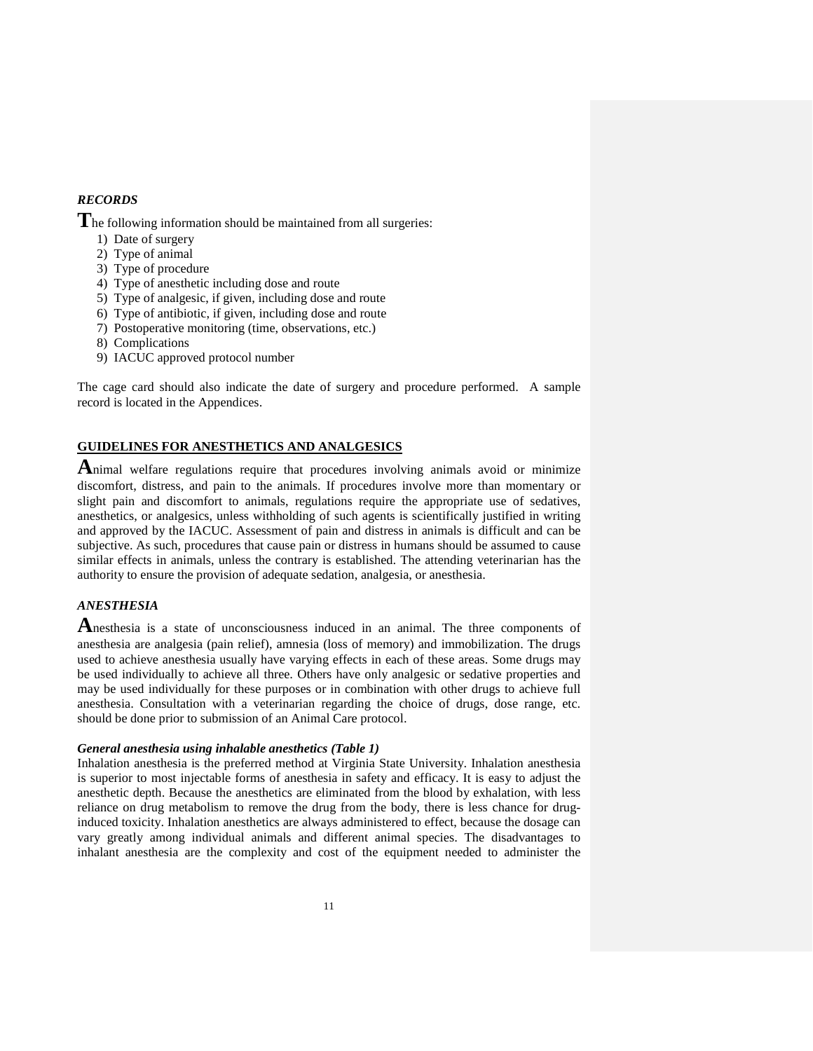### *RECORDS*

**T**he following information should be maintained from all surgeries:

- 1) Date of surgery
- 2) Type of animal
- 3) Type of procedure
- 4) Type of anesthetic including dose and route
- 5) Type of analgesic, if given, including dose and route
- 6) Type of antibiotic, if given, including dose and route
- 7) Postoperative monitoring (time, observations, etc.)
- 8) Complications
- 9) IACUC approved protocol number

The cage card should also indicate the date of surgery and procedure performed. A sample record is located in the Appendices.

## **GUIDELINES FOR ANESTHETICS AND ANALGESICS**

**A**nimal welfare regulations require that procedures involving animals avoid or minimize discomfort, distress, and pain to the animals. If procedures involve more than momentary or slight pain and discomfort to animals, regulations require the appropriate use of sedatives, anesthetics, or analgesics, unless withholding of such agents is scientifically justified in writing and approved by the IACUC. Assessment of pain and distress in animals is difficult and can be subjective. As such, procedures that cause pain or distress in humans should be assumed to cause similar effects in animals, unless the contrary is established. The attending veterinarian has the authority to ensure the provision of adequate sedation, analgesia, or anesthesia.

## *ANESTHESIA*

**A**nesthesia is a state of unconsciousness induced in an animal. The three components of anesthesia are analgesia (pain relief), amnesia (loss of memory) and immobilization. The drugs used to achieve anesthesia usually have varying effects in each of these areas. Some drugs may be used individually to achieve all three. Others have only analgesic or sedative properties and may be used individually for these purposes or in combination with other drugs to achieve full anesthesia. Consultation with a veterinarian regarding the choice of drugs, dose range, etc. should be done prior to submission of an Animal Care protocol.

#### *General anesthesia using inhalable anesthetics (Table 1)*

Inhalation anesthesia is the preferred method at Virginia State University. Inhalation anesthesia is superior to most injectable forms of anesthesia in safety and efficacy. It is easy to adjust the anesthetic depth. Because the anesthetics are eliminated from the blood by exhalation, with less reliance on drug metabolism to remove the drug from the body, there is less chance for druginduced toxicity. Inhalation anesthetics are always administered to effect, because the dosage can vary greatly among individual animals and different animal species. The disadvantages to inhalant anesthesia are the complexity and cost of the equipment needed to administer the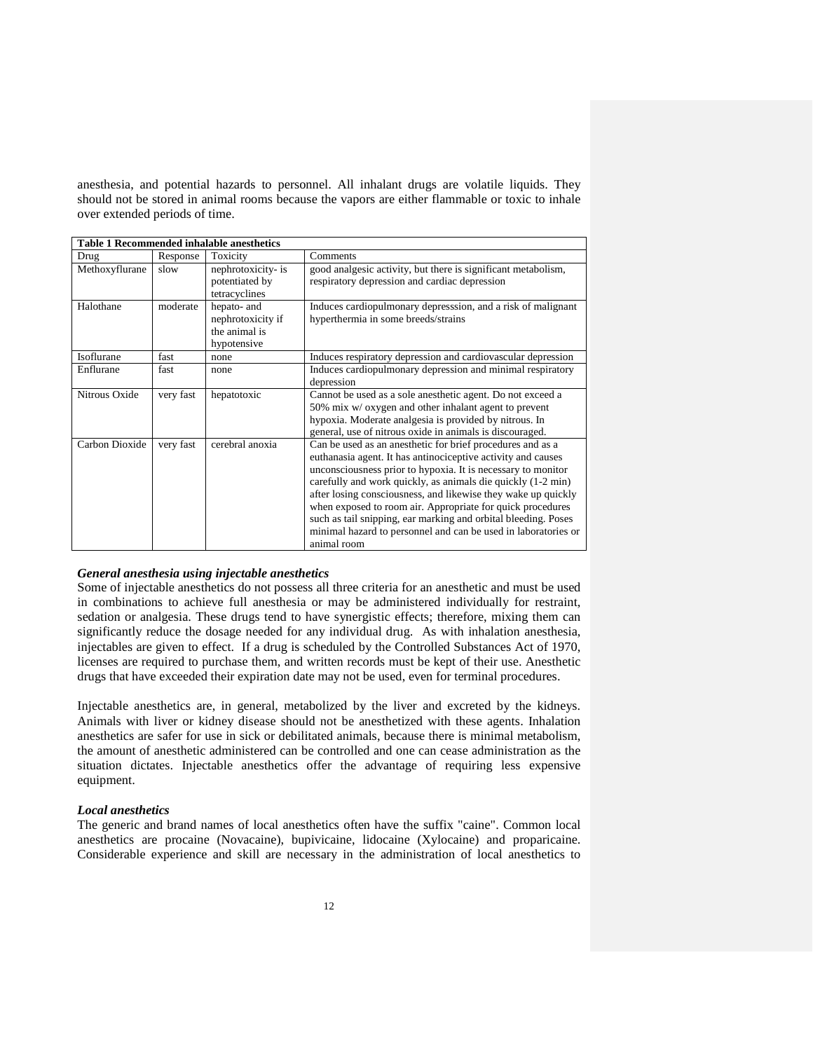anesthesia, and potential hazards to personnel. All inhalant drugs are volatile liquids. They should not be stored in animal rooms because the vapors are either flammable or toxic to inhale over extended periods of time.

|                |           | <b>Table 1 Recommended inhalable anesthetics</b>                 |                                                                                                                                                                                                                                                                                                                                                                                                                                                                                                                                              |
|----------------|-----------|------------------------------------------------------------------|----------------------------------------------------------------------------------------------------------------------------------------------------------------------------------------------------------------------------------------------------------------------------------------------------------------------------------------------------------------------------------------------------------------------------------------------------------------------------------------------------------------------------------------------|
| Drug           | Response  | Toxicity                                                         | Comments                                                                                                                                                                                                                                                                                                                                                                                                                                                                                                                                     |
| Methoxyflurane | slow      | nephrotoxicity- is<br>potentiated by<br>tetracyclines            | good analgesic activity, but there is significant metabolism,<br>respiratory depression and cardiac depression                                                                                                                                                                                                                                                                                                                                                                                                                               |
| Halothane      | moderate  | hepato- and<br>nephrotoxicity if<br>the animal is<br>hypotensive | Induces cardiopulmonary depression, and a risk of malignant<br>hyperthermia in some breeds/strains                                                                                                                                                                                                                                                                                                                                                                                                                                           |
| Isoflurane     | fast      | none                                                             | Induces respiratory depression and cardiovascular depression                                                                                                                                                                                                                                                                                                                                                                                                                                                                                 |
| Enflurane      | fast      | none                                                             | Induces cardiopulmonary depression and minimal respiratory<br>depression                                                                                                                                                                                                                                                                                                                                                                                                                                                                     |
| Nitrous Oxide  | very fast | hepatotoxic                                                      | Cannot be used as a sole anesthetic agent. Do not exceed a<br>50% mix w/ oxygen and other inhalant agent to prevent<br>hypoxia. Moderate analgesia is provided by nitrous. In<br>general, use of nitrous oxide in animals is discouraged.                                                                                                                                                                                                                                                                                                    |
| Carbon Dioxide | very fast | cerebral anoxia                                                  | Can be used as an anesthetic for brief procedures and as a<br>euthanasia agent. It has antinociceptive activity and causes<br>unconsciousness prior to hypoxia. It is necessary to monitor<br>carefully and work quickly, as animals die quickly (1-2 min)<br>after losing consciousness, and likewise they wake up quickly<br>when exposed to room air. Appropriate for quick procedures<br>such as tail snipping, ear marking and orbital bleeding. Poses<br>minimal hazard to personnel and can be used in laboratories or<br>animal room |

### *General anesthesia using injectable anesthetics*

Some of injectable anesthetics do not possess all three criteria for an anesthetic and must be used in combinations to achieve full anesthesia or may be administered individually for restraint, sedation or analgesia. These drugs tend to have synergistic effects; therefore, mixing them can significantly reduce the dosage needed for any individual drug. As with inhalation anesthesia, injectables are given to effect. If a drug is scheduled by the Controlled Substances Act of 1970, licenses are required to purchase them, and written records must be kept of their use. Anesthetic drugs that have exceeded their expiration date may not be used, even for terminal procedures.

Injectable anesthetics are, in general, metabolized by the liver and excreted by the kidneys. Animals with liver or kidney disease should not be anesthetized with these agents. Inhalation anesthetics are safer for use in sick or debilitated animals, because there is minimal metabolism, the amount of anesthetic administered can be controlled and one can cease administration as the situation dictates. Injectable anesthetics offer the advantage of requiring less expensive equipment.

### *Local anesthetics*

The generic and brand names of local anesthetics often have the suffix "caine". Common local anesthetics are procaine (Novacaine), bupivicaine, lidocaine (Xylocaine) and proparicaine. Considerable experience and skill are necessary in the administration of local anesthetics to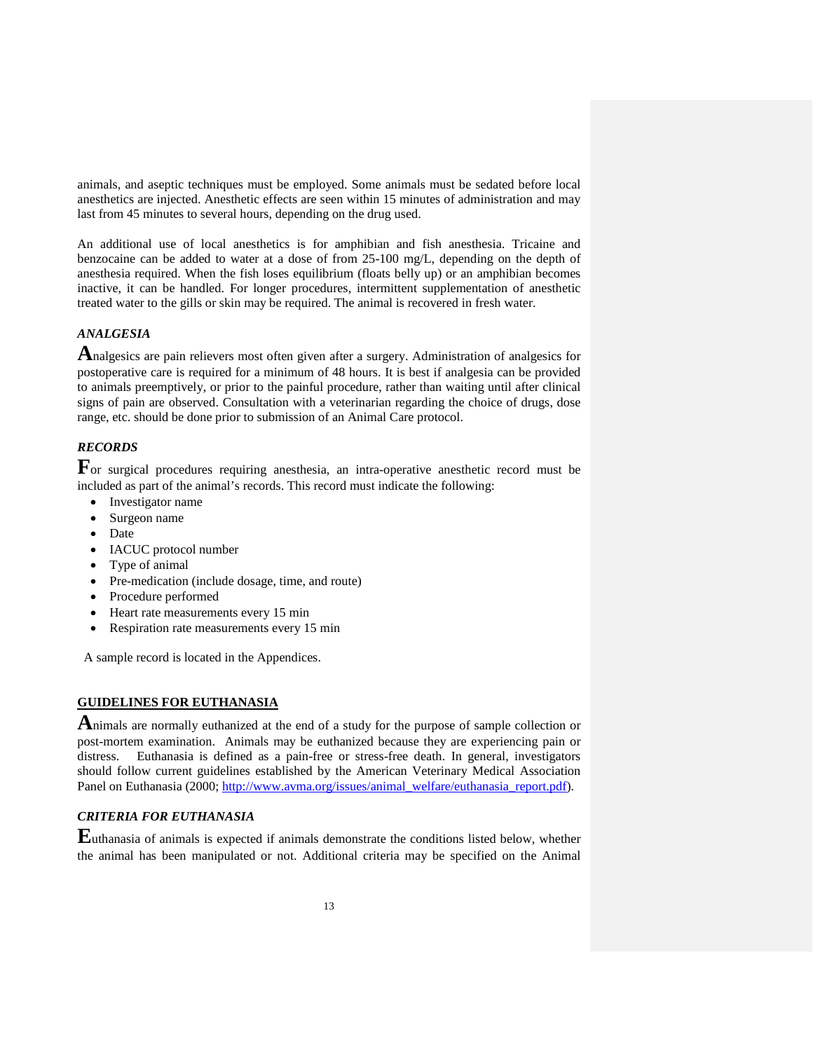animals, and aseptic techniques must be employed. Some animals must be sedated before local anesthetics are injected. Anesthetic effects are seen within 15 minutes of administration and may last from 45 minutes to several hours, depending on the drug used.

An additional use of local anesthetics is for amphibian and fish anesthesia. Tricaine and benzocaine can be added to water at a dose of from 25-100 mg/L, depending on the depth of anesthesia required. When the fish loses equilibrium (floats belly up) or an amphibian becomes inactive, it can be handled. For longer procedures, intermittent supplementation of anesthetic treated water to the gills or skin may be required. The animal is recovered in fresh water.

### *ANALGESIA*

**A**nalgesics are pain relievers most often given after a surgery. Administration of analgesics for postoperative care is required for a minimum of 48 hours. It is best if analgesia can be provided to animals preemptively, or prior to the painful procedure, rather than waiting until after clinical signs of pain are observed. Consultation with a veterinarian regarding the choice of drugs, dose range, etc. should be done prior to submission of an Animal Care protocol.

## *RECORDS*

For surgical procedures requiring anesthesia, an intra-operative anesthetic record must be included as part of the animal's records. This record must indicate the following:

- Investigator name
- Surgeon name
- Date
- IACUC protocol number
- Type of animal
- Pre-medication (include dosage, time, and route)
- Procedure performed
- Heart rate measurements every 15 min
- Respiration rate measurements every 15 min

A sample record is located in the Appendices.

## **GUIDELINES FOR EUTHANASIA**

**A**nimals are normally euthanized at the end of a study for the purpose of sample collection or post-mortem examination. Animals may be euthanized because they are experiencing pain or distress. Euthanasia is defined as a pain-free or stress-free death. In general, investigators should follow current guidelines established by the American Veterinary Medical Association Panel on Euthanasia (2000[; http://www.avma.org/issues/animal\\_welfare/euthanasia\\_report.pdf\)](http://www.avma.org/issues/animal_welfare/euthanasia_report.pdf).

### *CRITERIA FOR EUTHANASIA*

**E**uthanasia of animals is expected if animals demonstrate the conditions listed below, whether the animal has been manipulated or not. Additional criteria may be specified on the Animal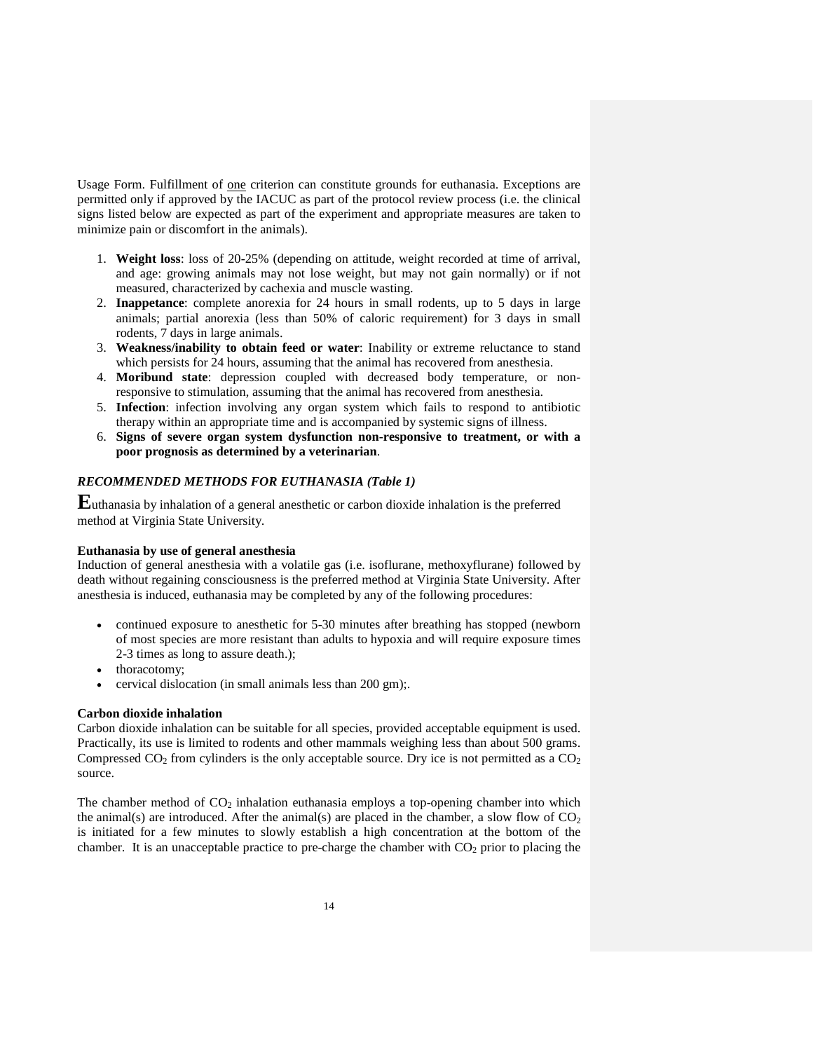Usage Form. Fulfillment of one criterion can constitute grounds for euthanasia. Exceptions are permitted only if approved by the IACUC as part of the protocol review process (i.e. the clinical signs listed below are expected as part of the experiment and appropriate measures are taken to minimize pain or discomfort in the animals).

- 1. **Weight loss**: loss of 20-25% (depending on attitude, weight recorded at time of arrival, and age: growing animals may not lose weight, but may not gain normally) or if not measured, characterized by cachexia and muscle wasting.
- 2. **Inappetance**: complete anorexia for 24 hours in small rodents, up to 5 days in large animals; partial anorexia (less than 50% of caloric requirement) for 3 days in small rodents, 7 days in large animals.
- 3. **Weakness/inability to obtain feed or water**: Inability or extreme reluctance to stand which persists for 24 hours, assuming that the animal has recovered from anesthesia.
- 4. **Moribund state**: depression coupled with decreased body temperature, or nonresponsive to stimulation, assuming that the animal has recovered from anesthesia.
- 5. **Infection**: infection involving any organ system which fails to respond to antibiotic therapy within an appropriate time and is accompanied by systemic signs of illness.
- 6. **Signs of severe organ system dysfunction non-responsive to treatment, or with a poor prognosis as determined by a veterinarian**.

## *RECOMMENDED METHODS FOR EUTHANASIA (Table 1)*

**E**uthanasia by inhalation of a general anesthetic or carbon dioxide inhalation is the preferred method at Virginia State University.

#### **Euthanasia by use of general anesthesia**

Induction of general anesthesia with a volatile gas (i.e. isoflurane, methoxyflurane) followed by death without regaining consciousness is the preferred method at Virginia State University. After anesthesia is induced, euthanasia may be completed by any of the following procedures:

- continued exposure to anesthetic for 5-30 minutes after breathing has stopped (newborn of most species are more resistant than adults to hypoxia and will require exposure times 2-3 times as long to assure death.);
- thoracotomy;
- cervical dislocation (in small animals less than 200 gm);.

### **Carbon dioxide inhalation**

Carbon dioxide inhalation can be suitable for all species, provided acceptable equipment is used. Practically, its use is limited to rodents and other mammals weighing less than about 500 grams. Compressed  $CO_2$  from cylinders is the only acceptable source. Dry ice is not permitted as a  $CO_2$ source.

The chamber method of  $CO<sub>2</sub>$  inhalation euthanasia employs a top-opening chamber into which the animal(s) are introduced. After the animal(s) are placed in the chamber, a slow flow of  $CO<sub>2</sub>$ is initiated for a few minutes to slowly establish a high concentration at the bottom of the chamber. It is an unacceptable practice to pre-charge the chamber with  $CO<sub>2</sub>$  prior to placing the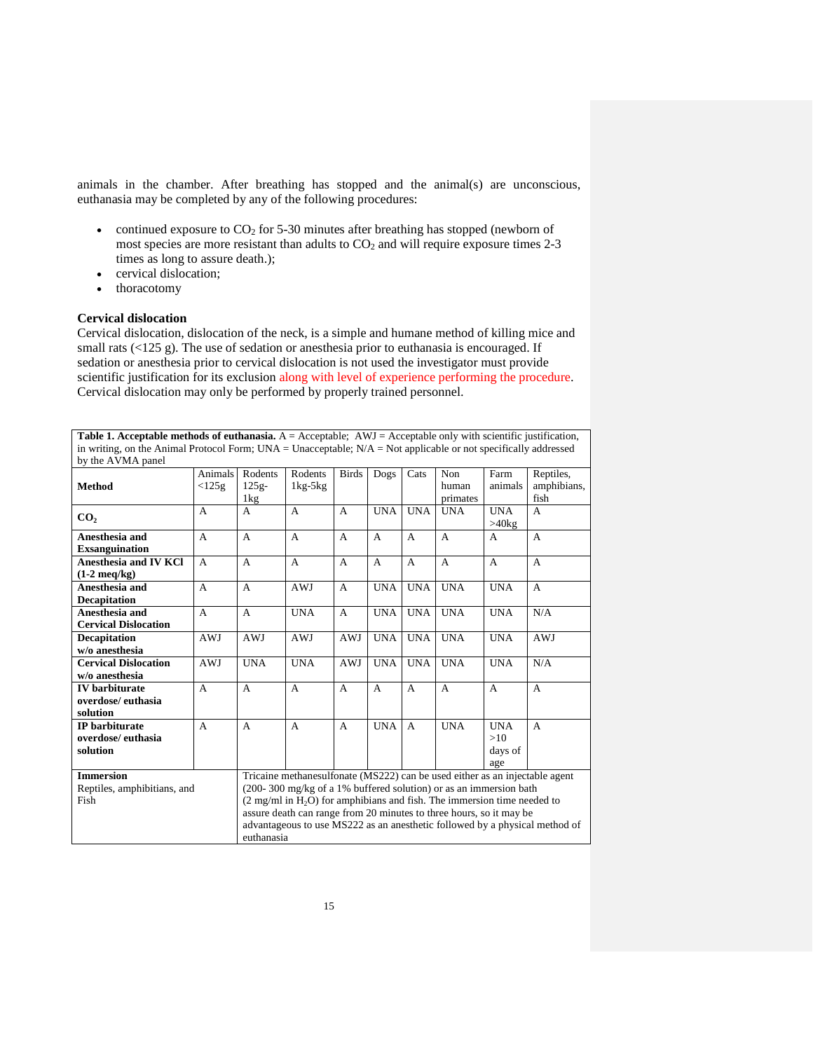animals in the chamber. After breathing has stopped and the animal(s) are unconscious, euthanasia may be completed by any of the following procedures:

- continued exposure to  $CO<sub>2</sub>$  for 5-30 minutes after breathing has stopped (newborn of most species are more resistant than adults to  $CO<sub>2</sub>$  and will require exposure times 2-3 times as long to assure death.);
- cervical dislocation;
- thoracotomy

### **Cervical dislocation**

Cervical dislocation, dislocation of the neck, is a simple and humane method of killing mice and small rats (<125 g). The use of sedation or anesthesia prior to euthanasia is encouraged. If sedation or anesthesia prior to cervical dislocation is not used the investigator must provide scientific justification for its exclusion along with level of experience performing the procedure. Cervical dislocation may only be performed by properly trained personnel.

| in writing, on the Animal Protocol Form; UNA = Unacceptable; $N/A = Not$ applicable or not specifically addressed<br>by the AVMA panel<br>Animals<br>Rodents<br>Rodents<br><b>Birds</b><br>Non<br>Dogs<br>Cats<br><b>Method</b><br>$125g-$<br><125g<br>$1kg-5kg$<br>human<br>primates<br>1kg<br><b>UNA</b><br><b>UNA</b><br>$\mathbf{A}$<br><b>UNA</b><br>A<br>A<br>A<br>CO <sub>2</sub><br>Anesthesia and<br>$\overline{A}$<br>$\mathsf{A}$<br>$\mathsf{A}$<br>A<br>A<br>A<br>$\mathsf{A}$<br><b>Exsanguination</b><br><b>Anesthesia and IV KCl</b><br>$\mathsf{A}$<br>A<br>A<br>$\overline{A}$<br>$\mathsf{A}$<br>$\mathsf{A}$<br>$\mathsf{A}$<br>$(1-2 \text{ meq/kg})$<br>Anesthesia and<br><b>UNA</b><br>$\overline{A}$<br><b>AWJ</b><br><b>UNA</b><br><b>UNA</b><br>$\mathsf{A}$<br>A<br><b>Decapitation</b><br><b>UNA</b><br><b>UNA</b><br>Anesthesia and<br>$\mathbf{A}$<br><b>UNA</b><br><b>UNA</b><br>A<br>A<br><b>Cervical Dislocation</b><br>Decapitation<br>AWJ<br>AWJ<br><b>UNA</b><br><b>UNA</b><br><b>UNA</b><br>AWJ<br>AWJ<br>w/o anesthesia<br><b>AWJ</b><br><b>UNA</b><br><b>UNA</b><br><b>UNA</b><br><b>UNA</b><br><b>UNA</b><br><b>Cervical Dislocation</b><br>AWJ<br>w/o anesthesia<br><b>IV</b> barbiturate<br>$\mathsf{A}$<br>A<br>A<br>A<br>A<br>A<br>A<br>overdose/euthasia<br>solution<br><b>UNA</b><br><b>UNA</b><br><b>IP</b> barbiturate<br>A<br>$\mathsf{A}$<br>$\overline{A}$<br>A<br>A | Farm<br>animals<br>fish                             | Reptiles,   |
|-------------------------------------------------------------------------------------------------------------------------------------------------------------------------------------------------------------------------------------------------------------------------------------------------------------------------------------------------------------------------------------------------------------------------------------------------------------------------------------------------------------------------------------------------------------------------------------------------------------------------------------------------------------------------------------------------------------------------------------------------------------------------------------------------------------------------------------------------------------------------------------------------------------------------------------------------------------------------------------------------------------------------------------------------------------------------------------------------------------------------------------------------------------------------------------------------------------------------------------------------------------------------------------------------------------------------------------------------------------------------------------------------------------------------|-----------------------------------------------------|-------------|
|                                                                                                                                                                                                                                                                                                                                                                                                                                                                                                                                                                                                                                                                                                                                                                                                                                                                                                                                                                                                                                                                                                                                                                                                                                                                                                                                                                                                                         |                                                     | amphibians, |
|                                                                                                                                                                                                                                                                                                                                                                                                                                                                                                                                                                                                                                                                                                                                                                                                                                                                                                                                                                                                                                                                                                                                                                                                                                                                                                                                                                                                                         |                                                     |             |
|                                                                                                                                                                                                                                                                                                                                                                                                                                                                                                                                                                                                                                                                                                                                                                                                                                                                                                                                                                                                                                                                                                                                                                                                                                                                                                                                                                                                                         | <b>UNA</b><br>$\mathbf{A}$<br>$>40$ kg              |             |
|                                                                                                                                                                                                                                                                                                                                                                                                                                                                                                                                                                                                                                                                                                                                                                                                                                                                                                                                                                                                                                                                                                                                                                                                                                                                                                                                                                                                                         | A<br>А                                              |             |
|                                                                                                                                                                                                                                                                                                                                                                                                                                                                                                                                                                                                                                                                                                                                                                                                                                                                                                                                                                                                                                                                                                                                                                                                                                                                                                                                                                                                                         | $\mathsf{A}$<br>A                                   |             |
|                                                                                                                                                                                                                                                                                                                                                                                                                                                                                                                                                                                                                                                                                                                                                                                                                                                                                                                                                                                                                                                                                                                                                                                                                                                                                                                                                                                                                         | <b>UNA</b><br>A                                     |             |
|                                                                                                                                                                                                                                                                                                                                                                                                                                                                                                                                                                                                                                                                                                                                                                                                                                                                                                                                                                                                                                                                                                                                                                                                                                                                                                                                                                                                                         | <b>UNA</b><br>N/A                                   |             |
|                                                                                                                                                                                                                                                                                                                                                                                                                                                                                                                                                                                                                                                                                                                                                                                                                                                                                                                                                                                                                                                                                                                                                                                                                                                                                                                                                                                                                         | <b>UNA</b>                                          | <b>AWJ</b>  |
|                                                                                                                                                                                                                                                                                                                                                                                                                                                                                                                                                                                                                                                                                                                                                                                                                                                                                                                                                                                                                                                                                                                                                                                                                                                                                                                                                                                                                         | <b>UNA</b><br>N/A                                   |             |
|                                                                                                                                                                                                                                                                                                                                                                                                                                                                                                                                                                                                                                                                                                                                                                                                                                                                                                                                                                                                                                                                                                                                                                                                                                                                                                                                                                                                                         | A<br>A                                              |             |
| overdose/euthasia<br>solution                                                                                                                                                                                                                                                                                                                                                                                                                                                                                                                                                                                                                                                                                                                                                                                                                                                                                                                                                                                                                                                                                                                                                                                                                                                                                                                                                                                           | <b>UNA</b><br>$\mathsf{A}$<br>>10<br>days of<br>age |             |
| <b>Immersion</b><br>Tricaine methanesulfonate (MS222) can be used either as an injectable agent<br>$(200-300 \text{ mg/kg of a } 1\%$ buffered solution) or as an immersion bath<br>Reptiles, amphibitians, and<br>Fish<br>$(2 \text{ mg/ml in H2O})$ for amphibians and fish. The immersion time needed to<br>assure death can range from 20 minutes to three hours, so it may be<br>advantageous to use MS222 as an anesthetic followed by a physical method of<br>euthanasia                                                                                                                                                                                                                                                                                                                                                                                                                                                                                                                                                                                                                                                                                                                                                                                                                                                                                                                                         |                                                     |             |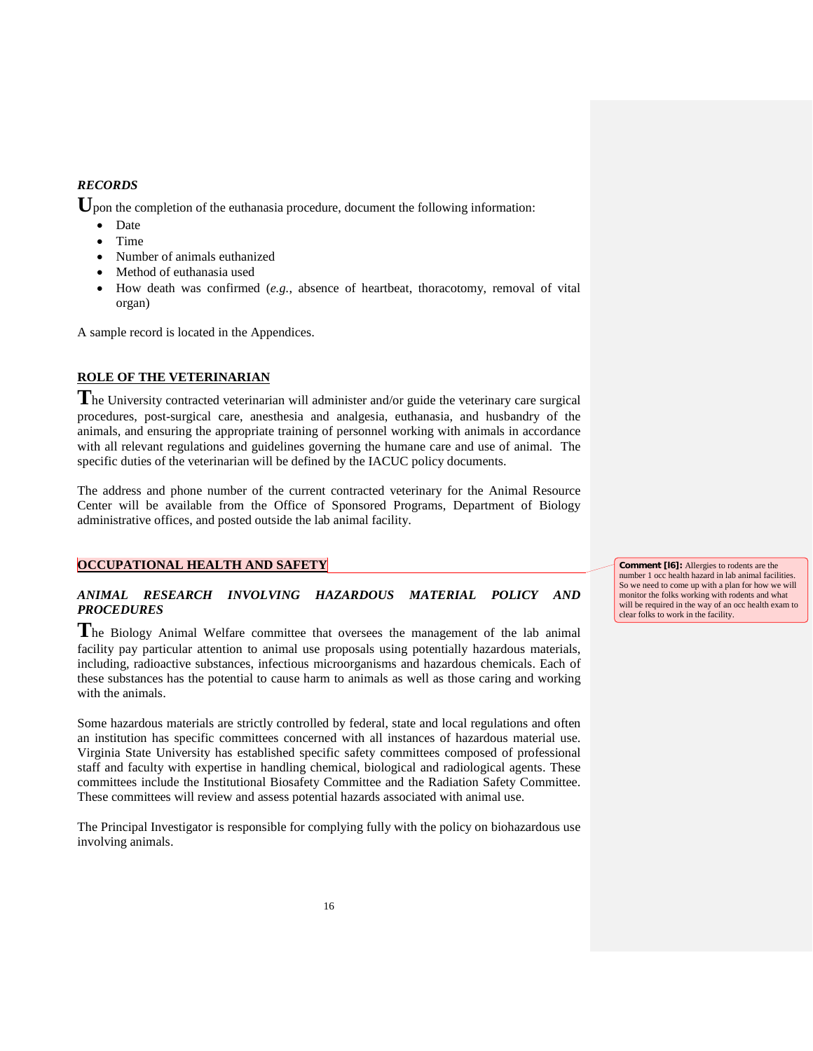### *RECORDS*

Upon the completion of the euthanasia procedure, document the following information:

- Date
- Time
- Number of animals euthanized
- Method of euthanasia used
- How death was confirmed (*e.g.*, absence of heartbeat, thoracotomy, removal of vital organ)

A sample record is located in the Appendices.

### **ROLE OF THE VETERINARIAN**

**T**he University contracted veterinarian will administer and/or guide the veterinary care surgical procedures, post-surgical care, anesthesia and analgesia, euthanasia, and husbandry of the animals, and ensuring the appropriate training of personnel working with animals in accordance with all relevant regulations and guidelines governing the humane care and use of animal. The specific duties of the veterinarian will be defined by the IACUC policy documents.

The address and phone number of the current contracted veterinary for the Animal Resource Center will be available from the Office of Sponsored Programs, Department of Biology administrative offices, and posted outside the lab animal facility.

### **OCCUPATIONAL HEALTH AND SAFETY**

## *ANIMAL RESEARCH INVOLVING HAZARDOUS MATERIAL POLICY AND PROCEDURES*

**T**he Biology Animal Welfare committee that oversees the management of the lab animal facility pay particular attention to animal use proposals using potentially hazardous materials, including, radioactive substances, infectious microorganisms and hazardous chemicals. Each of these substances has the potential to cause harm to animals as well as those caring and working with the animals.

Some hazardous materials are strictly controlled by federal, state and local regulations and often an institution has specific committees concerned with all instances of hazardous material use. Virginia State University has established specific safety committees composed of professional staff and faculty with expertise in handling chemical, biological and radiological agents. These committees include the Institutional Biosafety Committee and the Radiation Safety Committee. These committees will review and assess potential hazards associated with animal use.

The Principal Investigator is responsible for complying fully with the policy on biohazardous use involving animals.

**Comment [l6]:** Allergies to rodents are the number 1 occ health hazard in lab animal facilities. So we need to come up with a plan for how we will monitor the folks working with rodents and what will be required in the way of an occ health exam to clear folks to work in the facility.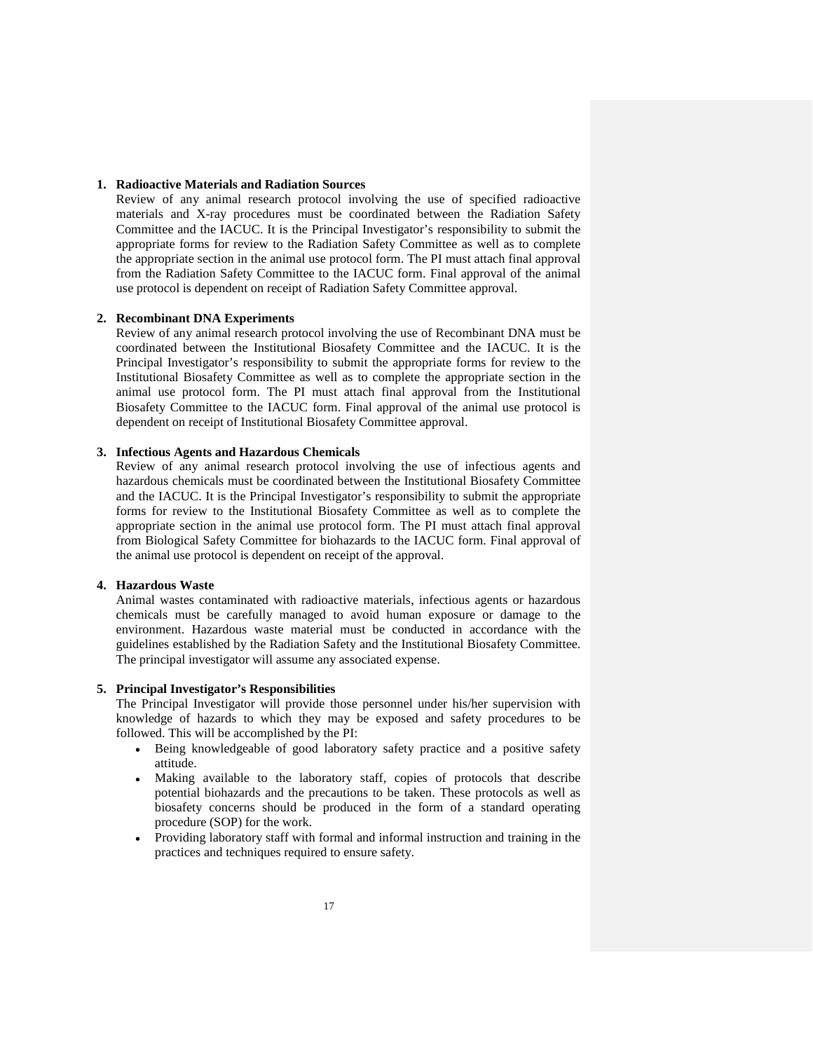#### **1. Radioactive Materials and Radiation Sources**

Review of any animal research protocol involving the use of specified radioactive materials and X-ray procedures must be coordinated between the Radiation Safety Committee and the IACUC. It is the Principal Investigator's responsibility to submit the appropriate forms for review to the Radiation Safety Committee as well as to complete the appropriate section in the animal use protocol form. The PI must attach final approval from the Radiation Safety Committee to the IACUC form. Final approval of the animal use protocol is dependent on receipt of Radiation Safety Committee approval.

#### **2. Recombinant DNA Experiments**

Review of any animal research protocol involving the use of Recombinant DNA must be coordinated between the Institutional Biosafety Committee and the IACUC. It is the Principal Investigator's responsibility to submit the appropriate forms for review to the Institutional Biosafety Committee as well as to complete the appropriate section in the animal use protocol form. The PI must attach final approval from the Institutional Biosafety Committee to the IACUC form. Final approval of the animal use protocol is dependent on receipt of Institutional Biosafety Committee approval.

### **3. Infectious Agents and Hazardous Chemicals**

Review of any animal research protocol involving the use of infectious agents and hazardous chemicals must be coordinated between the Institutional Biosafety Committee and the IACUC. It is the Principal Investigator's responsibility to submit the appropriate forms for review to the Institutional Biosafety Committee as well as to complete the appropriate section in the animal use protocol form. The PI must attach final approval from Biological Safety Committee for biohazards to the IACUC form. Final approval of the animal use protocol is dependent on receipt of the approval.

#### **4. Hazardous Waste**

Animal wastes contaminated with radioactive materials, infectious agents or hazardous chemicals must be carefully managed to avoid human exposure or damage to the environment. Hazardous waste material must be conducted in accordance with the guidelines established by the Radiation Safety and the Institutional Biosafety Committee. The principal investigator will assume any associated expense.

#### **5. Principal Investigator's Responsibilities**

The Principal Investigator will provide those personnel under his/her supervision with knowledge of hazards to which they may be exposed and safety procedures to be followed. This will be accomplished by the PI:

- Being knowledgeable of good laboratory safety practice and a positive safety attitude.
- Making available to the laboratory staff, copies of protocols that describe potential biohazards and the precautions to be taken. These protocols as well as biosafety concerns should be produced in the form of a standard operating procedure (SOP) for the work.
- Providing laboratory staff with formal and informal instruction and training in the practices and techniques required to ensure safety.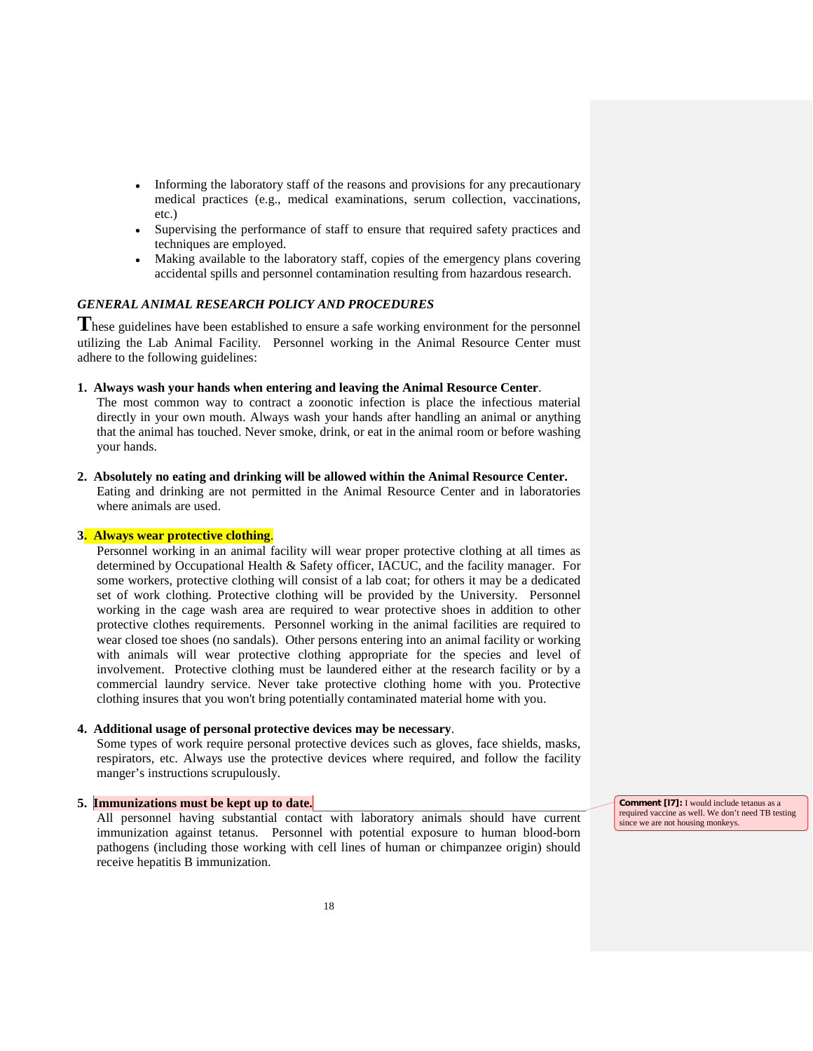- Informing the laboratory staff of the reasons and provisions for any precautionary medical practices (e.g., medical examinations, serum collection, vaccinations, etc.)
- Supervising the performance of staff to ensure that required safety practices and techniques are employed.
- Making available to the laboratory staff, copies of the emergency plans covering accidental spills and personnel contamination resulting from hazardous research.

### *GENERAL ANIMAL RESEARCH POLICY AND PROCEDURES*

**T**hese guidelines have been established to ensure a safe working environment for the personnel utilizing the Lab Animal Facility. Personnel working in the Animal Resource Center must adhere to the following guidelines:

### **1. Always wash your hands when entering and leaving the Animal Resource Center**.

The most common way to contract a zoonotic infection is place the infectious material directly in your own mouth. Always wash your hands after handling an animal or anything that the animal has touched. Never smoke, drink, or eat in the animal room or before washing your hands.

### **2. Absolutely no eating and drinking will be allowed within the Animal Resource Center.**

Eating and drinking are not permitted in the Animal Resource Center and in laboratories where animals are used.

#### **3. Always wear protective clothing**.

Personnel working in an animal facility will wear proper protective clothing at all times as determined by Occupational Health & Safety officer, IACUC, and the facility manager. For some workers, protective clothing will consist of a lab coat; for others it may be a dedicated set of work clothing. Protective clothing will be provided by the University. Personnel working in the cage wash area are required to wear protective shoes in addition to other protective clothes requirements. Personnel working in the animal facilities are required to wear closed toe shoes (no sandals). Other persons entering into an animal facility or working with animals will wear protective clothing appropriate for the species and level of involvement. Protective clothing must be laundered either at the research facility or by a commercial laundry service. Never take protective clothing home with you. Protective clothing insures that you won't bring potentially contaminated material home with you.

#### **4. Additional usage of personal protective devices may be necessary**.

Some types of work require personal protective devices such as gloves, face shields, masks, respirators, etc. Always use the protective devices where required, and follow the facility manger's instructions scrupulously.

### **5. Immunizations must be kept up to date.**

All personnel having substantial contact with laboratory animals should have current immunization against tetanus. Personnel with potential exposure to human blood-born pathogens (including those working with cell lines of human or chimpanzee origin) should receive hepatitis B immunization.

**Comment [l7]:** I would include tetanus as a required vaccine as well. We don't need TB testing since we are not housing monkeys.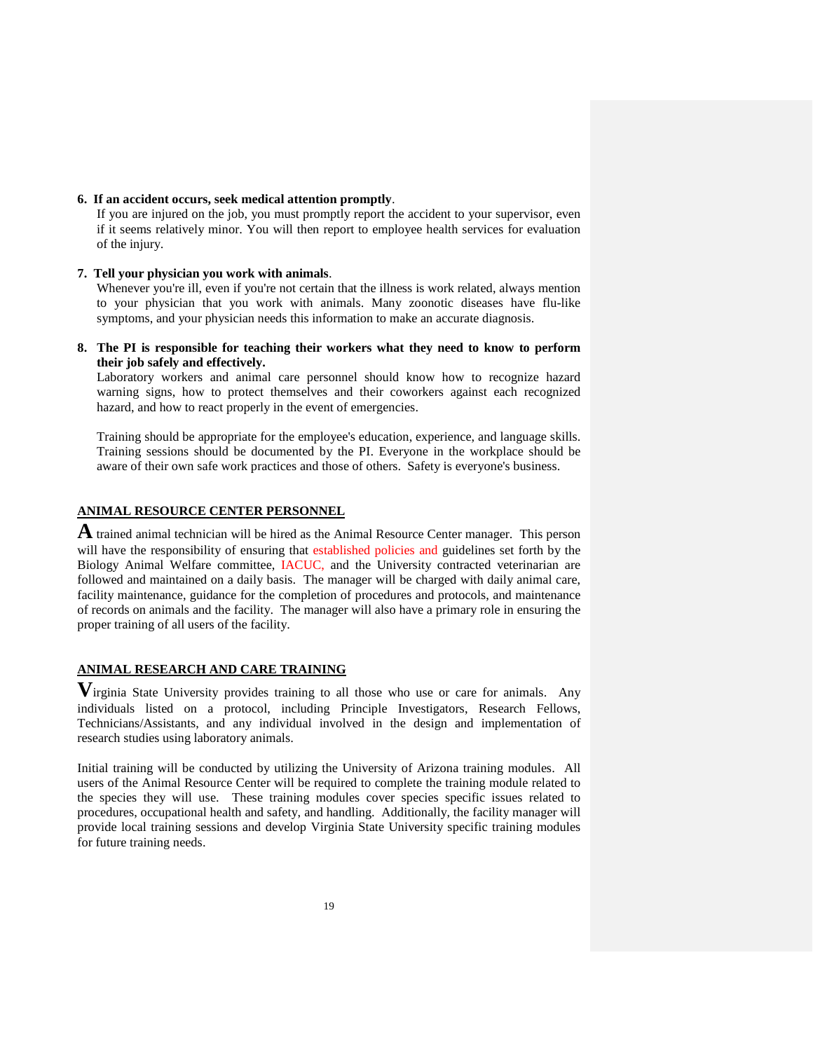#### **6. If an accident occurs, seek medical attention promptly**.

If you are injured on the job, you must promptly report the accident to your supervisor, even if it seems relatively minor. You will then report to employee health services for evaluation of the injury.

### **7. Tell your physician you work with animals**.

Whenever you're ill, even if you're not certain that the illness is work related, always mention to your physician that you work with animals. Many zoonotic diseases have flu-like symptoms, and your physician needs this information to make an accurate diagnosis.

### **8. The PI is responsible for teaching their workers what they need to know to perform their job safely and effectively.**

Laboratory workers and animal care personnel should know how to recognize hazard warning signs, how to protect themselves and their coworkers against each recognized hazard, and how to react properly in the event of emergencies.

Training should be appropriate for the employee's education, experience, and language skills. Training sessions should be documented by the PI. Everyone in the workplace should be aware of their own safe work practices and those of others. Safety is everyone's business.

### **ANIMAL RESOURCE CENTER PERSONNEL**

**A** trained animal technician will be hired as the Animal Resource Center manager. This person will have the responsibility of ensuring that established policies and guidelines set forth by the Biology Animal Welfare committee, IACUC, and the University contracted veterinarian are followed and maintained on a daily basis. The manager will be charged with daily animal care, facility maintenance, guidance for the completion of procedures and protocols, and maintenance of records on animals and the facility. The manager will also have a primary role in ensuring the proper training of all users of the facility.

## **ANIMAL RESEARCH AND CARE TRAINING**

**V**irginia State University provides training to all those who use or care for animals. Any individuals listed on a protocol, including Principle Investigators, Research Fellows, Technicians/Assistants, and any individual involved in the design and implementation of research studies using laboratory animals.

Initial training will be conducted by utilizing the University of Arizona training modules. All users of the Animal Resource Center will be required to complete the training module related to the species they will use. These training modules cover species specific issues related to procedures, occupational health and safety, and handling. Additionally, the facility manager will provide local training sessions and develop Virginia State University specific training modules for future training needs.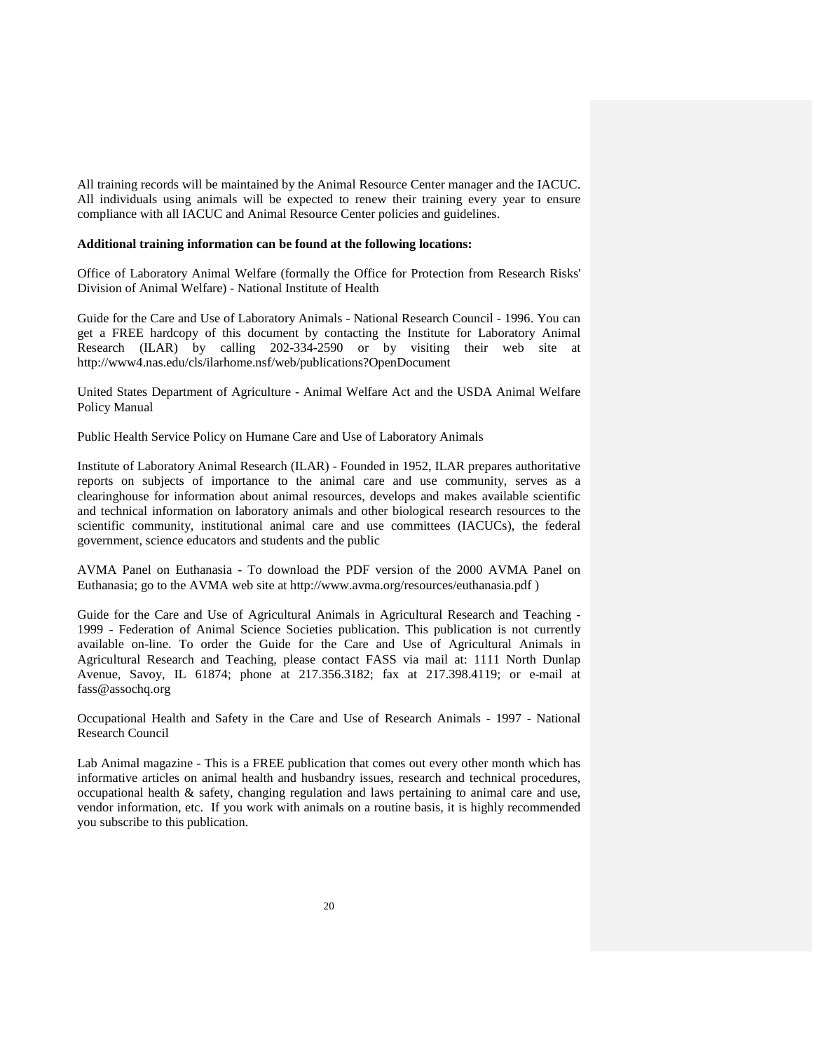All training records will be maintained by the Animal Resource Center manager and the IACUC. All individuals using animals will be expected to renew their training every year to ensure compliance with all IACUC and Animal Resource Center policies and guidelines.

#### **Additional training information can be found at the following locations:**

Office of Laboratory Animal Welfare (formally the Office for Protection from Research Risks' Division of Animal Welfare) - National Institute of Health

Guide for the Care and Use of Laboratory Animals - National Research Council - 1996. You can get a FREE hardcopy of this document by contacting the Institute for Laboratory Animal Research (ILAR) by calling 202-334-2590 or by visiting their web site at http://www4.nas.edu/cls/ilarhome.nsf/web/publications?OpenDocument

United States Department of Agriculture - Animal Welfare Act and the USDA Animal Welfare Policy Manual

Public Health Service Policy on Humane Care and Use of Laboratory Animals

Institute of Laboratory Animal Research (ILAR) - Founded in 1952, ILAR prepares authoritative reports on subjects of importance to the animal care and use community, serves as a clearinghouse for information about animal resources, develops and makes available scientific and technical information on laboratory animals and other biological research resources to the scientific community, institutional animal care and use committees (IACUCs), the federal government, science educators and students and the public

AVMA Panel on Euthanasia - To download the PDF version of the 2000 AVMA Panel on Euthanasia; go to the AVMA web site at http://www.avma.org/resources/euthanasia.pdf )

Guide for the Care and Use of Agricultural Animals in Agricultural Research and Teaching - 1999 - Federation of Animal Science Societies publication. This publication is not currently available on-line. To order the Guide for the Care and Use of Agricultural Animals in Agricultural Research and Teaching, please contact FASS via mail at: 1111 North Dunlap Avenue, Savoy, IL 61874; phone at 217.356.3182; fax at 217.398.4119; or e-mail at fass@assochq.org

Occupational Health and Safety in the Care and Use of Research Animals - 1997 - National Research Council

Lab Animal magazine - This is a FREE publication that comes out every other month which has informative articles on animal health and husbandry issues, research and technical procedures, occupational health & safety, changing regulation and laws pertaining to animal care and use, vendor information, etc. If you work with animals on a routine basis, it is highly recommended you subscribe to this publication.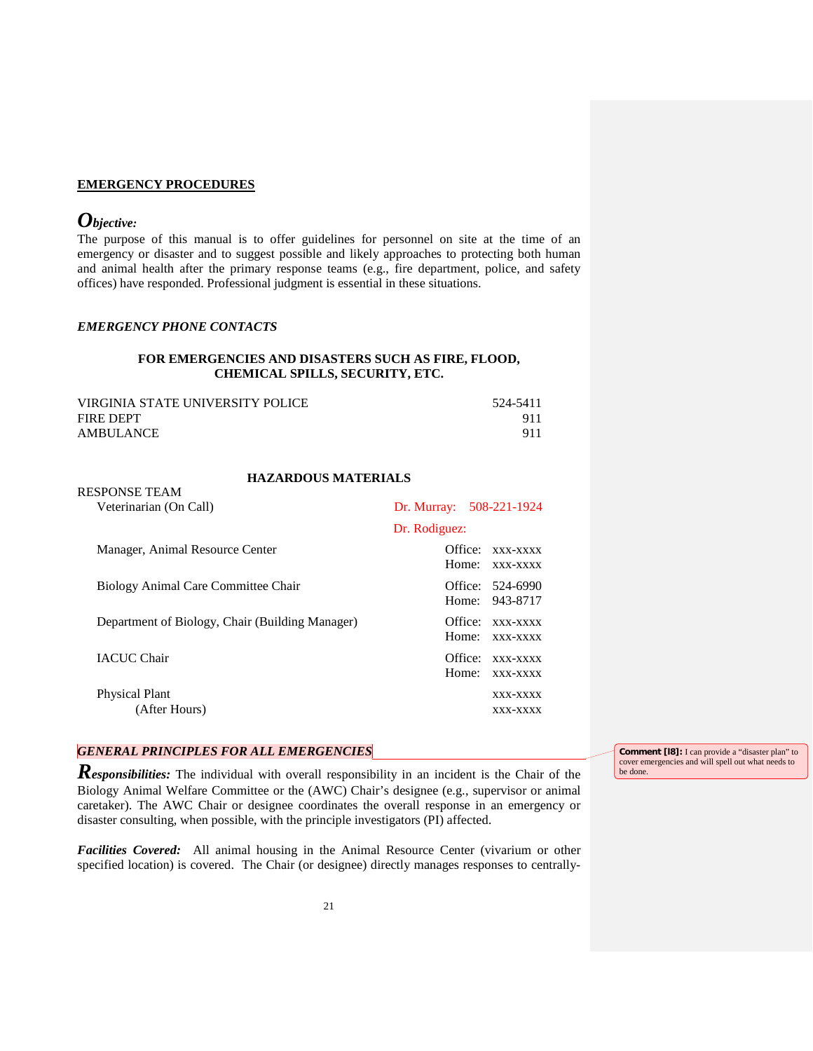### **EMERGENCY PROCEDURES**

## *Objective:*

RESPONSE TEAM

The purpose of this manual is to offer guidelines for personnel on site at the time of an emergency or disaster and to suggest possible and likely approaches to protecting both human and animal health after the primary response teams (e.g., fire department, police, and safety offices) have responded. Professional judgment is essential in these situations.

#### *EMERGENCY PHONE CONTACTS*

### **FOR EMERGENCIES AND DISASTERS SUCH AS FIRE, FLOOD, CHEMICAL SPILLS, SECURITY, ETC.**

| VIRGINIA STATE UNIVERSITY POLICE | 524-5411 |
|----------------------------------|----------|
| FIRE DEPT                        |          |
| <b>AMBULANCE</b>                 | 911      |

#### **HAZARDOUS MATERIALS**

| Veterinarian (On Call)                          | Dr. Murray: 508-221-1924                 |
|-------------------------------------------------|------------------------------------------|
|                                                 | Dr. Rodiguez:                            |
| Manager, Animal Resource Center                 | Office:<br>xxx-xxxx<br>Home:<br>xxx-xxxx |
| Biology Animal Care Committee Chair             | Office: 524-6990<br>Home: 943-8717       |
| Department of Biology, Chair (Building Manager) | Office: XXX-XXXX<br>Home:<br>XXX-XXXX    |
| <b>IACUC Chair</b>                              | Office:<br>XXX-XXXX<br>Home:<br>XXX-XXXX |
| <b>Physical Plant</b><br>(After Hours)          | XXX-XXXX<br>XXX-XXXX                     |

## *GENERAL PRINCIPLES FOR ALL EMERGENCIES*

*Responsibilities:* The individual with overall responsibility in an incident is the Chair of the Biology Animal Welfare Committee or the (AWC) Chair's designee (e.g., supervisor or animal caretaker). The AWC Chair or designee coordinates the overall response in an emergency or disaster consulting, when possible, with the principle investigators (PI) affected.

*Facilities Covered:* All animal housing in the Animal Resource Center (vivarium or other specified location) is covered. The Chair (or designee) directly manages responses to centrally-

**Comment [18]:** I can provide a "disaster plan" to cover emergencies and will spell out what needs to be done.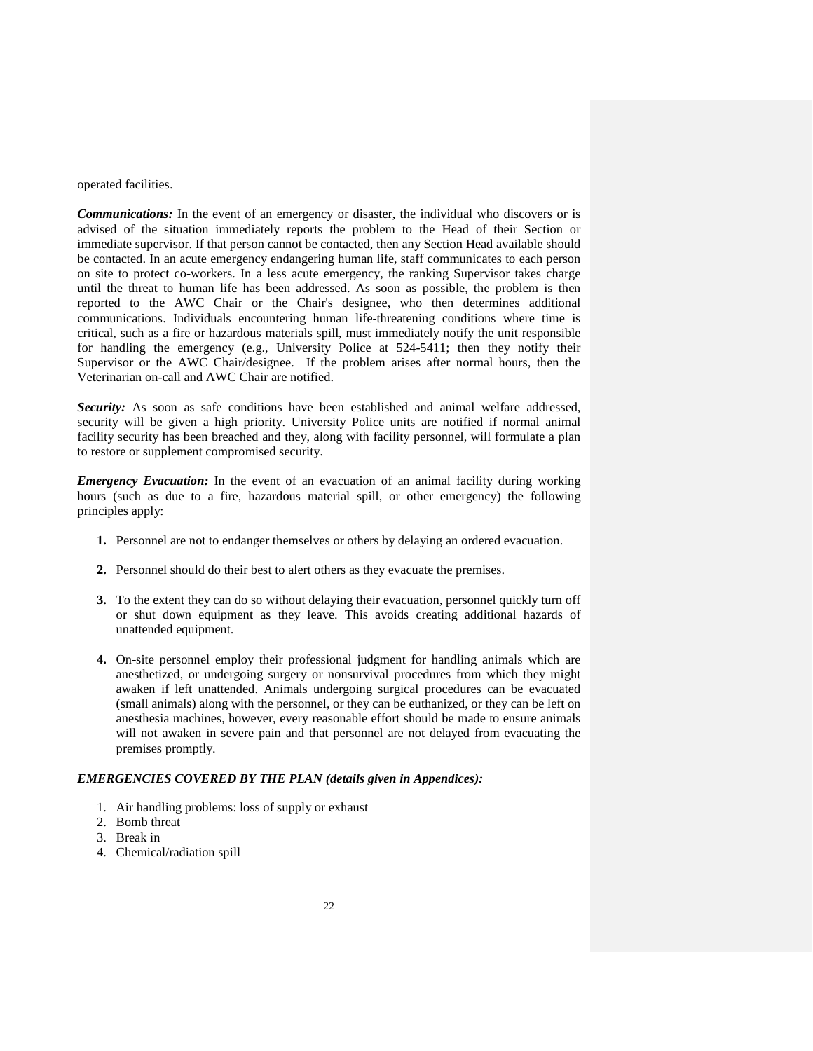operated facilities.

*Communications:* In the event of an emergency or disaster, the individual who discovers or is advised of the situation immediately reports the problem to the Head of their Section or immediate supervisor. If that person cannot be contacted, then any Section Head available should be contacted. In an acute emergency endangering human life, staff communicates to each person on site to protect co-workers. In a less acute emergency, the ranking Supervisor takes charge until the threat to human life has been addressed. As soon as possible, the problem is then reported to the AWC Chair or the Chair's designee, who then determines additional communications. Individuals encountering human life-threatening conditions where time is critical, such as a fire or hazardous materials spill, must immediately notify the unit responsible for handling the emergency (e.g., University Police at 524-5411; then they notify their Supervisor or the AWC Chair/designee. If the problem arises after normal hours, then the Veterinarian on-call and AWC Chair are notified.

*Security:* As soon as safe conditions have been established and animal welfare addressed, security will be given a high priority. University Police units are notified if normal animal facility security has been breached and they, along with facility personnel, will formulate a plan to restore or supplement compromised security.

*Emergency Evacuation:* In the event of an evacuation of an animal facility during working hours (such as due to a fire, hazardous material spill, or other emergency) the following principles apply:

- **1.** Personnel are not to endanger themselves or others by delaying an ordered evacuation.
- **2.** Personnel should do their best to alert others as they evacuate the premises.
- **3.** To the extent they can do so without delaying their evacuation, personnel quickly turn off or shut down equipment as they leave. This avoids creating additional hazards of unattended equipment.
- **4.** On-site personnel employ their professional judgment for handling animals which are anesthetized, or undergoing surgery or nonsurvival procedures from which they might awaken if left unattended. Animals undergoing surgical procedures can be evacuated (small animals) along with the personnel, or they can be euthanized, or they can be left on anesthesia machines, however, every reasonable effort should be made to ensure animals will not awaken in severe pain and that personnel are not delayed from evacuating the premises promptly.

#### *EMERGENCIES COVERED BY THE PLAN (details given in Appendices):*

- 1. Air handling problems: loss of supply or exhaust
- 2. Bomb threat
- 3. Break in
- 4. Chemical/radiation spill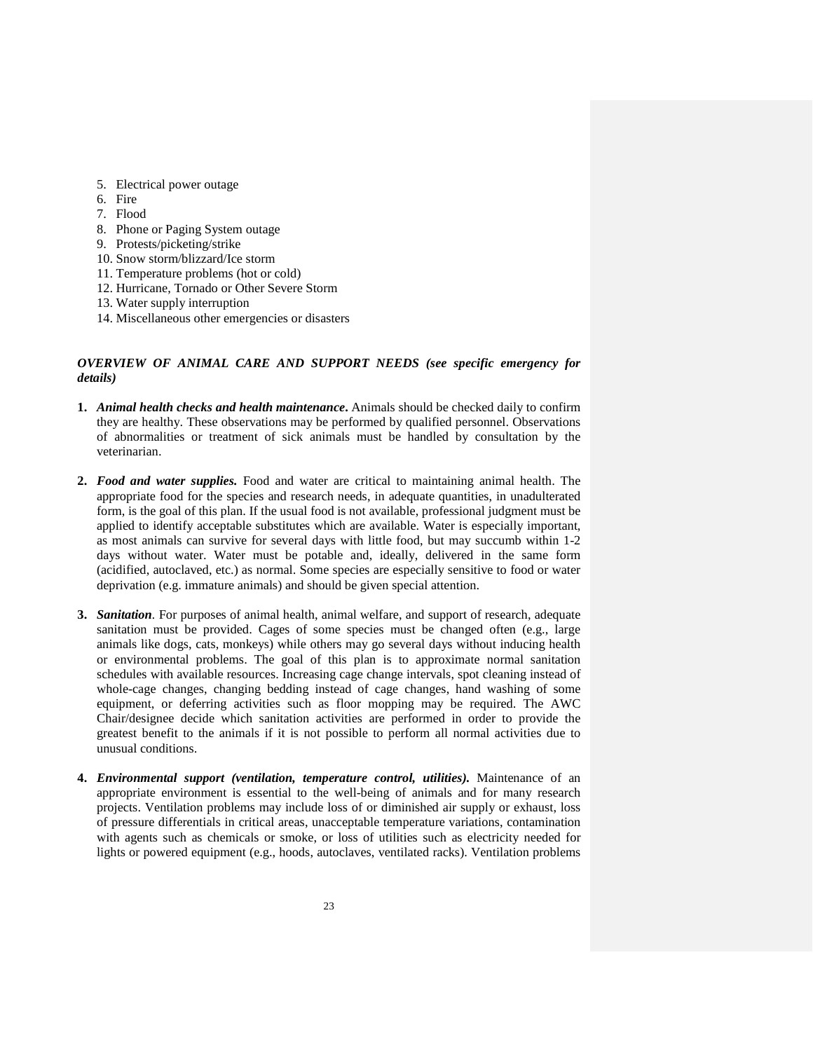- 5. Electrical power outage
- 6. Fire
- 7. Flood
- 8. Phone or Paging System outage
- 9. Protests/picketing/strike
- 10. Snow storm/blizzard/Ice storm
- 11. Temperature problems (hot or cold)
- 12. Hurricane, Tornado or Other Severe Storm
- 13. Water supply interruption
- 14. Miscellaneous other emergencies or disasters

### *OVERVIEW OF ANIMAL CARE AND SUPPORT NEEDS (see specific emergency for details)*

- **1.** *Animal health checks and health maintenance***.** Animals should be checked daily to confirm they are healthy. These observations may be performed by qualified personnel. Observations of abnormalities or treatment of sick animals must be handled by consultation by the veterinarian.
- **2.** *Food and water supplies.* Food and water are critical to maintaining animal health. The appropriate food for the species and research needs, in adequate quantities, in unadulterated form, is the goal of this plan. If the usual food is not available, professional judgment must be applied to identify acceptable substitutes which are available. Water is especially important, as most animals can survive for several days with little food, but may succumb within 1-2 days without water. Water must be potable and, ideally, delivered in the same form (acidified, autoclaved, etc.) as normal. Some species are especially sensitive to food or water deprivation (e.g. immature animals) and should be given special attention.
- **3.** *Sanitation.* For purposes of animal health, animal welfare, and support of research, adequate sanitation must be provided. Cages of some species must be changed often (e.g., large animals like dogs, cats, monkeys) while others may go several days without inducing health or environmental problems. The goal of this plan is to approximate normal sanitation schedules with available resources. Increasing cage change intervals, spot cleaning instead of whole-cage changes, changing bedding instead of cage changes, hand washing of some equipment, or deferring activities such as floor mopping may be required. The AWC Chair/designee decide which sanitation activities are performed in order to provide the greatest benefit to the animals if it is not possible to perform all normal activities due to unusual conditions.
- **4.** *Environmental support (ventilation, temperature control, utilities).* Maintenance of an appropriate environment is essential to the well-being of animals and for many research projects. Ventilation problems may include loss of or diminished air supply or exhaust, loss of pressure differentials in critical areas, unacceptable temperature variations, contamination with agents such as chemicals or smoke, or loss of utilities such as electricity needed for lights or powered equipment (e.g., hoods, autoclaves, ventilated racks). Ventilation problems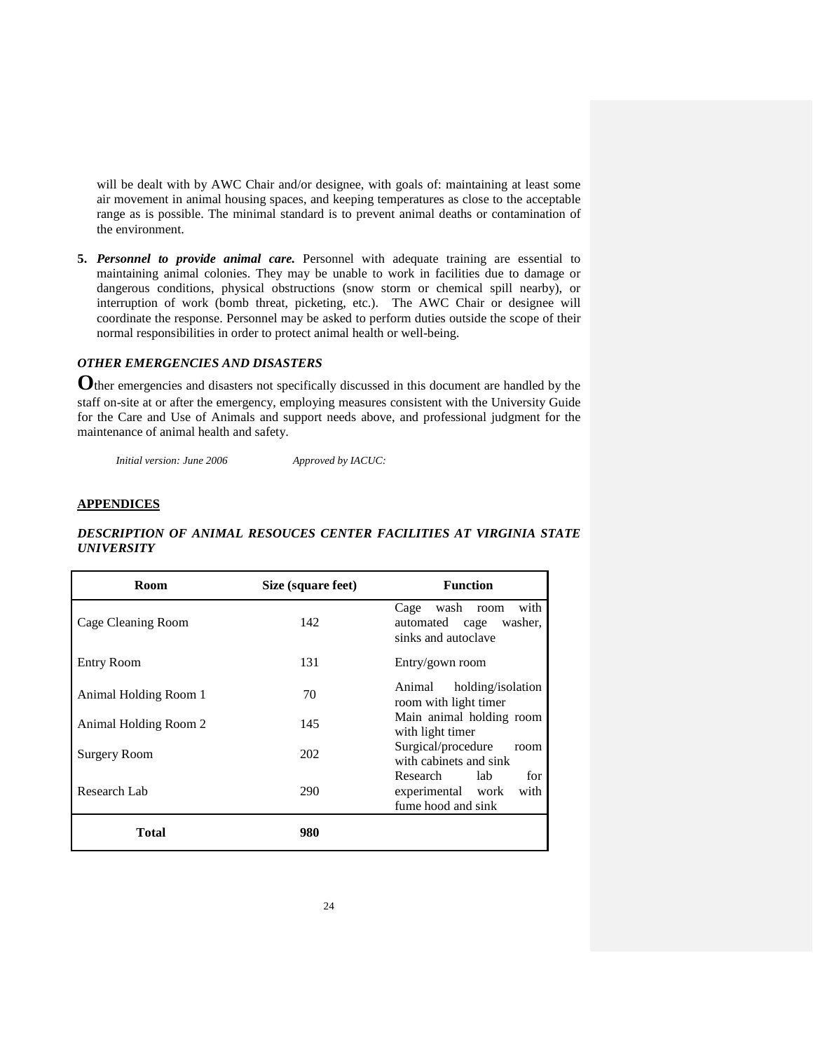will be dealt with by AWC Chair and/or designee, with goals of: maintaining at least some air movement in animal housing spaces, and keeping temperatures as close to the acceptable range as is possible. The minimal standard is to prevent animal deaths or contamination of the environment.

**5.** *Personnel to provide animal care.* Personnel with adequate training are essential to maintaining animal colonies. They may be unable to work in facilities due to damage or dangerous conditions, physical obstructions (snow storm or chemical spill nearby), or interruption of work (bomb threat, picketing, etc.). The AWC Chair or designee will coordinate the response. Personnel may be asked to perform duties outside the scope of their normal responsibilities in order to protect animal health or well-being.

### *OTHER EMERGENCIES AND DISASTERS*

**O**ther emergencies and disasters not specifically discussed in this document are handled by the staff on-site at or after the emergency, employing measures consistent with the University Guide for the Care and Use of Animals and support needs above, and professional judgment for the maintenance of animal health and safety.

*Initial version: June 2006 Approved by IACUC:* 

### **APPENDICES**

### *DESCRIPTION OF ANIMAL RESOUCES CENTER FACILITIES AT VIRGINIA STATE UNIVERSITY*

| <b>Room</b>           | Size (square feet) | <b>Function</b>                                                               |
|-----------------------|--------------------|-------------------------------------------------------------------------------|
| Cage Cleaning Room    | 142                | with<br>Cage<br>wash room<br>automated cage<br>washer.<br>sinks and autoclave |
| <b>Entry Room</b>     | 131                | Entry/gown room                                                               |
| Animal Holding Room 1 | 70                 | Animal<br>holding/isolation<br>room with light timer                          |
| Animal Holding Room 2 | 145                | Main animal holding room<br>with light timer                                  |
| <b>Surgery Room</b>   | 202                | Surgical/procedure<br>room<br>with cabinets and sink                          |
| Research Lab          | 290                | for<br>Research<br>lab<br>with<br>experimental work<br>fume hood and sink     |
| <b>Total</b>          | 980                |                                                                               |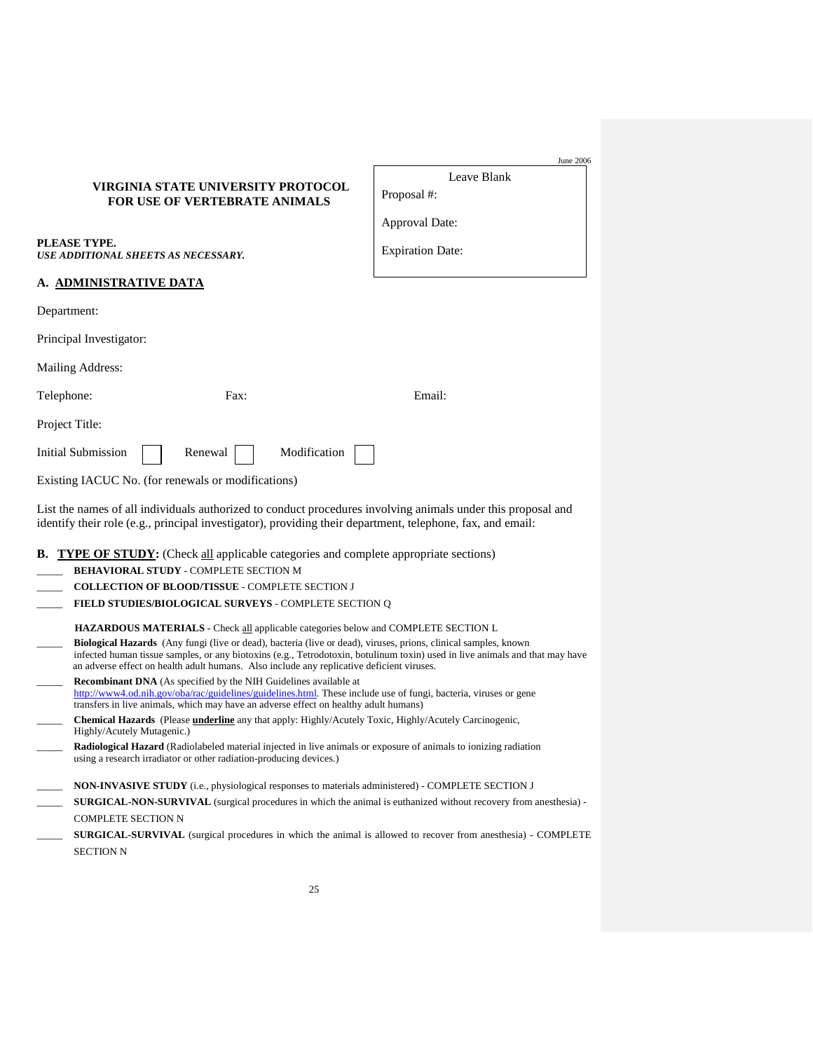| VIRGINIA STATE UNIVERSITY PROTOCOL   |
|--------------------------------------|
| <b>FOR USE OF VERTEBRATE ANIMALS</b> |

| PLEASE TYPE.                                      |
|---------------------------------------------------|
| <i><b>USE ADDITIONAL SHEETS AS NECESSARY.</b></i> |

|             | Leave Blank |
|-------------|-------------|
| Proposal #: |             |

June 2006

Approval Date:

Expiration Date:

#### **A. ADMINISTRATIVE DATA**

| Department: |
|-------------|
|-------------|

Principal Investigator:

Mailing Address:

| Telephone: | Fax: | Email: |
|------------|------|--------|
|------------|------|--------|

Project Title:

Initial Submission Renewal Modification

Existing IACUC No. (for renewals or modifications)

List the names of all individuals authorized to conduct procedures involving animals under this proposal and identify their role (e.g., principal investigator), providing their department, telephone, fax, and email:

#### **B.** TYPE OF STUDY: (Check all applicable categories and complete appropriate sections)

| <b>BEHAVIORAL STUDY - COMPLETE SECTION M</b> |
|----------------------------------------------|
|                                              |

- \_\_\_\_\_ **COLLECTION OF BLOOD/TISSUE** COMPLETE SECTION J
- FIELD STUDIES/BIOLOGICAL SURVEYS COMPLETE SECTION Q

 **HAZARDOUS MATERIALS** - Check all applicable categories below and COMPLETE SECTION L

- \_\_\_\_\_ **Biological Hazards** (Any fungi (live or dead), bacteria (live or dead), viruses, prions, clinical samples, known infected human tissue samples, or any biotoxins (e.g., Tetrodotoxin, botulinum toxin) used in live animals and that may have an adverse effect on health adult humans. Also include any replicative deficient viruses. \_\_\_\_\_ **Recombinant DNA** (As specified by the NIH Guidelines available at
- [http://www4.od.nih.gov/oba/rac/guidelines/guidelines.html.](http://www4.od.nih.gov/oba/rac/guidelines/guidelines.html) These include use of fungi, bacteria, viruses or gene transfers in live animals, which may have an adverse effect on healthy adult humans)
- \_\_\_\_\_ **Chemical Hazards** (Please **underline** any that apply: Highly/Acutely Toxic, Highly/Acutely Carcinogenic, Highly/Acutely Mutagenic.)
- \_\_\_\_\_ **Radiological Hazard** (Radiolabeled material injected in live animals or exposure of animals to ionizing radiation using a research irradiator or other radiation-producing devices.)
- \_\_\_\_\_ **NON-INVASIVE STUDY** (i.e., physiological responses to materials administered) COMPLETE SECTION J
- **SURGICAL-NON-SURVIVAL** (surgical procedures in which the animal is euthanized without recovery from anesthesia) -COMPLETE SECTION N
- **SURGICAL-SURVIVAL** (surgical procedures in which the animal is allowed to recover from anesthesia) COMPLETE SECTION N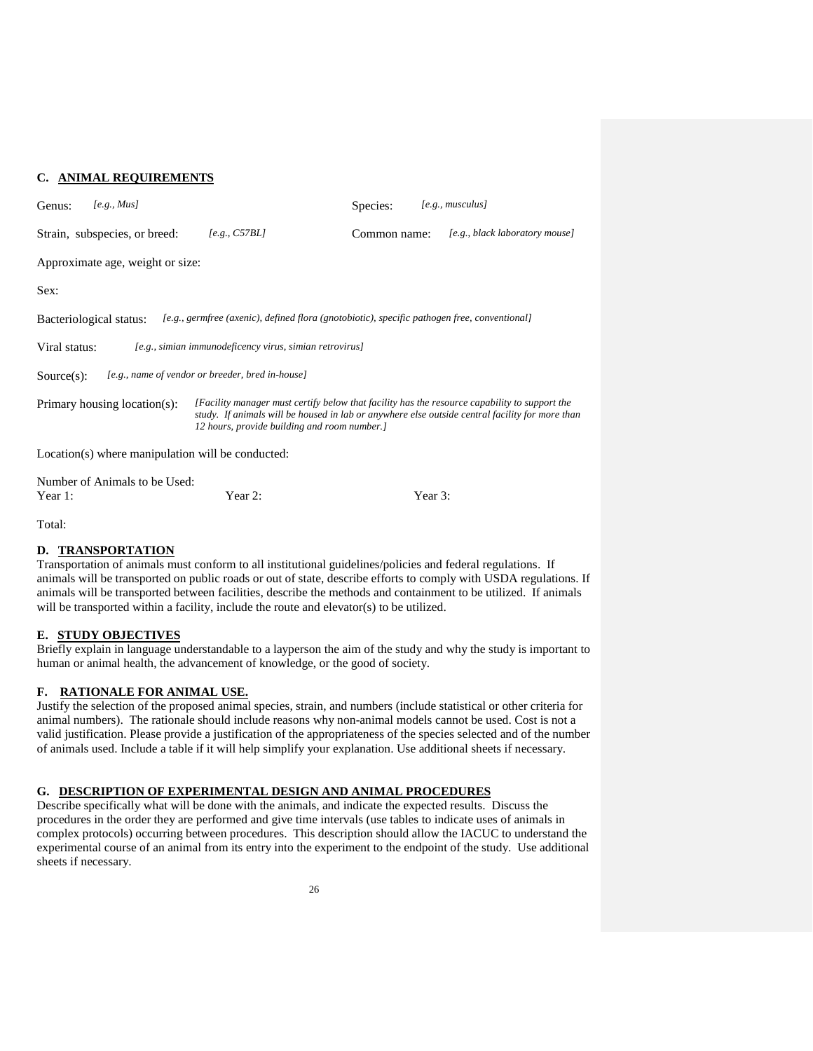### **C. ANIMAL REQUIREMENTS**

| [e.g., Mus]<br>Genus:                             |                                                                                                                                                                                                                                                  | Species:     | $[e.g.,$ musculus]             |
|---------------------------------------------------|--------------------------------------------------------------------------------------------------------------------------------------------------------------------------------------------------------------------------------------------------|--------------|--------------------------------|
| Strain, subspecies, or breed:                     | [e.g., C57BL]                                                                                                                                                                                                                                    | Common name: | [e.g., black laboratory mouse] |
| Approximate age, weight or size:                  |                                                                                                                                                                                                                                                  |              |                                |
| Sex:                                              |                                                                                                                                                                                                                                                  |              |                                |
| Bacteriological status:                           | [e.g., germfree (axenic), defined flora (gnotobiotic), specific pathogen free, conventional]                                                                                                                                                     |              |                                |
| Viral status:                                     | [e.g., simian immunodeficency virus, simian retrovirus]                                                                                                                                                                                          |              |                                |
| $Source(s)$ :                                     | [e.g., name of vendor or breeder, bred in-house]                                                                                                                                                                                                 |              |                                |
| Primary housing location(s):                      | [Facility manager must certify below that facility has the resource capability to support the<br>study. If animals will be housed in lab or anywhere else outside central facility for more than<br>12 hours, provide building and room number.] |              |                                |
| Location(s) where manipulation will be conducted: |                                                                                                                                                                                                                                                  |              |                                |
| Number of Animals to be Used:                     |                                                                                                                                                                                                                                                  |              |                                |

### Total:

### **D. TRANSPORTATION**

Transportation of animals must conform to all institutional guidelines/policies and federal regulations. If animals will be transported on public roads or out of state, describe efforts to comply with USDA regulations. If animals will be transported between facilities, describe the methods and containment to be utilized. If animals will be transported within a facility, include the route and elevator(s) to be utilized.

## **E. STUDY OBJECTIVES**

Briefly explain in language understandable to a layperson the aim of the study and why the study is important to human or animal health, the advancement of knowledge, or the good of society.

### **F. RATIONALE FOR ANIMAL USE.**

Justify the selection of the proposed animal species, strain, and numbers (include statistical or other criteria for animal numbers). The rationale should include reasons why non-animal models cannot be used. Cost is not a valid justification. Please provide a justification of the appropriateness of the species selected and of the number of animals used. Include a table if it will help simplify your explanation. Use additional sheets if necessary.

### **G. DESCRIPTION OF EXPERIMENTAL DESIGN AND ANIMAL PROCEDURES**

Year 1: Year 2: Year 2: Year 3:

Describe specifically what will be done with the animals, and indicate the expected results. Discuss the procedures in the order they are performed and give time intervals (use tables to indicate uses of animals in complex protocols) occurring between procedures. This description should allow the IACUC to understand the experimental course of an animal from its entry into the experiment to the endpoint of the study. Use additional sheets if necessary.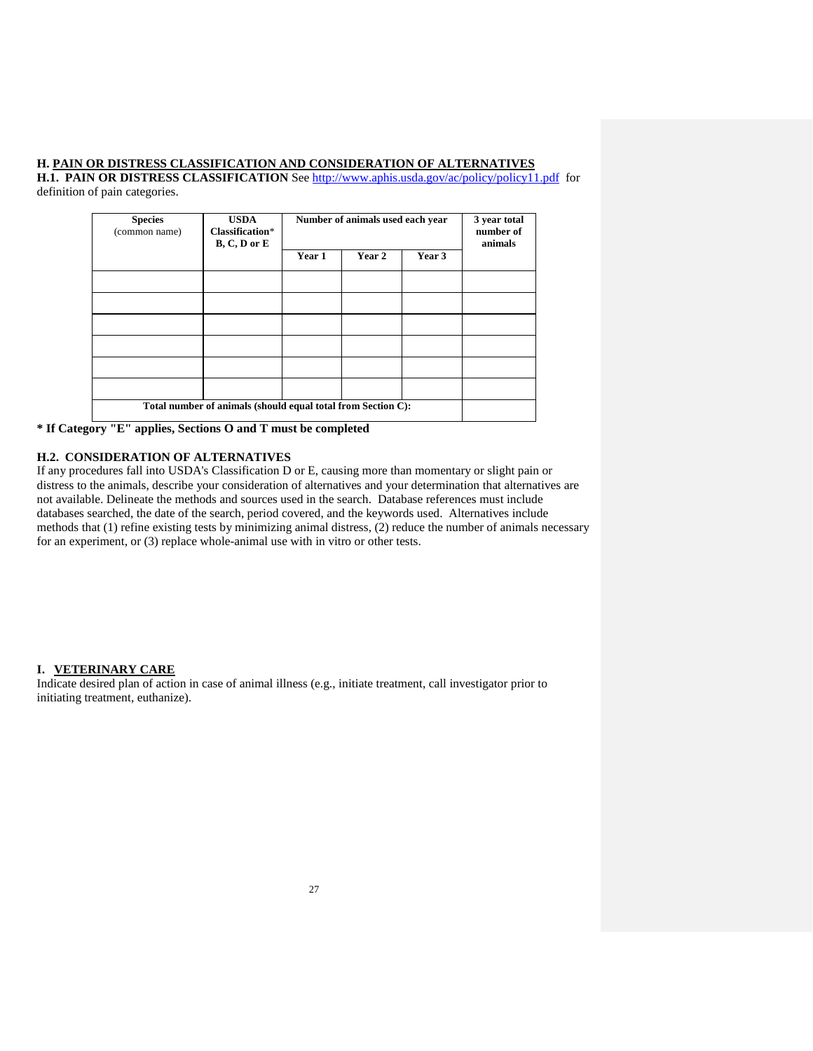### **H. PAIN OR DISTRESS CLASSIFICATION AND CONSIDERATION OF ALTERNATIVES**

**H.1. PAIN OR DISTRESS CLASSIFICATION** Se[e http://www.aphis.usda.gov/ac/policy/policy11.pdf](http://www.aphis.usda.gov/ac/policy/policy11.pdf) for definition of pain categories.

| <b>Species</b><br>(common name)                              | <b>USDA</b><br>Classification*<br>$B, C, D$ or $E$ | Number of animals used each year |        | 3 year total<br>number of<br>animals |  |
|--------------------------------------------------------------|----------------------------------------------------|----------------------------------|--------|--------------------------------------|--|
|                                                              |                                                    | Year 1                           | Year 2 | Year 3                               |  |
|                                                              |                                                    |                                  |        |                                      |  |
|                                                              |                                                    |                                  |        |                                      |  |
|                                                              |                                                    |                                  |        |                                      |  |
|                                                              |                                                    |                                  |        |                                      |  |
|                                                              |                                                    |                                  |        |                                      |  |
|                                                              |                                                    |                                  |        |                                      |  |
| Total number of animals (should equal total from Section C): |                                                    |                                  |        |                                      |  |

**\* If Category "E" applies, Sections O and T must be completed**

#### **H.2. CONSIDERATION OF ALTERNATIVES**

If any procedures fall into USDA's Classification D or E, causing more than momentary or slight pain or distress to the animals, describe your consideration of alternatives and your determination that alternatives are not available. Delineate the methods and sources used in the search. Database references must include databases searched, the date of the search, period covered, and the keywords used. Alternatives include methods that (1) refine existing tests by minimizing animal distress, (2) reduce the number of animals necessary for an experiment, or (3) replace whole-animal use with in vitro or other tests.

#### **I. VETERINARY CARE**

Indicate desired plan of action in case of animal illness (e.g., initiate treatment, call investigator prior to initiating treatment, euthanize).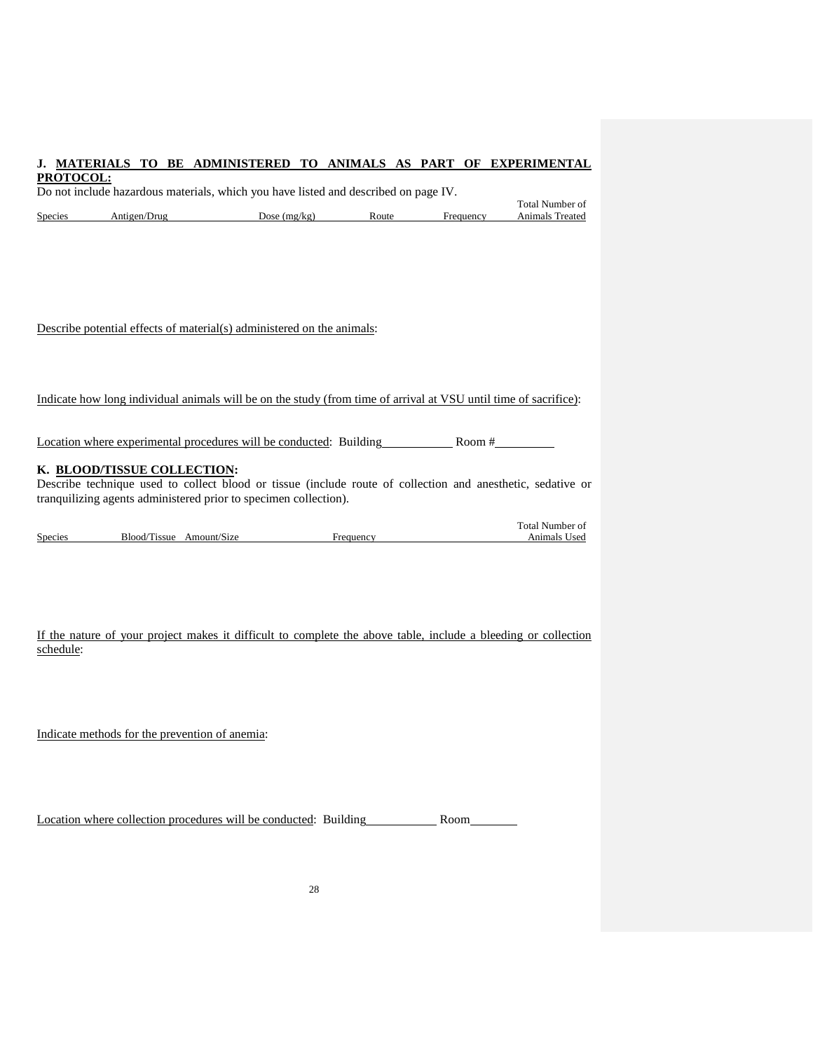## **J. MATERIALS TO BE ADMINISTERED TO ANIMALS AS PART OF EXPERIMENTAL**

| Species   |                                                                                                                                            | Antigen/Drug Dose (mg/kg) Dose Route Frequency                                                                   |  | Total Number of<br>Animals Treated |
|-----------|--------------------------------------------------------------------------------------------------------------------------------------------|------------------------------------------------------------------------------------------------------------------|--|------------------------------------|
|           |                                                                                                                                            |                                                                                                                  |  |                                    |
|           |                                                                                                                                            |                                                                                                                  |  |                                    |
|           |                                                                                                                                            | Describe potential effects of material(s) administered on the animals:                                           |  |                                    |
|           |                                                                                                                                            | Indicate how long individual animals will be on the study (from time of arrival at VSU until time of sacrifice): |  |                                    |
|           |                                                                                                                                            | Location where experimental procedures will be conducted: Building Room # Room #                                 |  |                                    |
|           | K. BLOOD/TISSUE COLLECTION:<br>Describe technique used to collect blood or tissue (include route of collection and anesthetic, sedative or |                                                                                                                  |  |                                    |
|           |                                                                                                                                            | tranquilizing agents administered prior to specimen collection).                                                 |  |                                    |
|           |                                                                                                                                            | Blood/Tissue Amount/Size Frequency Frequency Animals Used                                                        |  | Total Number of                    |
|           |                                                                                                                                            |                                                                                                                  |  |                                    |
| Species   |                                                                                                                                            |                                                                                                                  |  |                                    |
| schedule: |                                                                                                                                            | If the nature of your project makes it difficult to complete the above table, include a bleeding or collection   |  |                                    |
|           |                                                                                                                                            |                                                                                                                  |  |                                    |
|           | Indicate methods for the prevention of anemia:                                                                                             |                                                                                                                  |  |                                    |
|           |                                                                                                                                            |                                                                                                                  |  |                                    |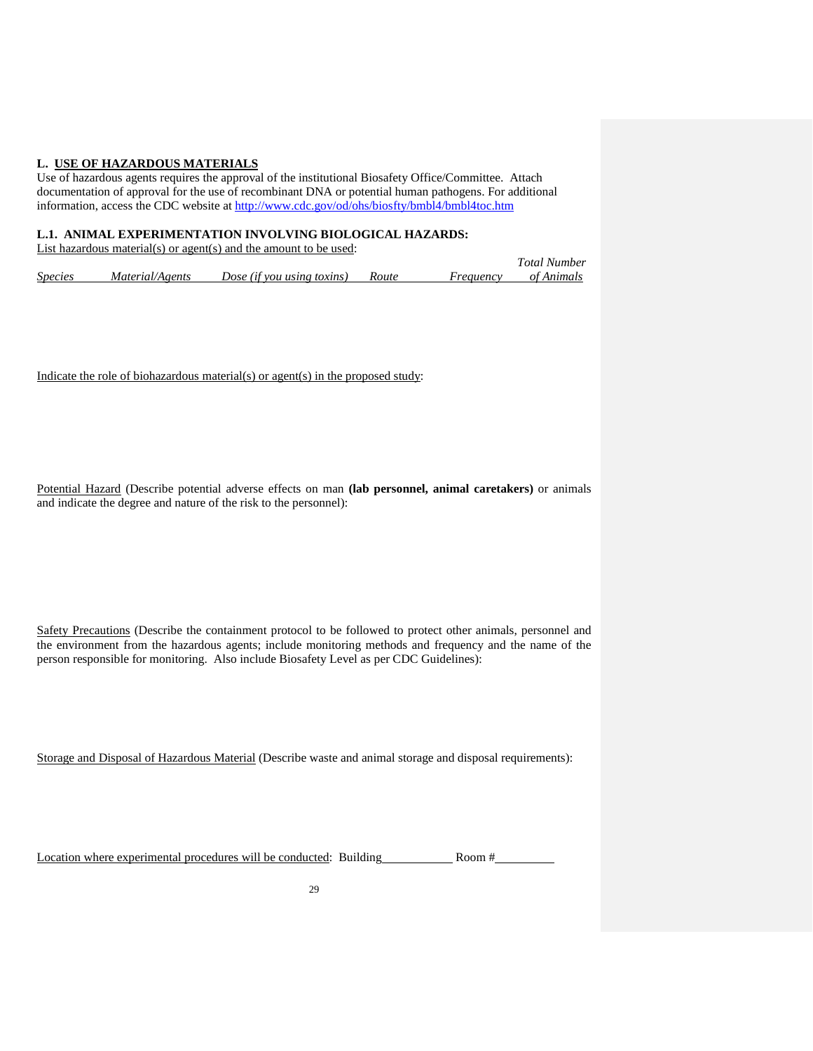### **L. USE OF HAZARDOUS MATERIALS**

Use of hazardous agents requires the approval of the institutional Biosafety Office/Committee. Attach documentation of approval for the use of recombinant DNA or potential human pathogens. For additional information, access the CDC website at<http://www.cdc.gov/od/ohs/biosfty/bmbl4/bmbl4toc.htm>

### **L.1. ANIMAL EXPERIMENTATION INVOLVING BIOLOGICAL HAZARDS:**

List hazardous material(s) or agent(s) and the amount to be used:

|                       |                 |                            |       |           | Total Number |
|-----------------------|-----------------|----------------------------|-------|-----------|--------------|
| <i><b>Species</b></i> | Material/Agents | Dose (if you using toxins) | Route | Frequency | of Animals   |

Indicate the role of biohazardous material(s) or agent(s) in the proposed study:

Potential Hazard (Describe potential adverse effects on man **(lab personnel, animal caretakers)** or animals and indicate the degree and nature of the risk to the personnel):

Safety Precautions (Describe the containment protocol to be followed to protect other animals, personnel and the environment from the hazardous agents; include monitoring methods and frequency and the name of the person responsible for monitoring. Also include Biosafety Level as per CDC Guidelines):

Storage and Disposal of Hazardous Material (Describe waste and animal storage and disposal requirements):

Location where experimental procedures will be conducted: Building Room #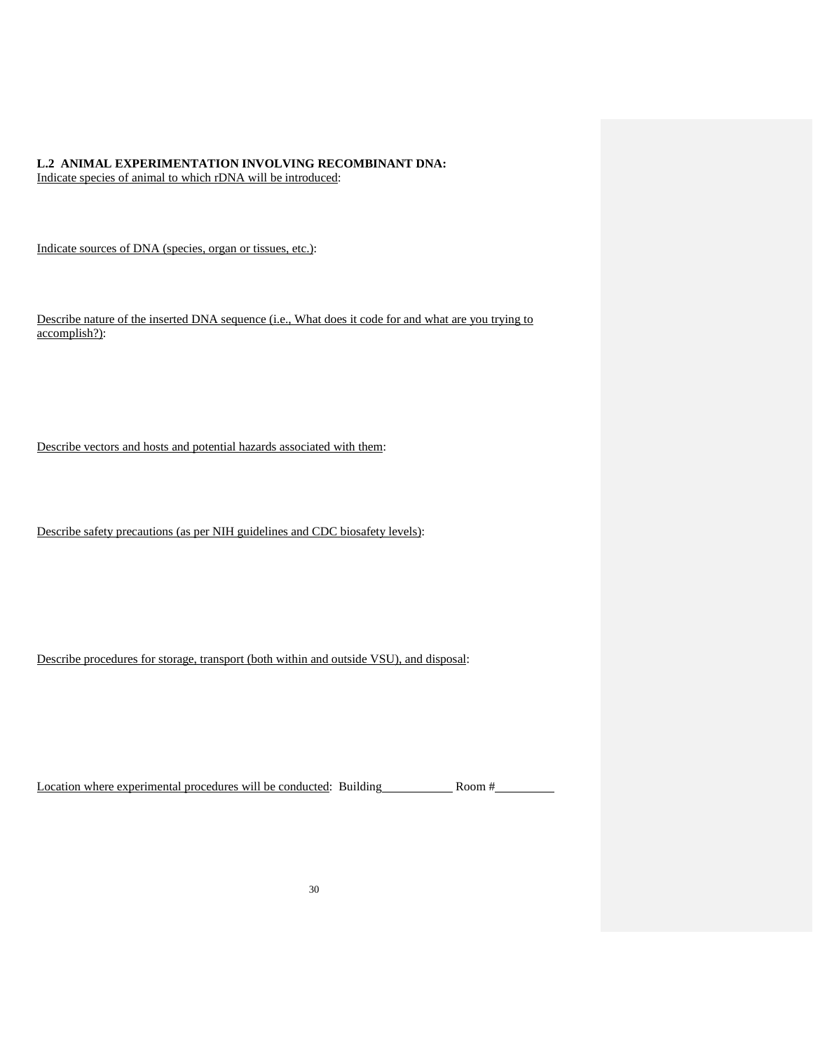### **L.2 ANIMAL EXPERIMENTATION INVOLVING RECOMBINANT DNA:** Indicate species of animal to which rDNA will be introduced:

Indicate sources of DNA (species, organ or tissues, etc.):

Describe nature of the inserted DNA sequence (i.e., What does it code for and what are you trying to accomplish?):

Describe vectors and hosts and potential hazards associated with them:

Describe safety precautions (as per NIH guidelines and CDC biosafety levels):

Describe procedures for storage, transport (both within and outside VSU), and disposal:

Location where experimental procedures will be conducted: Building Room # Room #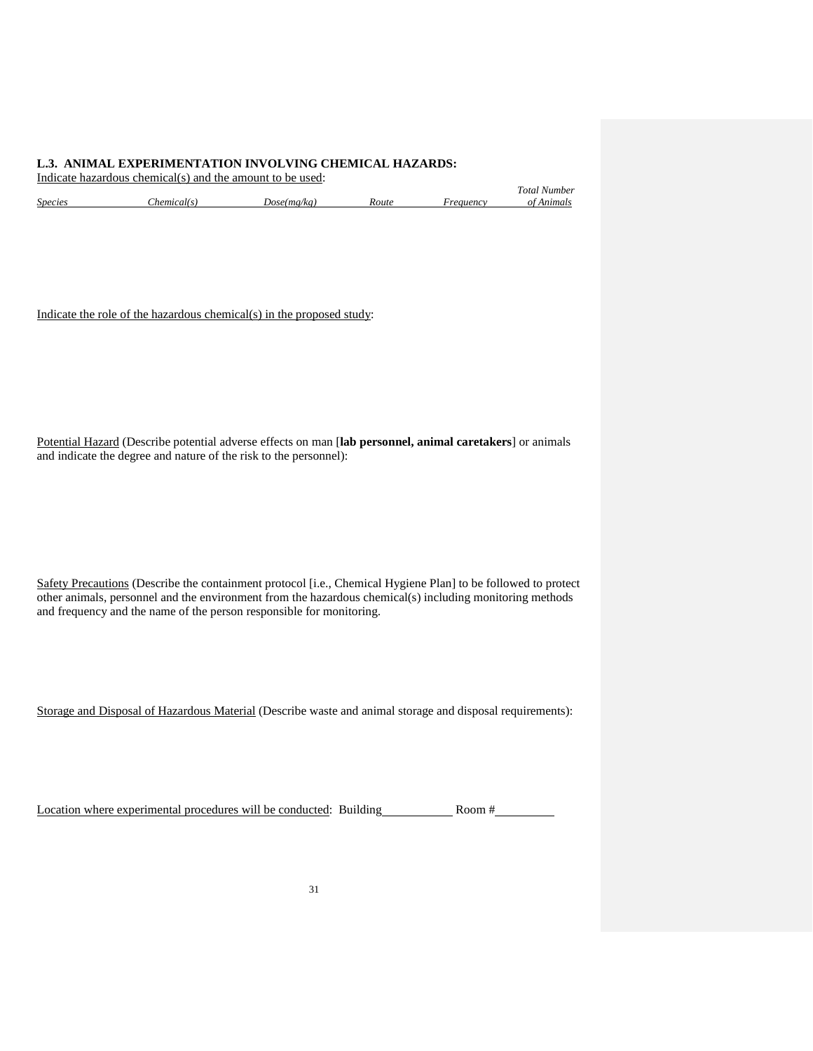#### **L.3. ANIMAL EXPERIMENTATION INVOLVING CHEMICAL HAZARDS:** Indicate hazardous chemical(s) and the amount to be used:

|                |            |             |              | Total Number        |
|----------------|------------|-------------|--------------|---------------------|
| <i>Species</i> | hemical(s) | Dose(mg/kg) | <i>Route</i> | Anımals<br>reauency |

Indicate the role of the hazardous chemical(s) in the proposed study:

Potential Hazard (Describe potential adverse effects on man [**lab personnel, animal caretakers**] or animals and indicate the degree and nature of the risk to the personnel):

Safety Precautions (Describe the containment protocol [i.e., Chemical Hygiene Plan] to be followed to protect other animals, personnel and the environment from the hazardous chemical(s) including monitoring methods and frequency and the name of the person responsible for monitoring.

Storage and Disposal of Hazardous Material (Describe waste and animal storage and disposal requirements):

Location where experimental procedures will be conducted: Building Room #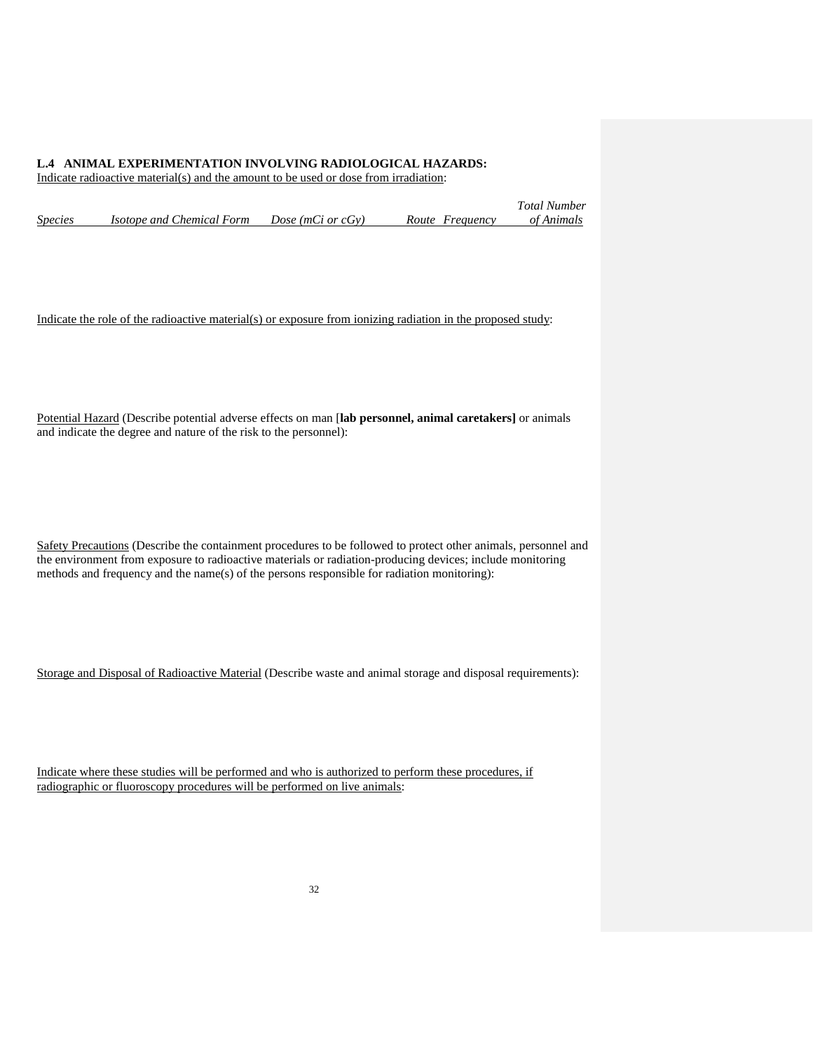### **L.4 ANIMAL EXPERIMENTATION INVOLVING RADIOLOGICAL HAZARDS:**

Indicate radioactive material(s) and the amount to be used or dose from irradiation:

|         |                                  |                   |                 | <b>Total Number</b> |
|---------|----------------------------------|-------------------|-----------------|---------------------|
| Species | <i>Isotope and Chemical Form</i> | Dose (mCi or cGy) | Route Frequency | of Animals          |

Indicate the role of the radioactive material(s) or exposure from ionizing radiation in the proposed study:

Potential Hazard (Describe potential adverse effects on man [**lab personnel, animal caretakers]** or animals and indicate the degree and nature of the risk to the personnel):

Safety Precautions (Describe the containment procedures to be followed to protect other animals, personnel and the environment from exposure to radioactive materials or radiation-producing devices; include monitoring methods and frequency and the name(s) of the persons responsible for radiation monitoring):

Storage and Disposal of Radioactive Material (Describe waste and animal storage and disposal requirements):

Indicate where these studies will be performed and who is authorized to perform these procedures, if radiographic or fluoroscopy procedures will be performed on live animals: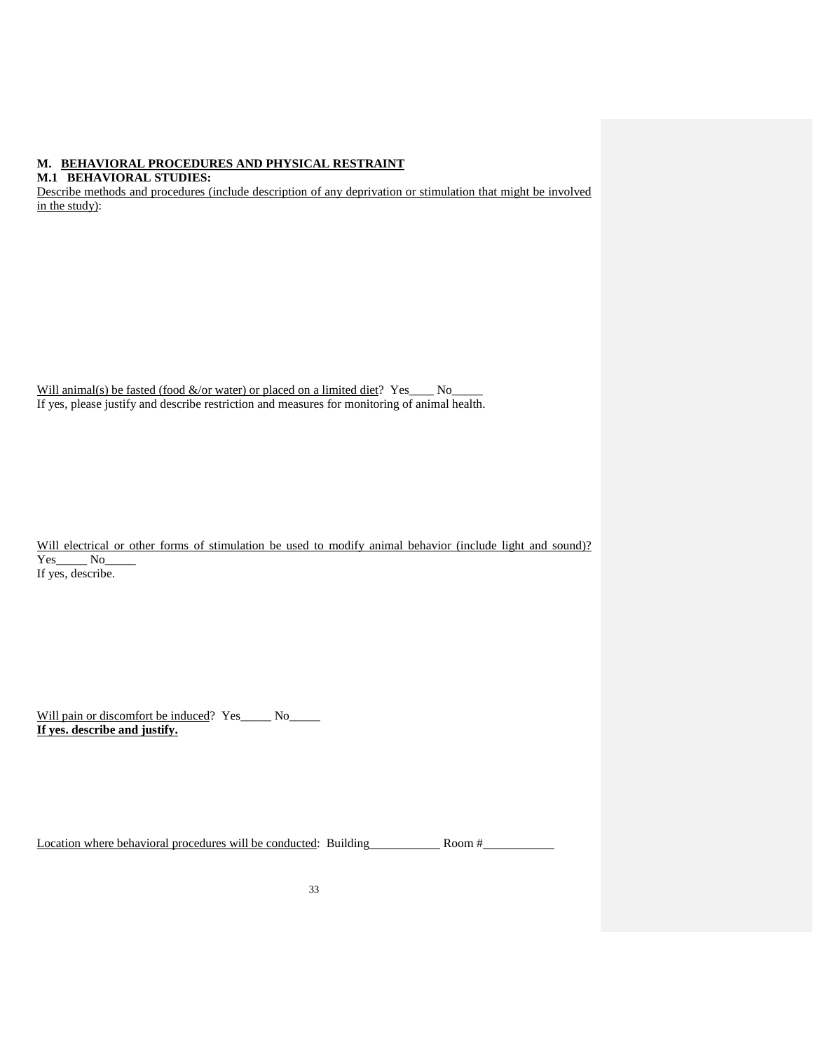## **M. BEHAVIORAL PROCEDURES AND PHYSICAL RESTRAINT**

**M.1 BEHAVIORAL STUDIES:**

Describe methods and procedures (include description of any deprivation or stimulation that might be involved in the study):

| Will animal(s) be fasted (food $\&$ /or water) or placed on a limited diet? Yes               |  |  |
|-----------------------------------------------------------------------------------------------|--|--|
| If yes, please justify and describe restriction and measures for monitoring of animal health. |  |  |

|                   |  |  | Will electrical or other forms of stimulation be used to modify animal behavior (include light and sound)? |  |  |  |  |  |
|-------------------|--|--|------------------------------------------------------------------------------------------------------------|--|--|--|--|--|
| Yes No            |  |  |                                                                                                            |  |  |  |  |  |
| If yes, describe. |  |  |                                                                                                            |  |  |  |  |  |

Will pain or discomfort be induced? Yes\_\_\_\_\_ No\_\_\_\_\_ **If yes. describe and justify.**

Location where behavioral procedures will be conducted: Building Room # Room #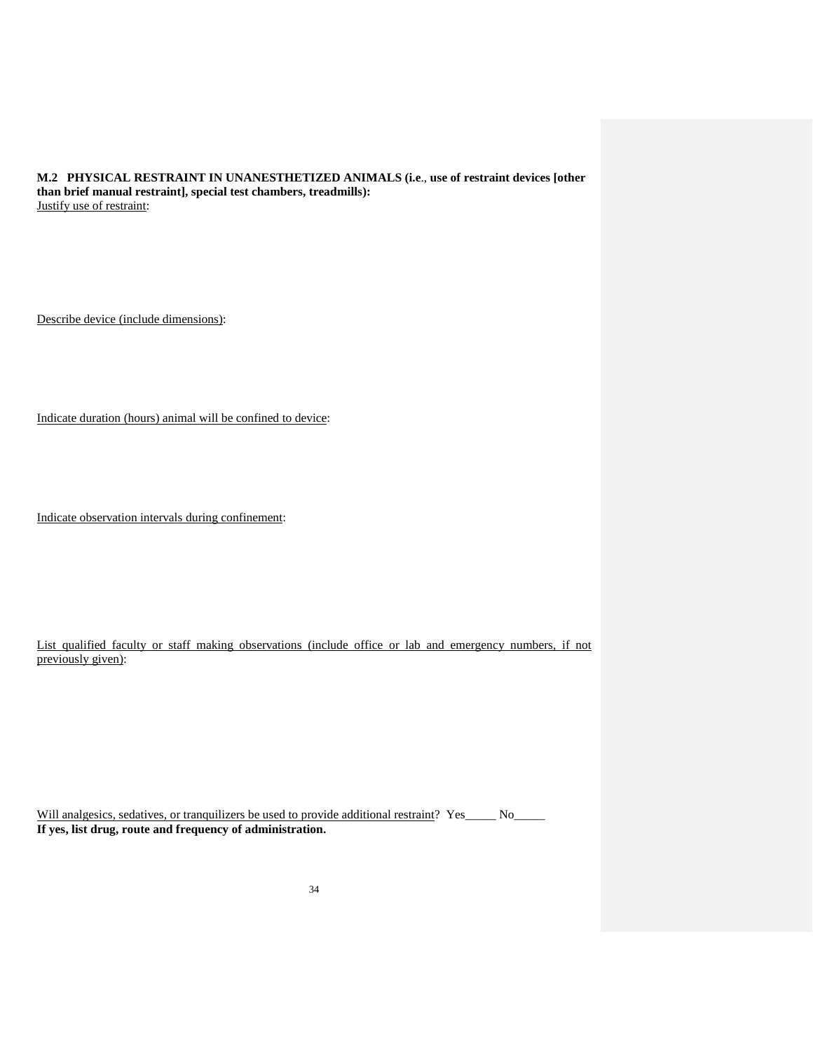**M.2 PHYSICAL RESTRAINT IN UNANESTHETIZED ANIMALS (i.e**., **use of restraint devices [other than brief manual restraint], special test chambers, treadmills):** Justify use of restraint:

Describe device (include dimensions):

Indicate duration (hours) animal will be confined to device:

Indicate observation intervals during confinement:

List qualified faculty or staff making observations (include office or lab and emergency numbers, if not previously given):

Will analgesics, sedatives, or tranquilizers be used to provide additional restraint? Yes\_\_\_\_\_ No\_\_\_\_\_ **If yes, list drug, route and frequency of administration.**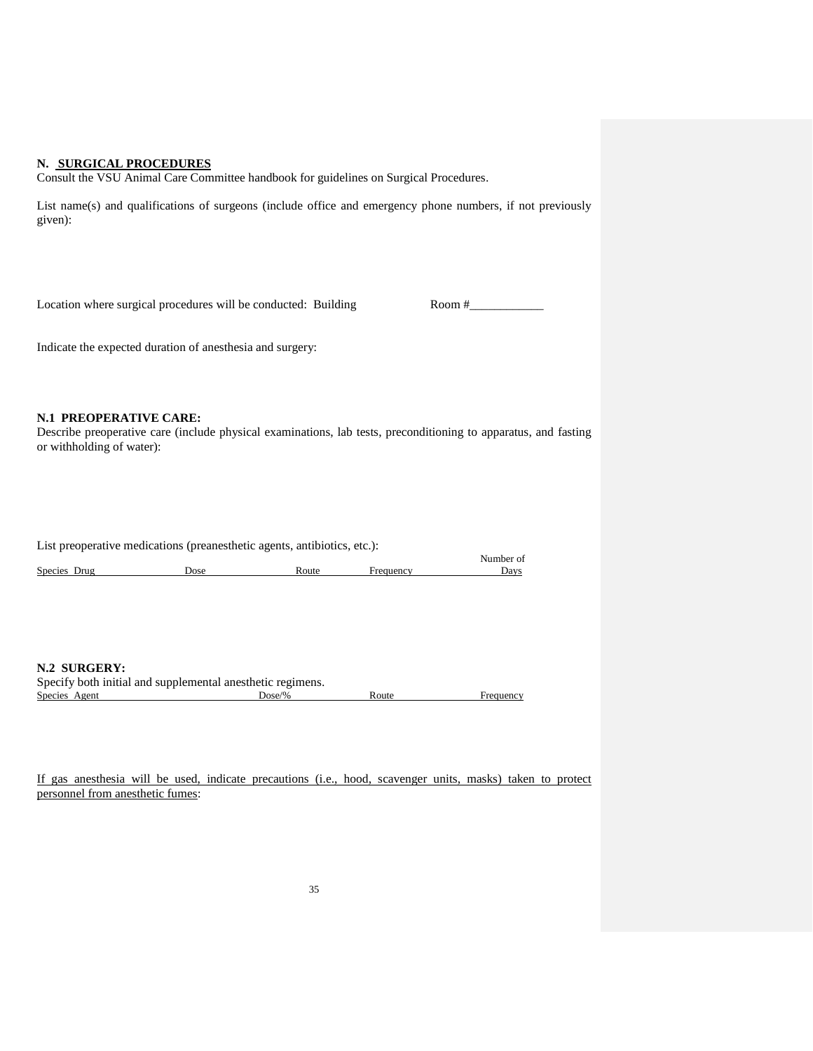#### **N. SURGICAL PROCEDURES**

Consult the VSU Animal Care Committee handbook for guidelines on Surgical Procedures.

List name(s) and qualifications of surgeons (include office and emergency phone numbers, if not previously given):

Location where surgical procedures will be conducted: Building  $\blacksquare$  Room  $\frac{4}{2}$ 

Indicate the expected duration of anesthesia and surgery:

#### **N.1 PREOPERATIVE CARE:**

Describe preoperative care (include physical examinations, lab tests, preconditioning to apparatus, and fasting or withholding of water):

List preoperative medications (preanesthetic agents, antibiotics, etc.): Number of<br>Days Species Drug Dose **Dose** Route Frequency

**N.2 SURGERY:**

| Specify both initial and supplemental anesthetic regimens. |        |       |           |
|------------------------------------------------------------|--------|-------|-----------|
| Species Agent                                              | Dose/% | Route | Frequency |

If gas anesthesia will be used, indicate precautions (i.e., hood, scavenger units, masks) taken to protect personnel from anesthetic fumes: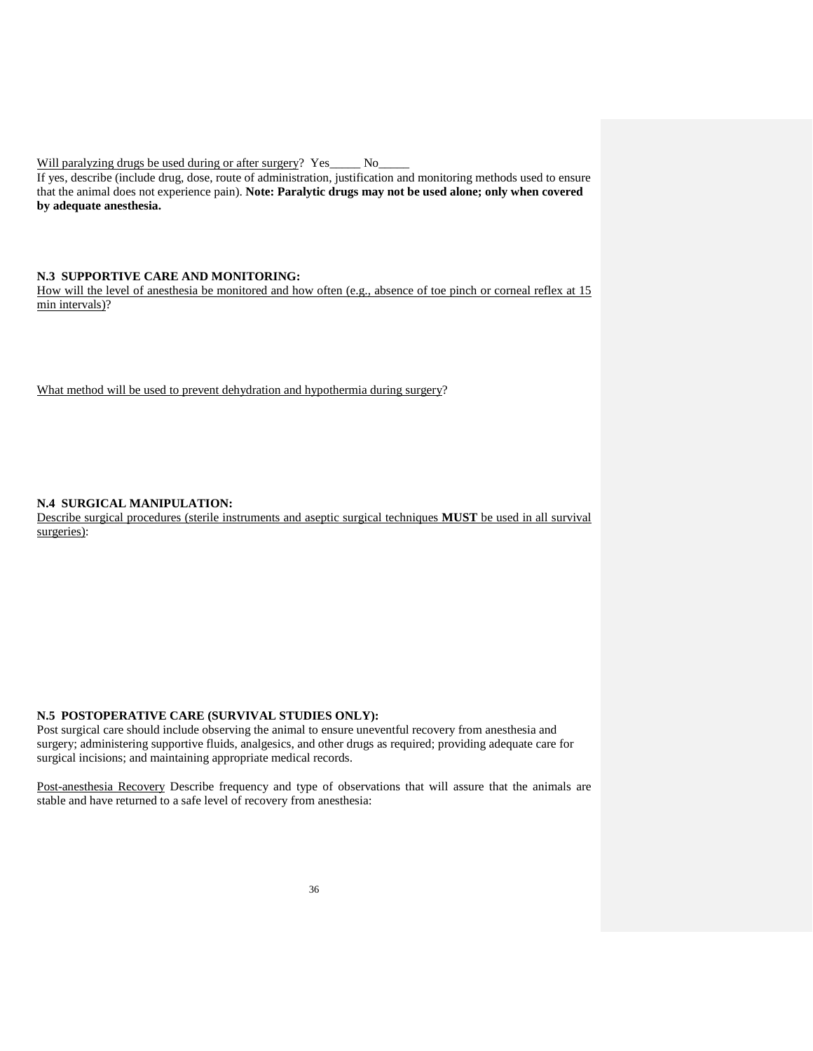Will paralyzing drugs be used during or after surgery? Yes\_\_\_\_\_ No\_\_\_\_\_\_\_

If yes, describe (include drug, dose, route of administration, justification and monitoring methods used to ensure that the animal does not experience pain). **Note: Paralytic drugs may not be used alone; only when covered by adequate anesthesia.**

### **N.3 SUPPORTIVE CARE AND MONITORING:**

How will the level of anesthesia be monitored and how often (e.g., absence of toe pinch or corneal reflex at 15 min intervals)?

What method will be used to prevent dehydration and hypothermia during surgery?

### **N.4 SURGICAL MANIPULATION:**

Describe surgical procedures (sterile instruments and aseptic surgical techniques **MUST** be used in all survival surgeries):

### **N.5 POSTOPERATIVE CARE (SURVIVAL STUDIES ONLY):**

Post surgical care should include observing the animal to ensure uneventful recovery from anesthesia and surgery; administering supportive fluids, analgesics, and other drugs as required; providing adequate care for surgical incisions; and maintaining appropriate medical records.

Post-anesthesia Recovery Describe frequency and type of observations that will assure that the animals are stable and have returned to a safe level of recovery from anesthesia: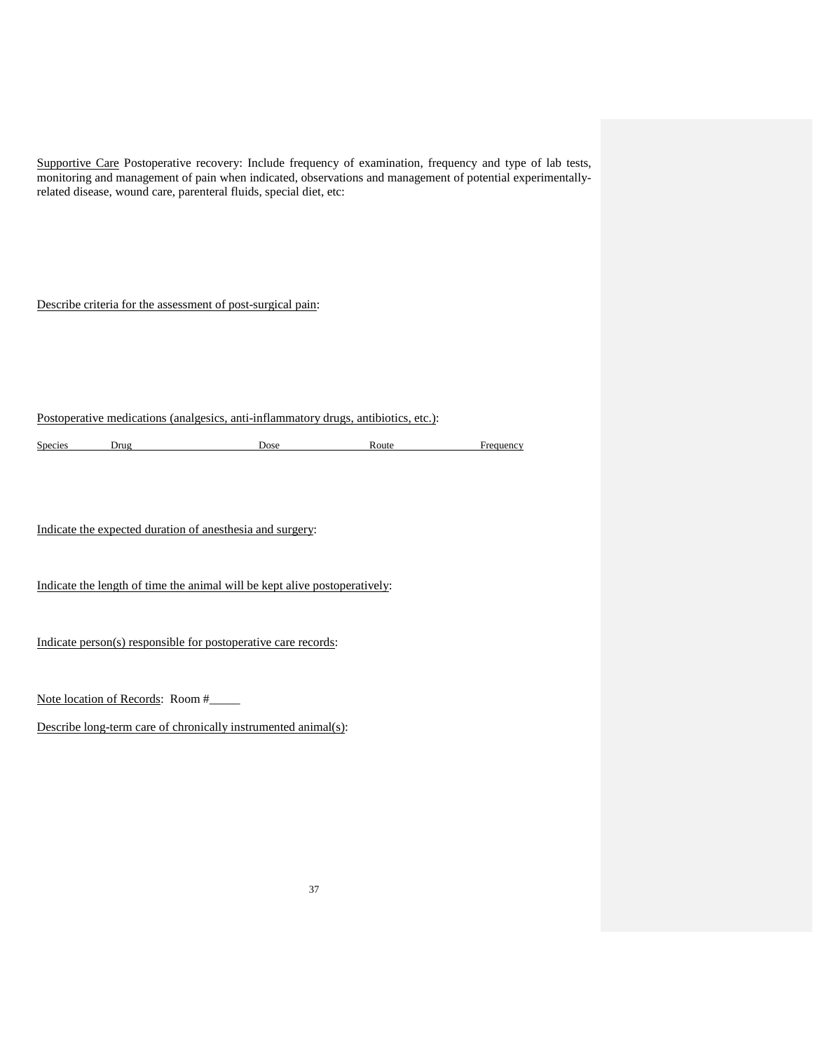Supportive Care Postoperative recovery: Include frequency of examination, frequency and type of lab tests, monitoring and management of pain when indicated, observations and management of potential experimentallyrelated disease, wound care, parenteral fluids, special diet, etc:

Describe criteria for the assessment of post-surgical pain:

Postoperative medications (analgesics, anti-inflammatory drugs, antibiotics, etc.):

Species Drug Dose Route Frequency

Indicate the expected duration of anesthesia and surgery:

Indicate the length of time the animal will be kept alive postoperatively:

Indicate person(s) responsible for postoperative care records:

Note location of Records: Room #\_\_\_\_\_

Describe long-term care of chronically instrumented animal(s):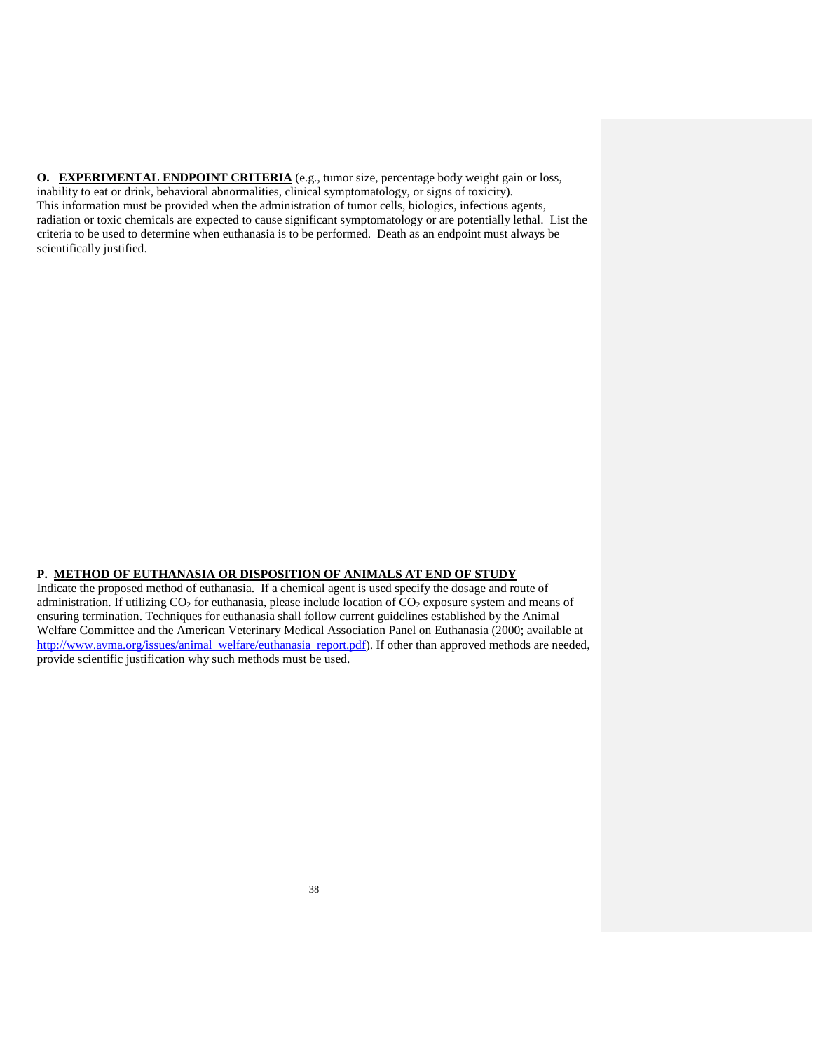**O. EXPERIMENTAL ENDPOINT CRITERIA** (e.g., tumor size, percentage body weight gain or loss, inability to eat or drink, behavioral abnormalities, clinical symptomatology, or signs of toxicity). This information must be provided when the administration of tumor cells, biologics, infectious agents, radiation or toxic chemicals are expected to cause significant symptomatology or are potentially lethal. List the criteria to be used to determine when euthanasia is to be performed. Death as an endpoint must always be scientifically justified.

### **P. METHOD OF EUTHANASIA OR DISPOSITION OF ANIMALS AT END OF STUDY**

Indicate the proposed method of euthanasia. If a chemical agent is used specify the dosage and route of administration. If utilizing  $CO<sub>2</sub>$  for euthanasia, please include location of  $CO<sub>2</sub>$  exposure system and means of ensuring termination. Techniques for euthanasia shall follow current guidelines established by the Animal Welfare Committee and the American Veterinary Medical Association Panel on Euthanasia (2000; available at [http://www.avma.org/issues/animal\\_welfare/euthanasia\\_report.pdf\)](http://www.avma.org/issues/animal_welfare/euthanasia_report.pdf). If other than approved methods are needed, provide scientific justification why such methods must be used.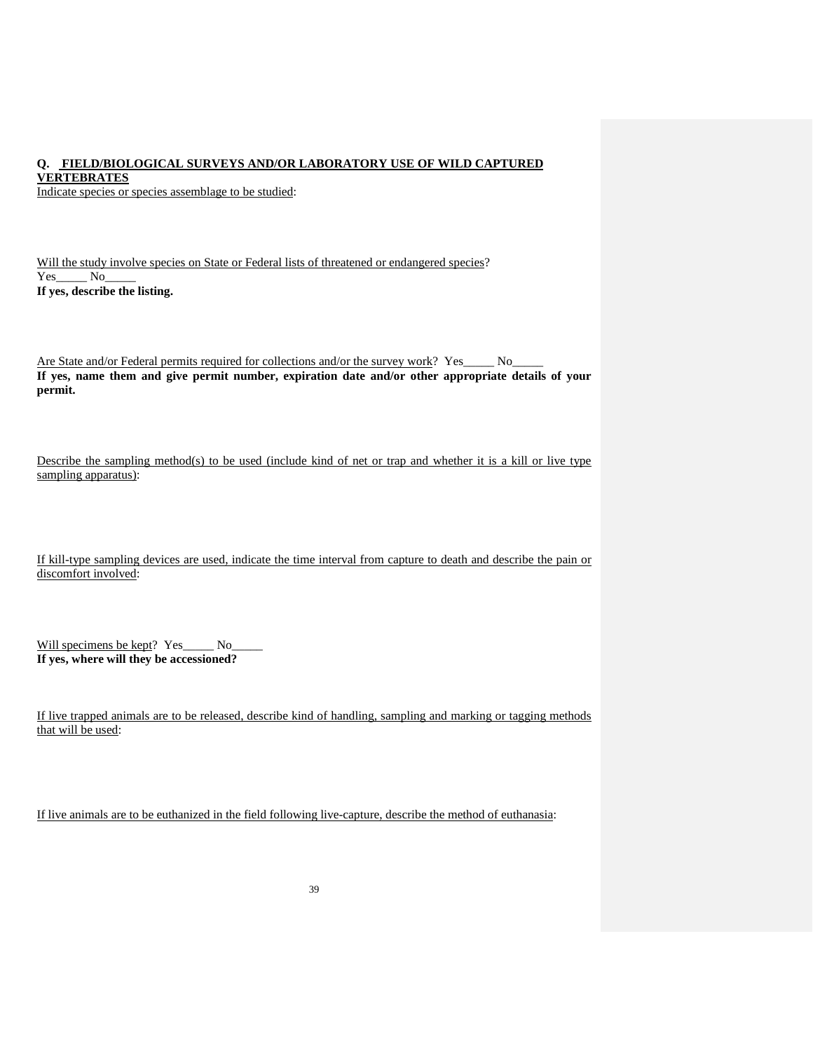# **Q. FIELD/BIOLOGICAL SURVEYS AND/OR LABORATORY USE OF WILD CAPTURED**

**VERTEBRATES**

Indicate species or species assemblage to be studied:

|        |                               |  |  |  |  | Will the study involve species on State or Federal lists of threatened or endangered species? |  |
|--------|-------------------------------|--|--|--|--|-----------------------------------------------------------------------------------------------|--|
| Yes No |                               |  |  |  |  |                                                                                               |  |
|        | If yes, describe the listing. |  |  |  |  |                                                                                               |  |

Are State and/or Federal permits required for collections and/or the survey work? Yes\_\_\_\_\_ No\_ **If yes, name them and give permit number, expiration date and/or other appropriate details of your permit.**

Describe the sampling method(s) to be used (include kind of net or trap and whether it is a kill or live type sampling apparatus):

| If kill-type sampling devices are used, indicate the time interval from capture to death and describe the pain or |  |  |  |  |  |  |
|-------------------------------------------------------------------------------------------------------------------|--|--|--|--|--|--|
| discomfort involved:                                                                                              |  |  |  |  |  |  |

| Will specimens be kept? Yes             | No. |
|-----------------------------------------|-----|
| If yes, where will they be accessioned? |     |

If live trapped animals are to be released, describe kind of handling, sampling and marking or tagging methods that will be used:

If live animals are to be euthanized in the field following live-capture, describe the method of euthanasia: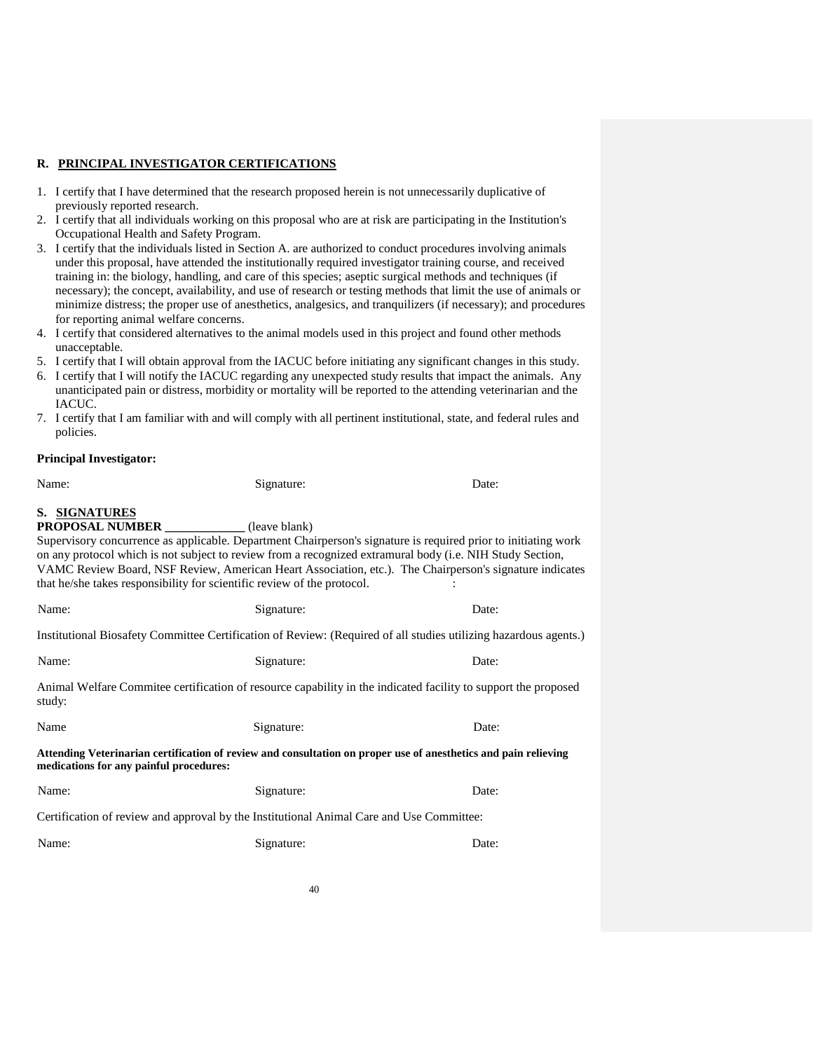### **R. PRINCIPAL INVESTIGATOR CERTIFICATIONS**

- 1. I certify that I have determined that the research proposed herein is not unnecessarily duplicative of previously reported research.
- 2. I certify that all individuals working on this proposal who are at risk are participating in the Institution's Occupational Health and Safety Program.
- 3. I certify that the individuals listed in Section A. are authorized to conduct procedures involving animals under this proposal, have attended the institutionally required investigator training course, and received training in: the biology, handling, and care of this species; aseptic surgical methods and techniques (if necessary); the concept, availability, and use of research or testing methods that limit the use of animals or minimize distress; the proper use of anesthetics, analgesics, and tranquilizers (if necessary); and procedures for reporting animal welfare concerns.
- 4. I certify that considered alternatives to the animal models used in this project and found other methods unacceptable.
- 5. I certify that I will obtain approval from the IACUC before initiating any significant changes in this study.
- 6. I certify that I will notify the IACUC regarding any unexpected study results that impact the animals. Any unanticipated pain or distress, morbidity or mortality will be reported to the attending veterinarian and the IACUC.
- 7. I certify that I am familiar with and will comply with all pertinent institutional, state, and federal rules and policies.

#### **Principal Investigator:**

| Name:                                   | Signature:                                                                               | Date:                                                                                                                                                                                                                                                                                                                                  |
|-----------------------------------------|------------------------------------------------------------------------------------------|----------------------------------------------------------------------------------------------------------------------------------------------------------------------------------------------------------------------------------------------------------------------------------------------------------------------------------------|
| S. SIGNATURES<br>PROPOSAL NUMBER        | (leave blank)<br>that he/she takes responsibility for scientific review of the protocol. | Supervisory concurrence as applicable. Department Chairperson's signature is required prior to initiating work<br>on any protocol which is not subject to review from a recognized extramural body (i.e. NIH Study Section,<br>VAMC Review Board, NSF Review, American Heart Association, etc.). The Chairperson's signature indicates |
| Name:                                   | Signature:                                                                               | Date:                                                                                                                                                                                                                                                                                                                                  |
|                                         |                                                                                          | Institutional Biosafety Committee Certification of Review: (Required of all studies utilizing hazardous agents.)                                                                                                                                                                                                                       |
| Name:                                   | Signature:                                                                               | Date:                                                                                                                                                                                                                                                                                                                                  |
| study:                                  |                                                                                          | Animal Welfare Commitee certification of resource capability in the indicated facility to support the proposed                                                                                                                                                                                                                         |
| Name                                    | Signature:                                                                               | Date:                                                                                                                                                                                                                                                                                                                                  |
| medications for any painful procedures: |                                                                                          | Attending Veterinarian certification of review and consultation on proper use of anesthetics and pain relieving                                                                                                                                                                                                                        |
| Name:                                   | Signature:                                                                               | Date:                                                                                                                                                                                                                                                                                                                                  |
|                                         | Certification of review and approval by the Institutional Animal Care and Use Committee: |                                                                                                                                                                                                                                                                                                                                        |
| Name:                                   | Signature:                                                                               | Date:                                                                                                                                                                                                                                                                                                                                  |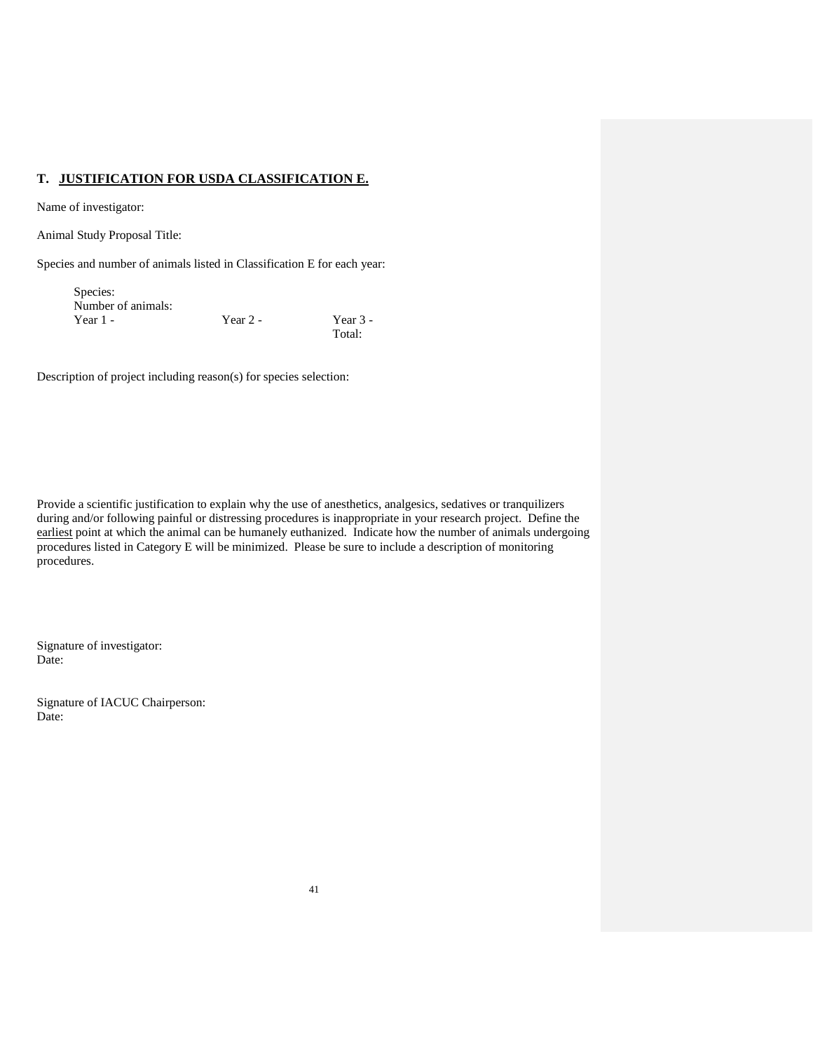### **T. JUSTIFICATION FOR USDA CLASSIFICATION E.**

Name of investigator:

Animal Study Proposal Title:

Species and number of animals listed in Classification E for each year:

| Species:           |            |          |
|--------------------|------------|----------|
| Number of animals: |            |          |
| Year $1 -$         | Year $2 -$ | Year 3 - |
|                    |            | Total:   |

Description of project including reason(s) for species selection:

Provide a scientific justification to explain why the use of anesthetics, analgesics, sedatives or tranquilizers during and/or following painful or distressing procedures is inappropriate in your research project. Define the earliest point at which the animal can be humanely euthanized. Indicate how the number of animals undergoing procedures listed in Category E will be minimized. Please be sure to include a description of monitoring procedures.

Signature of investigator: Date:

Signature of IACUC Chairperson: Date: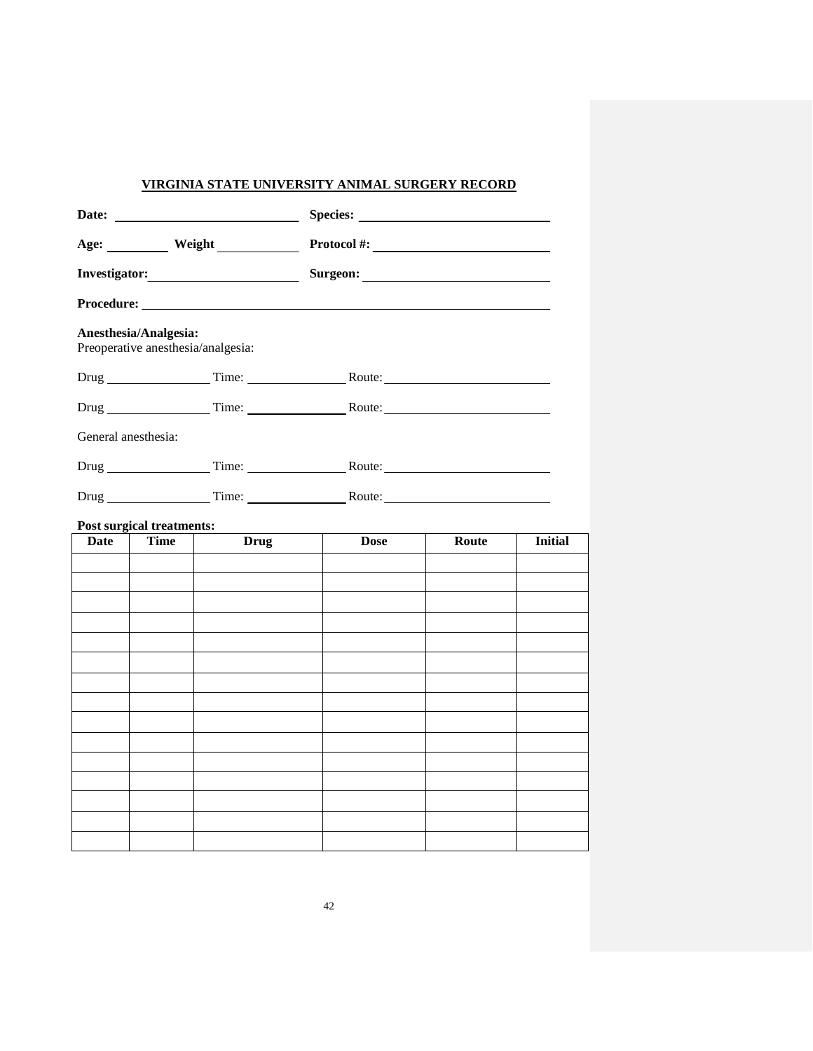# **VIRGINIA STATE UNIVERSITY ANIMAL SURGERY RECORD**

|                     |                                  | Age: ___________ Weight ______________ | Protocol #: $\qquad \qquad$ |       |                |  |  |  |  |  |
|---------------------|----------------------------------|----------------------------------------|-----------------------------|-------|----------------|--|--|--|--|--|
|                     |                                  |                                        |                             |       |                |  |  |  |  |  |
|                     |                                  |                                        |                             |       |                |  |  |  |  |  |
|                     | Anesthesia/Analgesia:            | Preoperative anesthesia/analgesia:     |                             |       |                |  |  |  |  |  |
|                     |                                  |                                        |                             |       |                |  |  |  |  |  |
|                     |                                  |                                        |                             |       |                |  |  |  |  |  |
| General anesthesia: |                                  |                                        |                             |       |                |  |  |  |  |  |
|                     |                                  |                                        |                             |       |                |  |  |  |  |  |
|                     |                                  |                                        |                             |       |                |  |  |  |  |  |
|                     | <b>Post surgical treatments:</b> |                                        |                             |       |                |  |  |  |  |  |
| <b>Date</b>         | <b>Time</b>                      | <b>Drug</b>                            | <b>Dose</b>                 | Route | <b>Initial</b> |  |  |  |  |  |
|                     |                                  |                                        |                             |       |                |  |  |  |  |  |
|                     |                                  |                                        |                             |       |                |  |  |  |  |  |
|                     |                                  |                                        |                             |       |                |  |  |  |  |  |
|                     |                                  |                                        |                             |       |                |  |  |  |  |  |
|                     |                                  |                                        |                             |       |                |  |  |  |  |  |
|                     |                                  |                                        |                             |       |                |  |  |  |  |  |
|                     |                                  |                                        |                             |       |                |  |  |  |  |  |
|                     |                                  |                                        |                             |       |                |  |  |  |  |  |
|                     |                                  |                                        |                             |       |                |  |  |  |  |  |
|                     |                                  |                                        |                             |       |                |  |  |  |  |  |
|                     |                                  |                                        |                             |       |                |  |  |  |  |  |
|                     |                                  |                                        |                             |       |                |  |  |  |  |  |
|                     |                                  |                                        |                             |       |                |  |  |  |  |  |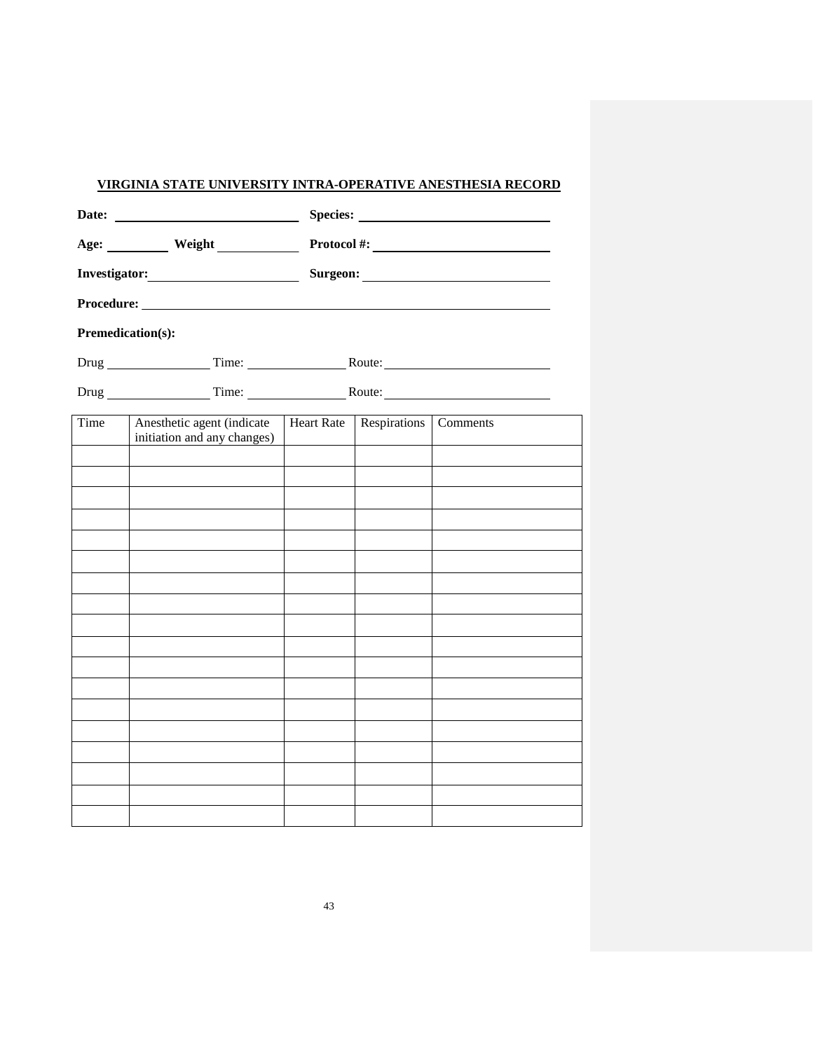## **VIRGINIA STATE UNIVERSITY INTRA-OPERATIVE ANESTHESIA RECORD**

|                   | Age: ___________ Weight ______________                    |                   |              | Protocol #: $\qquad \qquad$ |  |  |  |  |
|-------------------|-----------------------------------------------------------|-------------------|--------------|-----------------------------|--|--|--|--|
|                   |                                                           |                   |              |                             |  |  |  |  |
|                   |                                                           |                   |              |                             |  |  |  |  |
| Premedication(s): |                                                           |                   |              |                             |  |  |  |  |
|                   |                                                           |                   |              |                             |  |  |  |  |
|                   |                                                           |                   |              |                             |  |  |  |  |
| Time              | Anesthetic agent (indicate<br>initiation and any changes) | <b>Heart Rate</b> | Respirations | Comments                    |  |  |  |  |
|                   |                                                           |                   |              |                             |  |  |  |  |
|                   |                                                           |                   |              |                             |  |  |  |  |
|                   |                                                           |                   |              |                             |  |  |  |  |
|                   |                                                           |                   |              |                             |  |  |  |  |
|                   |                                                           |                   |              |                             |  |  |  |  |
|                   |                                                           |                   |              |                             |  |  |  |  |
|                   |                                                           |                   |              |                             |  |  |  |  |
|                   |                                                           |                   |              |                             |  |  |  |  |
|                   |                                                           |                   |              |                             |  |  |  |  |
|                   |                                                           |                   |              |                             |  |  |  |  |
|                   |                                                           |                   |              |                             |  |  |  |  |
|                   |                                                           |                   |              |                             |  |  |  |  |
|                   |                                                           |                   |              |                             |  |  |  |  |
|                   |                                                           |                   |              |                             |  |  |  |  |
|                   |                                                           |                   |              |                             |  |  |  |  |
|                   |                                                           |                   |              |                             |  |  |  |  |
|                   |                                                           |                   |              |                             |  |  |  |  |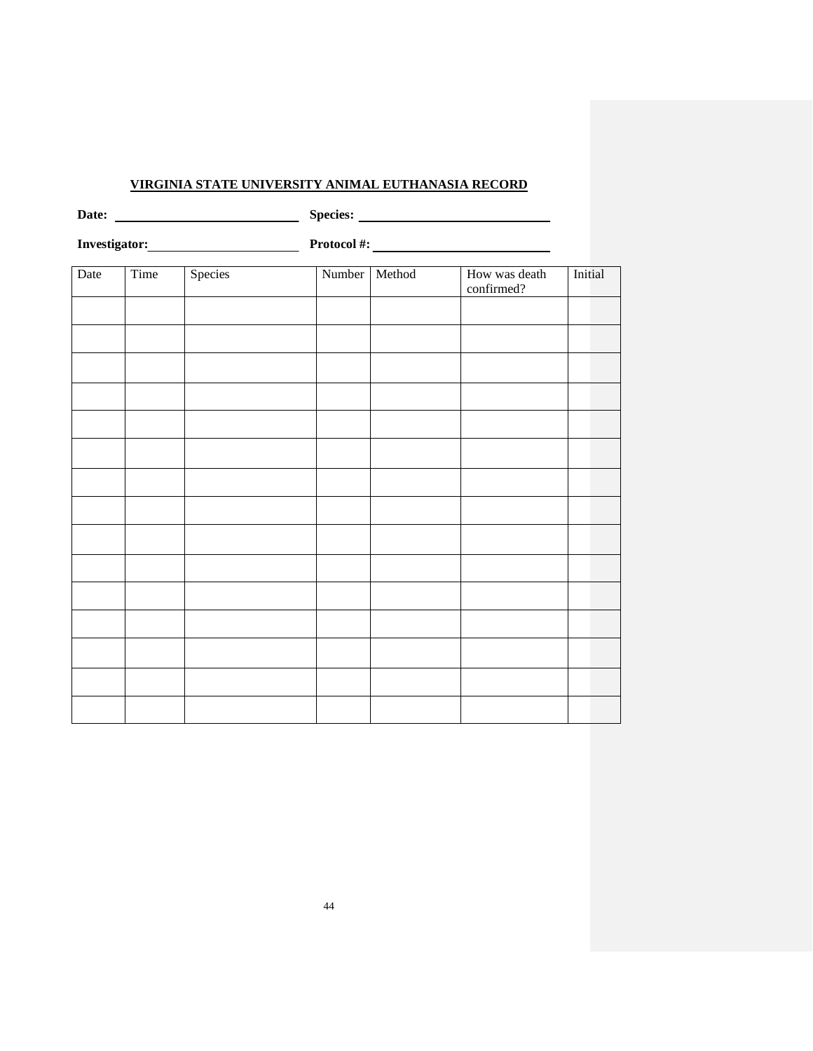## **VIRGINIA STATE UNIVERSITY ANIMAL EUTHANASIA RECORD**

|      |      |         |               |         | Protocol #: $\qquad \qquad$ |  |  |  |  |
|------|------|---------|---------------|---------|-----------------------------|--|--|--|--|
| Date | Time | Species | Number Method | Initial |                             |  |  |  |  |
|      |      |         |               |         |                             |  |  |  |  |
|      |      |         |               |         |                             |  |  |  |  |
|      |      |         |               |         |                             |  |  |  |  |
|      |      |         |               |         |                             |  |  |  |  |
|      |      |         |               |         |                             |  |  |  |  |
|      |      |         |               |         |                             |  |  |  |  |
|      |      |         |               |         |                             |  |  |  |  |
|      |      |         |               |         |                             |  |  |  |  |
|      |      |         |               |         |                             |  |  |  |  |
|      |      |         |               |         |                             |  |  |  |  |
|      |      |         |               |         |                             |  |  |  |  |
|      |      |         |               |         |                             |  |  |  |  |
|      |      |         |               |         |                             |  |  |  |  |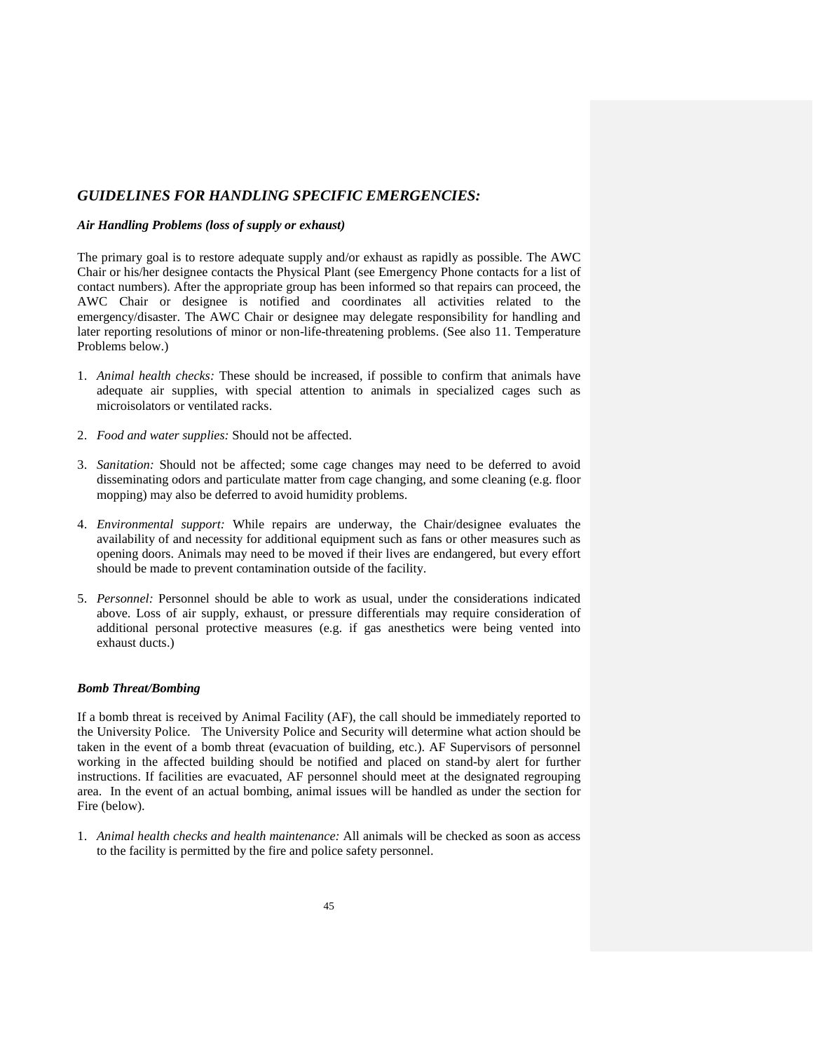### *GUIDELINES FOR HANDLING SPECIFIC EMERGENCIES:*

#### *Air Handling Problems (loss of supply or exhaust)*

The primary goal is to restore adequate supply and/or exhaust as rapidly as possible. The AWC Chair or his/her designee contacts the Physical Plant (see Emergency Phone contacts for a list of contact numbers). After the appropriate group has been informed so that repairs can proceed, the AWC Chair or designee is notified and coordinates all activities related to the emergency/disaster. The AWC Chair or designee may delegate responsibility for handling and later reporting resolutions of minor or non-life-threatening problems. (See also 11. Temperature Problems below.)

- 1. *Animal health checks:* These should be increased, if possible to confirm that animals have adequate air supplies, with special attention to animals in specialized cages such as microisolators or ventilated racks.
- 2. *Food and water supplies:* Should not be affected.
- 3. *Sanitation:* Should not be affected; some cage changes may need to be deferred to avoid disseminating odors and particulate matter from cage changing, and some cleaning (e.g. floor mopping) may also be deferred to avoid humidity problems.
- 4. *Environmental support:* While repairs are underway, the Chair/designee evaluates the availability of and necessity for additional equipment such as fans or other measures such as opening doors. Animals may need to be moved if their lives are endangered, but every effort should be made to prevent contamination outside of the facility.
- 5. *Personnel:* Personnel should be able to work as usual, under the considerations indicated above. Loss of air supply, exhaust, or pressure differentials may require consideration of additional personal protective measures (e.g. if gas anesthetics were being vented into exhaust ducts.)

### *Bomb Threat/Bombing*

If a bomb threat is received by Animal Facility (AF), the call should be immediately reported to the University Police. The University Police and Security will determine what action should be taken in the event of a bomb threat (evacuation of building, etc.). AF Supervisors of personnel working in the affected building should be notified and placed on stand-by alert for further instructions. If facilities are evacuated, AF personnel should meet at the designated regrouping area. In the event of an actual bombing, animal issues will be handled as under the section for Fire (below).

1. *Animal health checks and health maintenance:* All animals will be checked as soon as access to the facility is permitted by the fire and police safety personnel.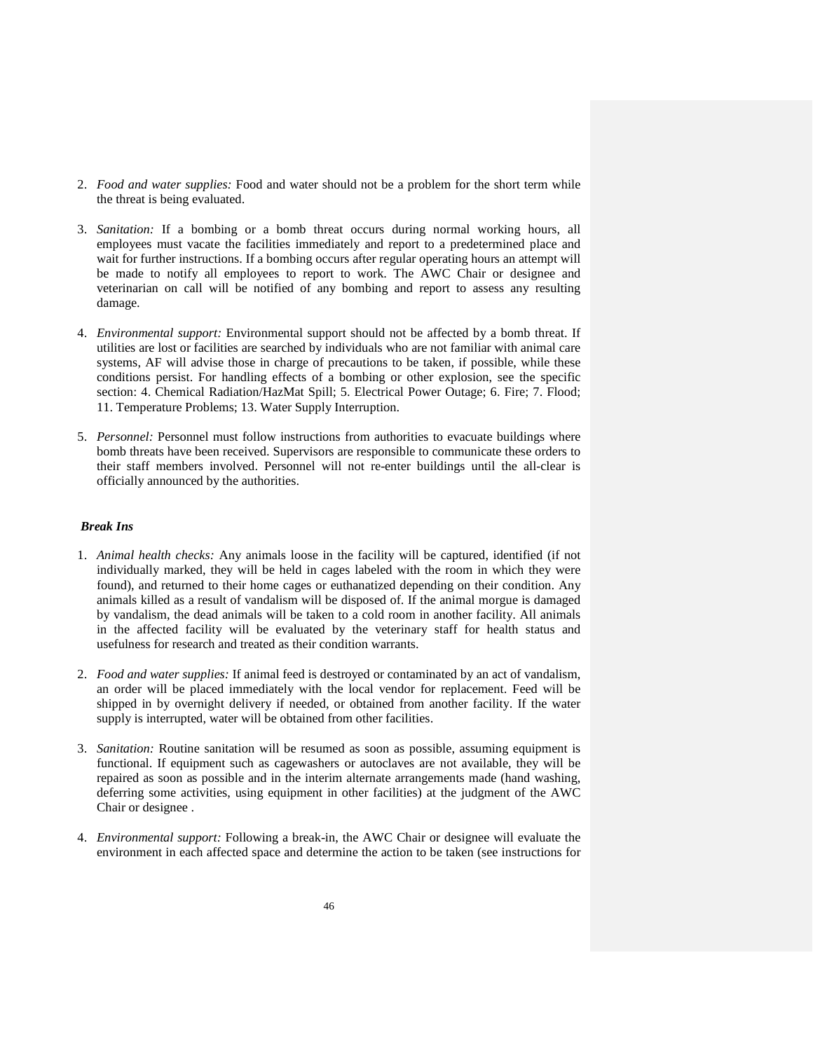- 2. *Food and water supplies:* Food and water should not be a problem for the short term while the threat is being evaluated.
- 3. *Sanitation:* If a bombing or a bomb threat occurs during normal working hours, all employees must vacate the facilities immediately and report to a predetermined place and wait for further instructions. If a bombing occurs after regular operating hours an attempt will be made to notify all employees to report to work. The AWC Chair or designee and veterinarian on call will be notified of any bombing and report to assess any resulting damage.
- 4. *Environmental support:* Environmental support should not be affected by a bomb threat. If utilities are lost or facilities are searched by individuals who are not familiar with animal care systems, AF will advise those in charge of precautions to be taken, if possible, while these conditions persist. For handling effects of a bombing or other explosion, see the specific section: 4. Chemical Radiation/HazMat Spill; 5. Electrical Power Outage; 6. Fire; 7. Flood; 11. Temperature Problems; 13. Water Supply Interruption.
- 5. *Personnel:* Personnel must follow instructions from authorities to evacuate buildings where bomb threats have been received. Supervisors are responsible to communicate these orders to their staff members involved. Personnel will not re-enter buildings until the all-clear is officially announced by the authorities.

### *Break Ins*

- 1. *Animal health checks:* Any animals loose in the facility will be captured, identified (if not individually marked, they will be held in cages labeled with the room in which they were found), and returned to their home cages or euthanatized depending on their condition. Any animals killed as a result of vandalism will be disposed of. If the animal morgue is damaged by vandalism, the dead animals will be taken to a cold room in another facility. All animals in the affected facility will be evaluated by the veterinary staff for health status and usefulness for research and treated as their condition warrants.
- 2. *Food and water supplies:* If animal feed is destroyed or contaminated by an act of vandalism, an order will be placed immediately with the local vendor for replacement. Feed will be shipped in by overnight delivery if needed, or obtained from another facility. If the water supply is interrupted, water will be obtained from other facilities.
- 3. *Sanitation:* Routine sanitation will be resumed as soon as possible, assuming equipment is functional. If equipment such as cagewashers or autoclaves are not available, they will be repaired as soon as possible and in the interim alternate arrangements made (hand washing, deferring some activities, using equipment in other facilities) at the judgment of the AWC Chair or designee .
- 4. *Environmental support:* Following a break-in, the AWC Chair or designee will evaluate the environment in each affected space and determine the action to be taken (see instructions for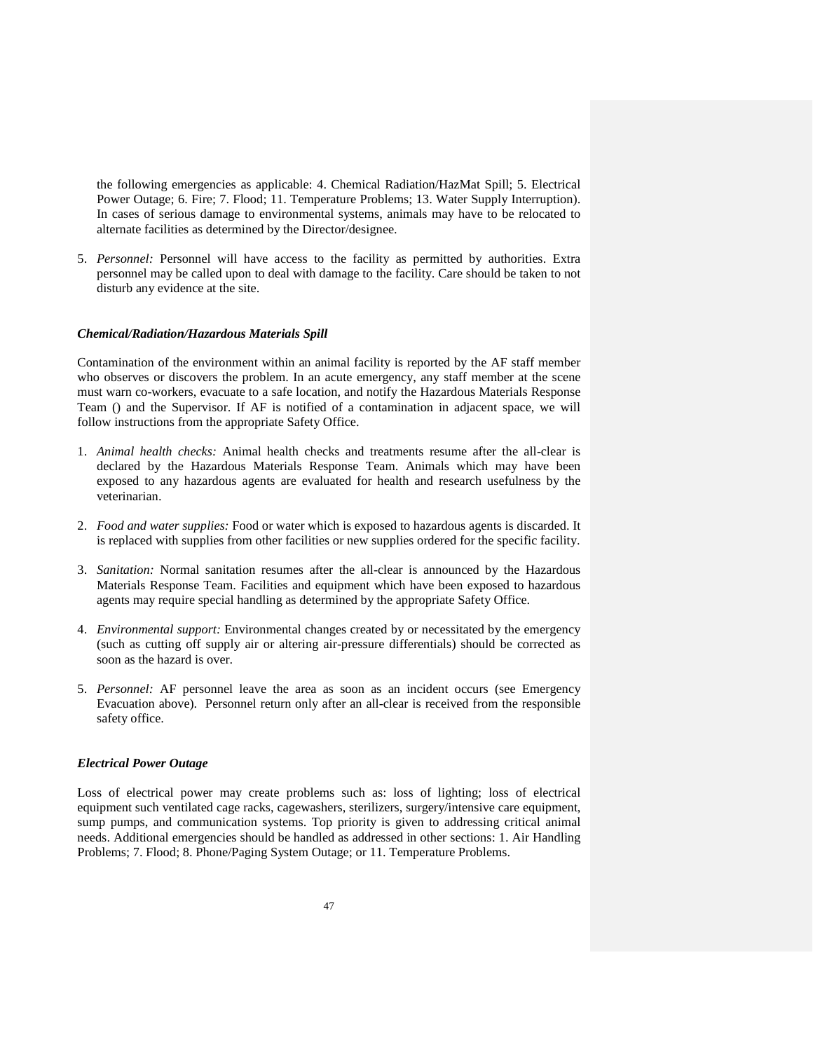the following emergencies as applicable: 4. Chemical Radiation/HazMat Spill; 5. Electrical Power Outage; 6. Fire; 7. Flood; 11. Temperature Problems; 13. Water Supply Interruption). In cases of serious damage to environmental systems, animals may have to be relocated to alternate facilities as determined by the Director/designee.

5. *Personnel:* Personnel will have access to the facility as permitted by authorities. Extra personnel may be called upon to deal with damage to the facility. Care should be taken to not disturb any evidence at the site.

#### *Chemical/Radiation/Hazardous Materials Spill*

Contamination of the environment within an animal facility is reported by the AF staff member who observes or discovers the problem. In an acute emergency, any staff member at the scene must warn co-workers, evacuate to a safe location, and notify the Hazardous Materials Response Team () and the Supervisor. If AF is notified of a contamination in adjacent space, we will follow instructions from the appropriate Safety Office.

- 1. *Animal health checks:* Animal health checks and treatments resume after the all-clear is declared by the Hazardous Materials Response Team. Animals which may have been exposed to any hazardous agents are evaluated for health and research usefulness by the veterinarian.
- 2. *Food and water supplies:* Food or water which is exposed to hazardous agents is discarded. It is replaced with supplies from other facilities or new supplies ordered for the specific facility.
- 3. *Sanitation:* Normal sanitation resumes after the all-clear is announced by the Hazardous Materials Response Team. Facilities and equipment which have been exposed to hazardous agents may require special handling as determined by the appropriate Safety Office.
- 4. *Environmental support:* Environmental changes created by or necessitated by the emergency (such as cutting off supply air or altering air-pressure differentials) should be corrected as soon as the hazard is over.
- 5. *Personnel:* AF personnel leave the area as soon as an incident occurs (see Emergency Evacuation above). Personnel return only after an all-clear is received from the responsible safety office.

#### *Electrical Power Outage*

Loss of electrical power may create problems such as: loss of lighting; loss of electrical equipment such ventilated cage racks, cagewashers, sterilizers, surgery/intensive care equipment, sump pumps, and communication systems. Top priority is given to addressing critical animal needs. Additional emergencies should be handled as addressed in other sections: 1. Air Handling Problems; 7. Flood; 8. Phone/Paging System Outage; or 11. Temperature Problems.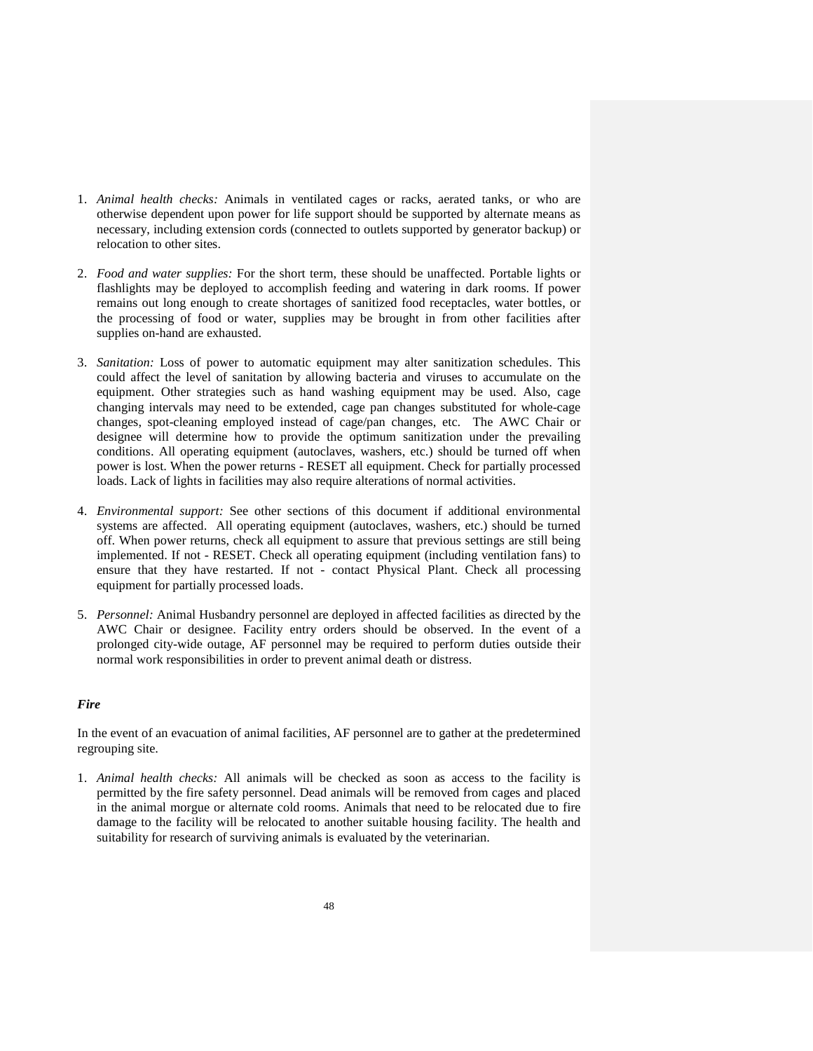- 1. *Animal health checks:* Animals in ventilated cages or racks, aerated tanks, or who are otherwise dependent upon power for life support should be supported by alternate means as necessary, including extension cords (connected to outlets supported by generator backup) or relocation to other sites.
- 2. *Food and water supplies:* For the short term, these should be unaffected. Portable lights or flashlights may be deployed to accomplish feeding and watering in dark rooms. If power remains out long enough to create shortages of sanitized food receptacles, water bottles, or the processing of food or water, supplies may be brought in from other facilities after supplies on-hand are exhausted.
- 3. *Sanitation:* Loss of power to automatic equipment may alter sanitization schedules. This could affect the level of sanitation by allowing bacteria and viruses to accumulate on the equipment. Other strategies such as hand washing equipment may be used. Also, cage changing intervals may need to be extended, cage pan changes substituted for whole-cage changes, spot-cleaning employed instead of cage/pan changes, etc. The AWC Chair or designee will determine how to provide the optimum sanitization under the prevailing conditions. All operating equipment (autoclaves, washers, etc.) should be turned off when power is lost. When the power returns - RESET all equipment. Check for partially processed loads. Lack of lights in facilities may also require alterations of normal activities.
- 4. *Environmental support:* See other sections of this document if additional environmental systems are affected. All operating equipment (autoclaves, washers, etc.) should be turned off. When power returns, check all equipment to assure that previous settings are still being implemented. If not - RESET. Check all operating equipment (including ventilation fans) to ensure that they have restarted. If not - contact Physical Plant. Check all processing equipment for partially processed loads.
- 5. *Personnel:* Animal Husbandry personnel are deployed in affected facilities as directed by the AWC Chair or designee. Facility entry orders should be observed. In the event of a prolonged city-wide outage, AF personnel may be required to perform duties outside their normal work responsibilities in order to prevent animal death or distress.

#### *Fire*

In the event of an evacuation of animal facilities, AF personnel are to gather at the predetermined regrouping site.

1. *Animal health checks:* All animals will be checked as soon as access to the facility is permitted by the fire safety personnel. Dead animals will be removed from cages and placed in the animal morgue or alternate cold rooms. Animals that need to be relocated due to fire damage to the facility will be relocated to another suitable housing facility. The health and suitability for research of surviving animals is evaluated by the veterinarian.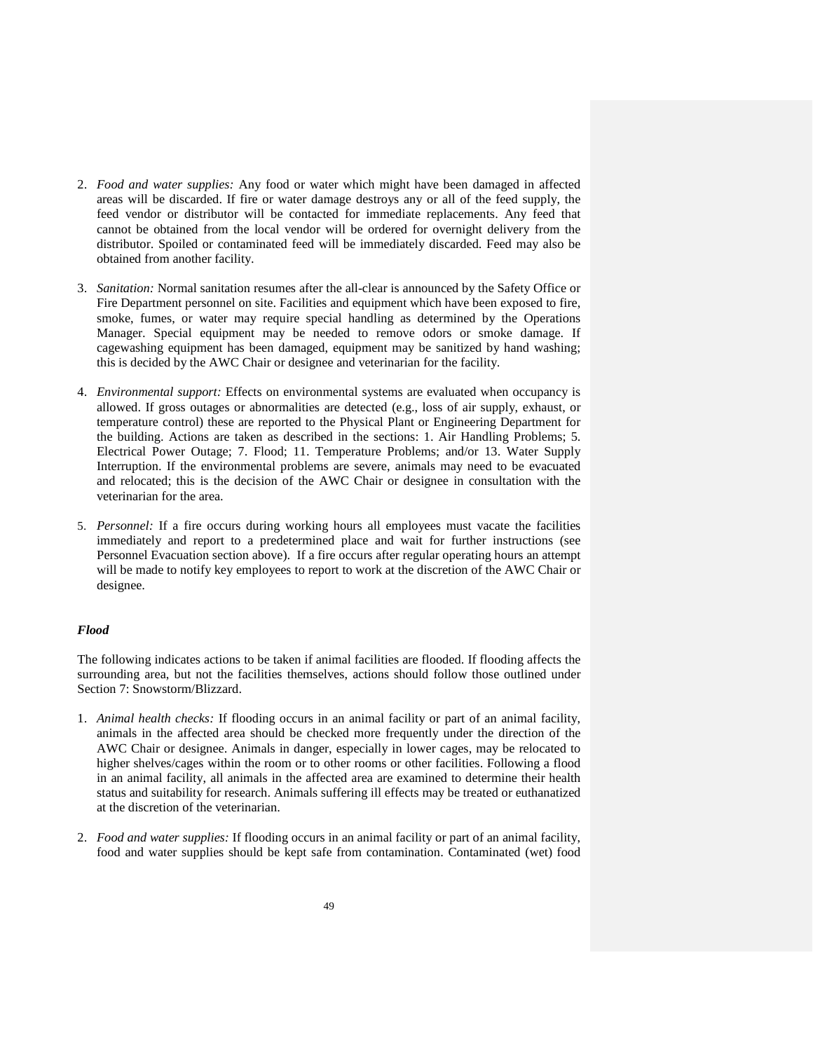- 2. *Food and water supplies:* Any food or water which might have been damaged in affected areas will be discarded. If fire or water damage destroys any or all of the feed supply, the feed vendor or distributor will be contacted for immediate replacements. Any feed that cannot be obtained from the local vendor will be ordered for overnight delivery from the distributor. Spoiled or contaminated feed will be immediately discarded. Feed may also be obtained from another facility.
- 3. *Sanitation:* Normal sanitation resumes after the all-clear is announced by the Safety Office or Fire Department personnel on site. Facilities and equipment which have been exposed to fire, smoke, fumes, or water may require special handling as determined by the Operations Manager. Special equipment may be needed to remove odors or smoke damage. If cagewashing equipment has been damaged, equipment may be sanitized by hand washing; this is decided by the AWC Chair or designee and veterinarian for the facility.
- 4. *Environmental support:* Effects on environmental systems are evaluated when occupancy is allowed. If gross outages or abnormalities are detected (e.g., loss of air supply, exhaust, or temperature control) these are reported to the Physical Plant or Engineering Department for the building. Actions are taken as described in the sections: 1. Air Handling Problems; 5. Electrical Power Outage; 7. Flood; 11. Temperature Problems; and/or 13. Water Supply Interruption. If the environmental problems are severe, animals may need to be evacuated and relocated; this is the decision of the AWC Chair or designee in consultation with the veterinarian for the area.
- 5. *Personnel:* If a fire occurs during working hours all employees must vacate the facilities immediately and report to a predetermined place and wait for further instructions (see Personnel Evacuation section above). If a fire occurs after regular operating hours an attempt will be made to notify key employees to report to work at the discretion of the AWC Chair or designee.

#### *Flood*

The following indicates actions to be taken if animal facilities are flooded. If flooding affects the surrounding area, but not the facilities themselves, actions should follow those outlined under Section 7: Snowstorm/Blizzard.

- 1. *Animal health checks:* If flooding occurs in an animal facility or part of an animal facility, animals in the affected area should be checked more frequently under the direction of the AWC Chair or designee. Animals in danger, especially in lower cages, may be relocated to higher shelves/cages within the room or to other rooms or other facilities. Following a flood in an animal facility, all animals in the affected area are examined to determine their health status and suitability for research. Animals suffering ill effects may be treated or euthanatized at the discretion of the veterinarian.
- 2. *Food and water supplies:* If flooding occurs in an animal facility or part of an animal facility, food and water supplies should be kept safe from contamination. Contaminated (wet) food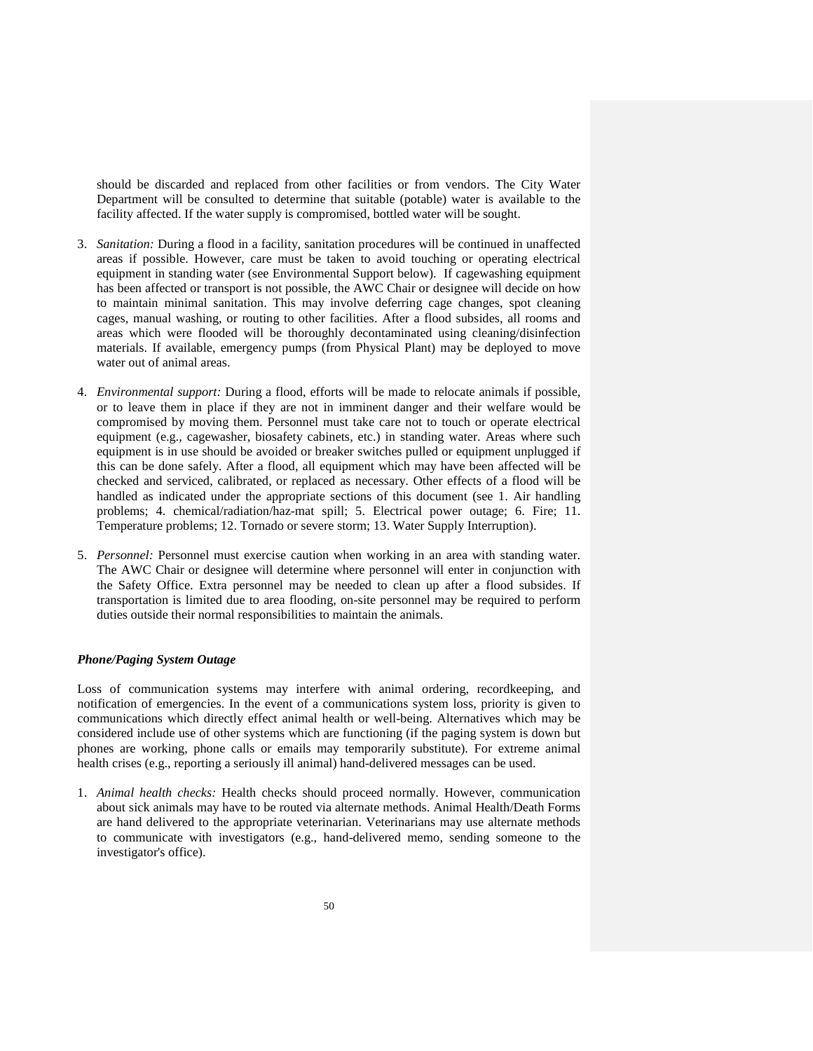should be discarded and replaced from other facilities or from vendors. The City Water Department will be consulted to determine that suitable (potable) water is available to the facility affected. If the water supply is compromised, bottled water will be sought.

- 3. *Sanitation:* During a flood in a facility, sanitation procedures will be continued in unaffected areas if possible. However, care must be taken to avoid touching or operating electrical equipment in standing water (see Environmental Support below). If cagewashing equipment has been affected or transport is not possible, the AWC Chair or designee will decide on how to maintain minimal sanitation. This may involve deferring cage changes, spot cleaning cages, manual washing, or routing to other facilities. After a flood subsides, all rooms and areas which were flooded will be thoroughly decontaminated using cleaning/disinfection materials. If available, emergency pumps (from Physical Plant) may be deployed to move water out of animal areas.
- 4. *Environmental support:* During a flood, efforts will be made to relocate animals if possible, or to leave them in place if they are not in imminent danger and their welfare would be compromised by moving them. Personnel must take care not to touch or operate electrical equipment (e.g., cagewasher, biosafety cabinets, etc.) in standing water. Areas where such equipment is in use should be avoided or breaker switches pulled or equipment unplugged if this can be done safely. After a flood, all equipment which may have been affected will be checked and serviced, calibrated, or replaced as necessary. Other effects of a flood will be handled as indicated under the appropriate sections of this document (see 1. Air handling problems; 4. chemical/radiation/haz-mat spill; 5. Electrical power outage; 6. Fire; 11. Temperature problems; 12. Tornado or severe storm; 13. Water Supply Interruption).
- 5. *Personnel:* Personnel must exercise caution when working in an area with standing water. The AWC Chair or designee will determine where personnel will enter in conjunction with the Safety Office. Extra personnel may be needed to clean up after a flood subsides. If transportation is limited due to area flooding, on-site personnel may be required to perform duties outside their normal responsibilities to maintain the animals.

#### *Phone/Paging System Outage*

Loss of communication systems may interfere with animal ordering, recordkeeping, and notification of emergencies. In the event of a communications system loss, priority is given to communications which directly effect animal health or well-being. Alternatives which may be considered include use of other systems which are functioning (if the paging system is down but phones are working, phone calls or emails may temporarily substitute). For extreme animal health crises (e.g., reporting a seriously ill animal) hand-delivered messages can be used.

1. *Animal health checks:* Health checks should proceed normally. However, communication about sick animals may have to be routed via alternate methods. Animal Health/Death Forms are hand delivered to the appropriate veterinarian. Veterinarians may use alternate methods to communicate with investigators (e.g., hand-delivered memo, sending someone to the investigator's office).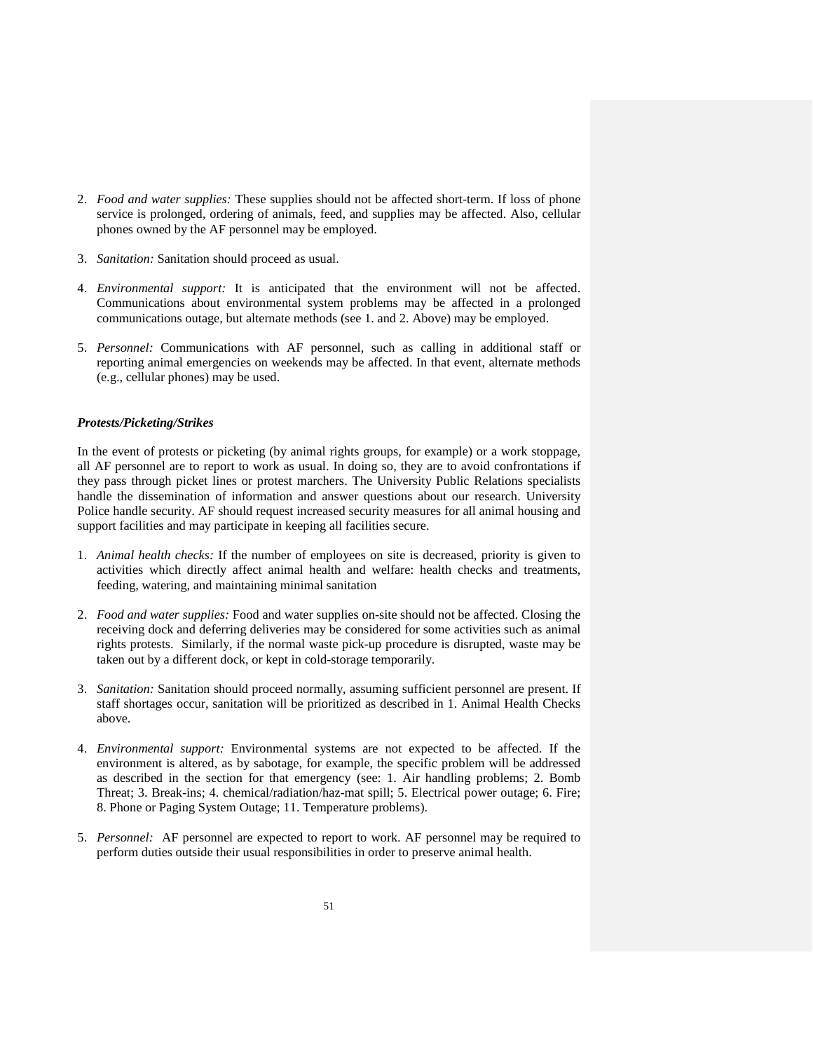- 2. *Food and water supplies:* These supplies should not be affected short-term. If loss of phone service is prolonged, ordering of animals, feed, and supplies may be affected. Also, cellular phones owned by the AF personnel may be employed.
- 3. *Sanitation:* Sanitation should proceed as usual.
- 4. *Environmental support:* It is anticipated that the environment will not be affected. Communications about environmental system problems may be affected in a prolonged communications outage, but alternate methods (see 1. and 2. Above) may be employed.
- 5. *Personnel:* Communications with AF personnel, such as calling in additional staff or reporting animal emergencies on weekends may be affected. In that event, alternate methods (e.g., cellular phones) may be used.

#### *Protests/Picketing/Strikes*

In the event of protests or picketing (by animal rights groups, for example) or a work stoppage, all AF personnel are to report to work as usual. In doing so, they are to avoid confrontations if they pass through picket lines or protest marchers. The University Public Relations specialists handle the dissemination of information and answer questions about our research. University Police handle security. AF should request increased security measures for all animal housing and support facilities and may participate in keeping all facilities secure.

- 1. *Animal health checks:* If the number of employees on site is decreased, priority is given to activities which directly affect animal health and welfare: health checks and treatments, feeding, watering, and maintaining minimal sanitation
- 2. *Food and water supplies:* Food and water supplies on-site should not be affected. Closing the receiving dock and deferring deliveries may be considered for some activities such as animal rights protests. Similarly, if the normal waste pick-up procedure is disrupted, waste may be taken out by a different dock, or kept in cold-storage temporarily.
- 3. *Sanitation:* Sanitation should proceed normally, assuming sufficient personnel are present. If staff shortages occur, sanitation will be prioritized as described in 1. Animal Health Checks above.
- 4. *Environmental support:* Environmental systems are not expected to be affected. If the environment is altered, as by sabotage, for example, the specific problem will be addressed as described in the section for that emergency (see: 1. Air handling problems; 2. Bomb Threat; 3. Break-ins; 4. chemical/radiation/haz-mat spill; 5. Electrical power outage; 6. Fire; 8. Phone or Paging System Outage; 11. Temperature problems).
- 5. *Personnel:* AF personnel are expected to report to work. AF personnel may be required to perform duties outside their usual responsibilities in order to preserve animal health.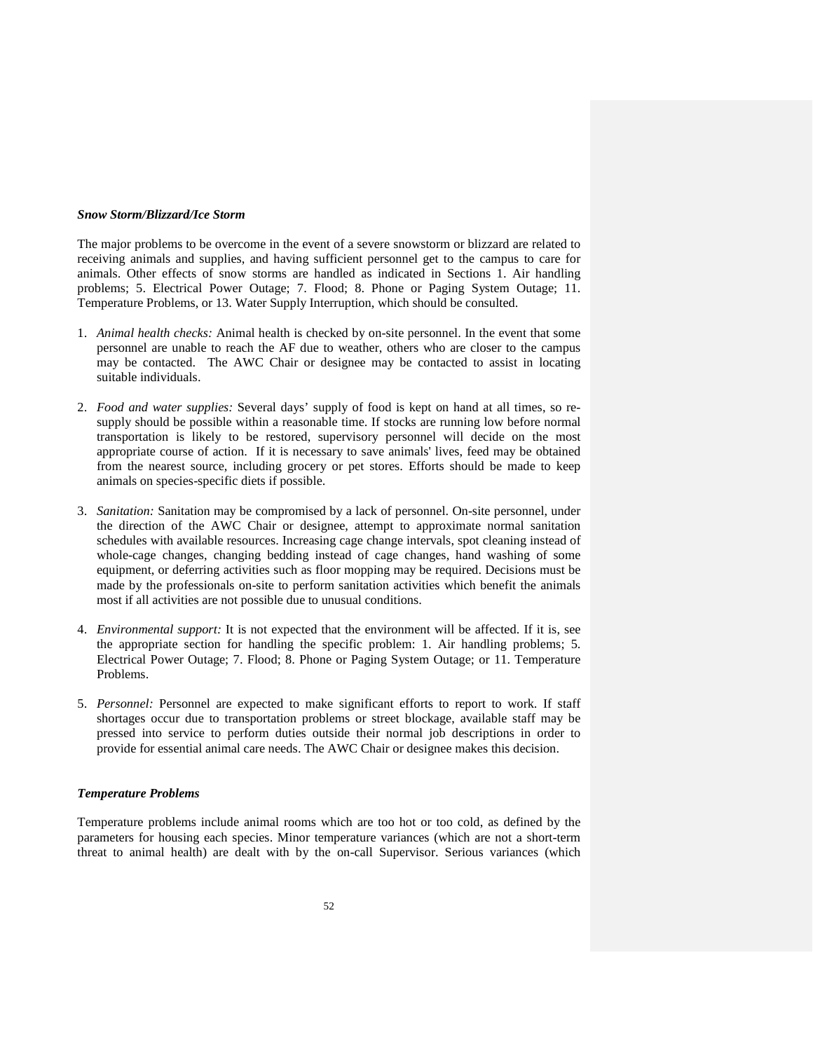#### *Snow Storm/Blizzard/Ice Storm*

The major problems to be overcome in the event of a severe snowstorm or blizzard are related to receiving animals and supplies, and having sufficient personnel get to the campus to care for animals. Other effects of snow storms are handled as indicated in Sections 1. Air handling problems; 5. Electrical Power Outage; 7. Flood; 8. Phone or Paging System Outage; 11. Temperature Problems, or 13. Water Supply Interruption, which should be consulted.

- 1. *Animal health checks:* Animal health is checked by on-site personnel. In the event that some personnel are unable to reach the AF due to weather, others who are closer to the campus may be contacted. The AWC Chair or designee may be contacted to assist in locating suitable individuals.
- 2. *Food and water supplies:* Several days' supply of food is kept on hand at all times, so resupply should be possible within a reasonable time. If stocks are running low before normal transportation is likely to be restored, supervisory personnel will decide on the most appropriate course of action. If it is necessary to save animals' lives, feed may be obtained from the nearest source, including grocery or pet stores. Efforts should be made to keep animals on species-specific diets if possible.
- 3. *Sanitation:* Sanitation may be compromised by a lack of personnel. On-site personnel, under the direction of the AWC Chair or designee, attempt to approximate normal sanitation schedules with available resources. Increasing cage change intervals, spot cleaning instead of whole-cage changes, changing bedding instead of cage changes, hand washing of some equipment, or deferring activities such as floor mopping may be required. Decisions must be made by the professionals on-site to perform sanitation activities which benefit the animals most if all activities are not possible due to unusual conditions.
- 4. *Environmental support:* It is not expected that the environment will be affected. If it is, see the appropriate section for handling the specific problem: 1. Air handling problems; 5. Electrical Power Outage; 7. Flood; 8. Phone or Paging System Outage; or 11. Temperature Problems.
- 5. *Personnel:* Personnel are expected to make significant efforts to report to work. If staff shortages occur due to transportation problems or street blockage, available staff may be pressed into service to perform duties outside their normal job descriptions in order to provide for essential animal care needs. The AWC Chair or designee makes this decision.

#### *Temperature Problems*

Temperature problems include animal rooms which are too hot or too cold, as defined by the parameters for housing each species. Minor temperature variances (which are not a short-term threat to animal health) are dealt with by the on-call Supervisor. Serious variances (which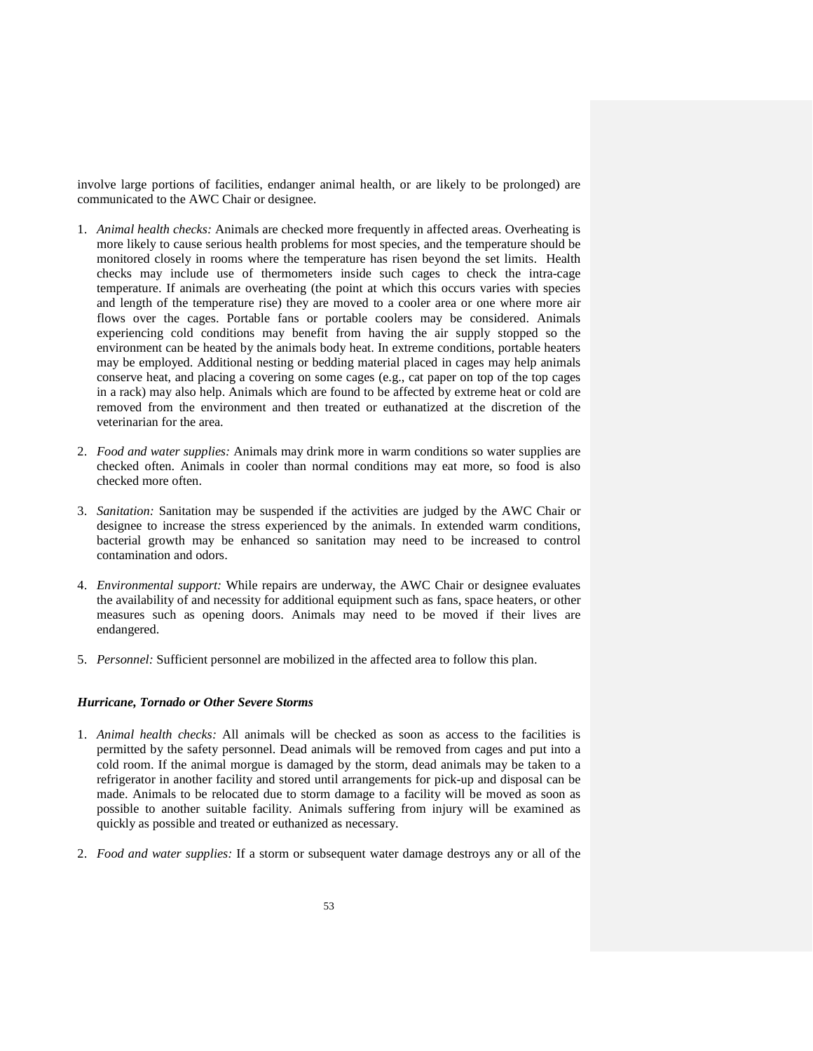involve large portions of facilities, endanger animal health, or are likely to be prolonged) are communicated to the AWC Chair or designee.

- 1. *Animal health checks:* Animals are checked more frequently in affected areas. Overheating is more likely to cause serious health problems for most species, and the temperature should be monitored closely in rooms where the temperature has risen beyond the set limits. Health checks may include use of thermometers inside such cages to check the intra-cage temperature. If animals are overheating (the point at which this occurs varies with species and length of the temperature rise) they are moved to a cooler area or one where more air flows over the cages. Portable fans or portable coolers may be considered. Animals experiencing cold conditions may benefit from having the air supply stopped so the environment can be heated by the animals body heat. In extreme conditions, portable heaters may be employed. Additional nesting or bedding material placed in cages may help animals conserve heat, and placing a covering on some cages (e.g., cat paper on top of the top cages in a rack) may also help. Animals which are found to be affected by extreme heat or cold are removed from the environment and then treated or euthanatized at the discretion of the veterinarian for the area.
- 2. *Food and water supplies:* Animals may drink more in warm conditions so water supplies are checked often. Animals in cooler than normal conditions may eat more, so food is also checked more often.
- 3. *Sanitation:* Sanitation may be suspended if the activities are judged by the AWC Chair or designee to increase the stress experienced by the animals. In extended warm conditions, bacterial growth may be enhanced so sanitation may need to be increased to control contamination and odors.
- 4. *Environmental support:* While repairs are underway, the AWC Chair or designee evaluates the availability of and necessity for additional equipment such as fans, space heaters, or other measures such as opening doors. Animals may need to be moved if their lives are endangered.
- 5. *Personnel:* Sufficient personnel are mobilized in the affected area to follow this plan.

### *Hurricane, Tornado or Other Severe Storms*

- 1. *Animal health checks:* All animals will be checked as soon as access to the facilities is permitted by the safety personnel. Dead animals will be removed from cages and put into a cold room. If the animal morgue is damaged by the storm, dead animals may be taken to a refrigerator in another facility and stored until arrangements for pick-up and disposal can be made. Animals to be relocated due to storm damage to a facility will be moved as soon as possible to another suitable facility. Animals suffering from injury will be examined as quickly as possible and treated or euthanized as necessary.
- 2. *Food and water supplies:* If a storm or subsequent water damage destroys any or all of the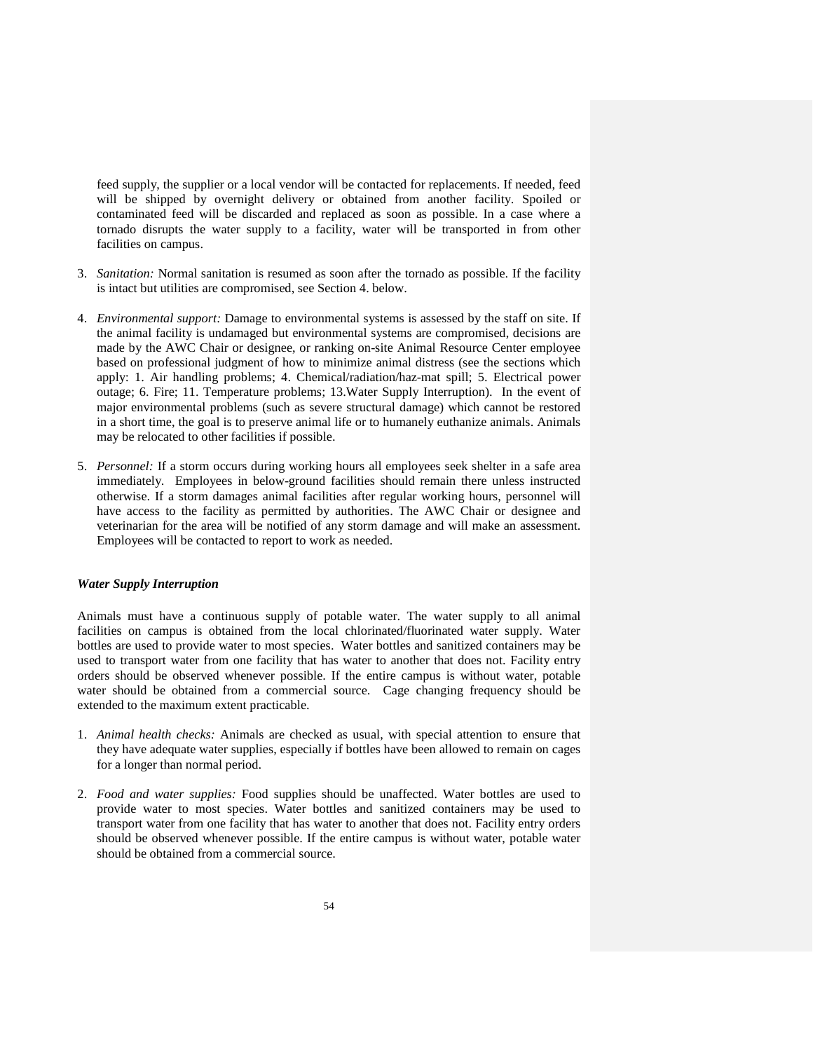feed supply, the supplier or a local vendor will be contacted for replacements. If needed, feed will be shipped by overnight delivery or obtained from another facility. Spoiled or contaminated feed will be discarded and replaced as soon as possible. In a case where a tornado disrupts the water supply to a facility, water will be transported in from other facilities on campus.

- 3. *Sanitation:* Normal sanitation is resumed as soon after the tornado as possible. If the facility is intact but utilities are compromised, see Section 4. below.
- 4. *Environmental support:* Damage to environmental systems is assessed by the staff on site. If the animal facility is undamaged but environmental systems are compromised, decisions are made by the AWC Chair or designee, or ranking on-site Animal Resource Center employee based on professional judgment of how to minimize animal distress (see the sections which apply: 1. Air handling problems; 4. Chemical/radiation/haz-mat spill; 5. Electrical power outage; 6. Fire; 11. Temperature problems; 13.Water Supply Interruption). In the event of major environmental problems (such as severe structural damage) which cannot be restored in a short time, the goal is to preserve animal life or to humanely euthanize animals. Animals may be relocated to other facilities if possible.
- 5. *Personnel:* If a storm occurs during working hours all employees seek shelter in a safe area immediately. Employees in below-ground facilities should remain there unless instructed otherwise. If a storm damages animal facilities after regular working hours, personnel will have access to the facility as permitted by authorities. The AWC Chair or designee and veterinarian for the area will be notified of any storm damage and will make an assessment. Employees will be contacted to report to work as needed.

#### *Water Supply Interruption*

Animals must have a continuous supply of potable water. The water supply to all animal facilities on campus is obtained from the local chlorinated/fluorinated water supply. Water bottles are used to provide water to most species. Water bottles and sanitized containers may be used to transport water from one facility that has water to another that does not. Facility entry orders should be observed whenever possible. If the entire campus is without water, potable water should be obtained from a commercial source. Cage changing frequency should be extended to the maximum extent practicable.

- 1. *Animal health checks:* Animals are checked as usual, with special attention to ensure that they have adequate water supplies, especially if bottles have been allowed to remain on cages for a longer than normal period.
- 2. *Food and water supplies:* Food supplies should be unaffected. Water bottles are used to provide water to most species. Water bottles and sanitized containers may be used to transport water from one facility that has water to another that does not. Facility entry orders should be observed whenever possible. If the entire campus is without water, potable water should be obtained from a commercial source.